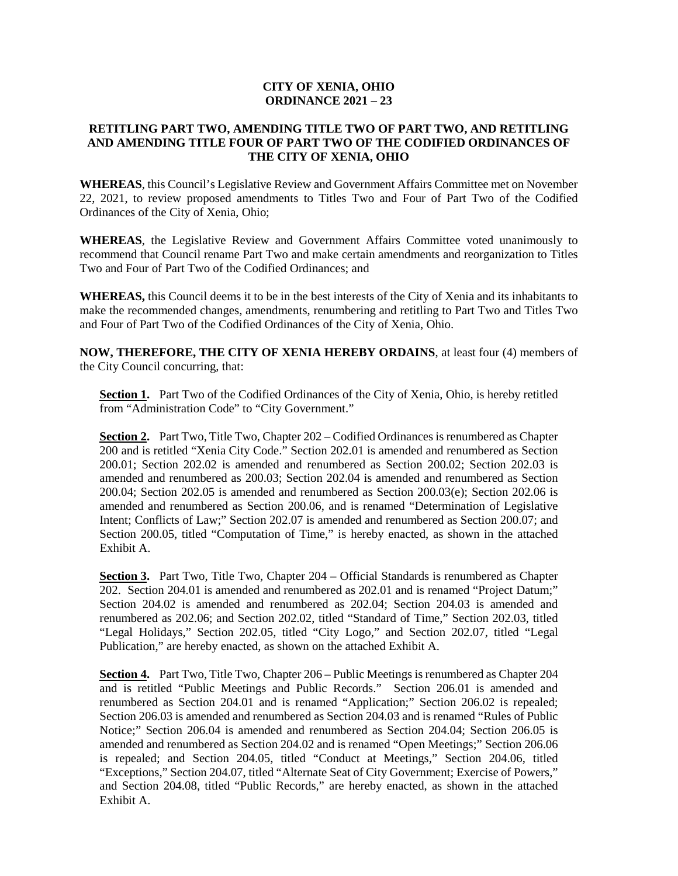# **CITY OF XENIA, OHIO ORDINANCE 2021 – 23**

## **RETITLING PART TWO, AMENDING TITLE TWO OF PART TWO, AND RETITLING AND AMENDING TITLE FOUR OF PART TWO OF THE CODIFIED ORDINANCES OF THE CITY OF XENIA, OHIO**

**WHEREAS**, this Council's Legislative Review and Government Affairs Committee met on November 22, 2021, to review proposed amendments to Titles Two and Four of Part Two of the Codified Ordinances of the City of Xenia, Ohio;

**WHEREAS**, the Legislative Review and Government Affairs Committee voted unanimously to recommend that Council rename Part Two and make certain amendments and reorganization to Titles Two and Four of Part Two of the Codified Ordinances; and

**WHEREAS,** this Council deems it to be in the best interests of the City of Xenia and its inhabitants to make the recommended changes, amendments, renumbering and retitling to Part Two and Titles Two and Four of Part Two of the Codified Ordinances of the City of Xenia, Ohio.

**NOW, THEREFORE, THE CITY OF XENIA HEREBY ORDAINS**, at least four (4) members of the City Council concurring, that:

**Section 1.** Part Two of the Codified Ordinances of the City of Xenia, Ohio, is hereby retitled from "Administration Code" to "City Government."

**Section 2.** Part Two, Title Two, Chapter 202 – Codified Ordinances is renumbered as Chapter 200 and is retitled "Xenia City Code." Section 202.01 is amended and renumbered as Section 200.01; Section 202.02 is amended and renumbered as Section 200.02; Section 202.03 is amended and renumbered as 200.03; Section 202.04 is amended and renumbered as Section 200.04; Section 202.05 is amended and renumbered as Section 200.03(e); Section 202.06 is amended and renumbered as Section 200.06, and is renamed "Determination of Legislative Intent; Conflicts of Law;" Section 202.07 is amended and renumbered as Section 200.07; and Section 200.05, titled "Computation of Time," is hereby enacted, as shown in the attached Exhibit A.

**Section 3.** Part Two, Title Two, Chapter 204 – Official Standards is renumbered as Chapter 202. Section 204.01 is amended and renumbered as 202.01 and is renamed "Project Datum;" Section 204.02 is amended and renumbered as 202.04; Section 204.03 is amended and renumbered as 202.06; and Section 202.02, titled "Standard of Time," Section 202.03, titled "Legal Holidays," Section 202.05, titled "City Logo," and Section 202.07, titled "Legal Publication," are hereby enacted, as shown on the attached Exhibit A.

**Section 4.** Part Two, Title Two, Chapter 206 – Public Meetings is renumbered as Chapter 204 and is retitled "Public Meetings and Public Records." Section 206.01 is amended and renumbered as Section 204.01 and is renamed "Application;" Section 206.02 is repealed; Section 206.03 is amended and renumbered as Section 204.03 and is renamed "Rules of Public Notice;" Section 206.04 is amended and renumbered as Section 204.04; Section 206.05 is amended and renumbered as Section 204.02 and is renamed "Open Meetings;" Section 206.06 is repealed; and Section 204.05, titled "Conduct at Meetings," Section 204.06, titled "Exceptions," Section 204.07, titled "Alternate Seat of City Government; Exercise of Powers," and Section 204.08, titled "Public Records," are hereby enacted, as shown in the attached Exhibit A.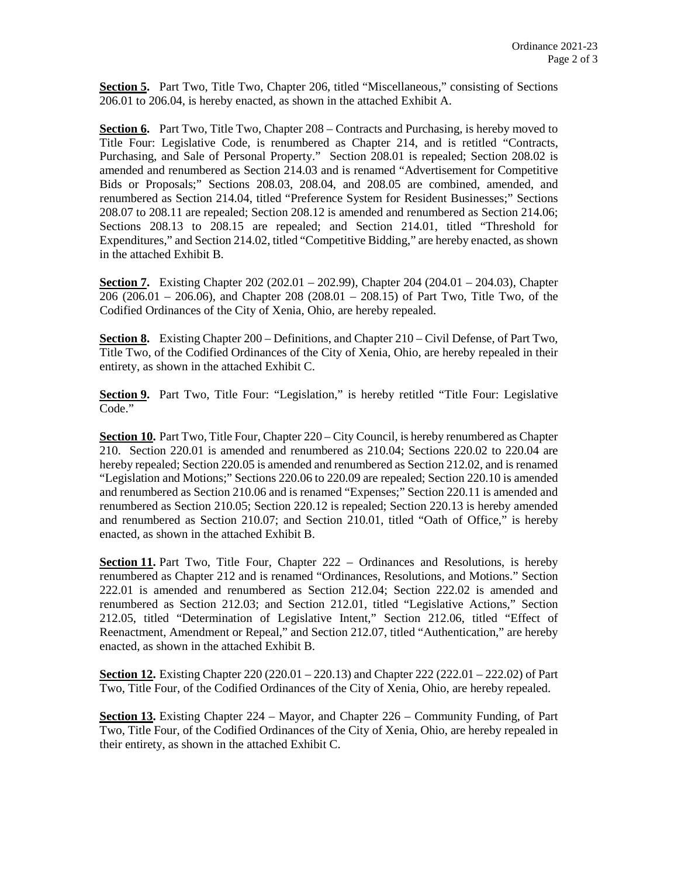Section 5. Part Two, Title Two, Chapter 206, titled "Miscellaneous," consisting of Sections 206.01 to 206.04, is hereby enacted, as shown in the attached Exhibit A.

**Section 6.** Part Two, Title Two, Chapter 208 – Contracts and Purchasing, is hereby moved to Title Four: Legislative Code, is renumbered as Chapter 214, and is retitled "Contracts, Purchasing, and Sale of Personal Property." Section 208.01 is repealed; Section 208.02 is amended and renumbered as Section 214.03 and is renamed "Advertisement for Competitive Bids or Proposals;" Sections 208.03, 208.04, and 208.05 are combined, amended, and renumbered as Section 214.04, titled "Preference System for Resident Businesses;" Sections 208.07 to 208.11 are repealed; Section 208.12 is amended and renumbered as Section 214.06; Sections 208.13 to 208.15 are repealed; and Section 214.01, titled "Threshold for Expenditures," and Section 214.02, titled "Competitive Bidding," are hereby enacted, as shown in the attached Exhibit B.

**Section 7.** Existing Chapter 202 (202.01 – 202.99), Chapter 204 (204.01 – 204.03), Chapter 206 (206.01 – 206.06), and Chapter 208 (208.01 – 208.15) of Part Two, Title Two, of the Codified Ordinances of the City of Xenia, Ohio, are hereby repealed.

**Section 8.** Existing Chapter 200 – Definitions, and Chapter 210 – Civil Defense, of Part Two, Title Two, of the Codified Ordinances of the City of Xenia, Ohio, are hereby repealed in their entirety, as shown in the attached Exhibit C.

Section 9. Part Two, Title Four: "Legislation," is hereby retitled "Title Four: Legislative Code."

**Section 10.** Part Two, Title Four, Chapter 220 – City Council, is hereby renumbered as Chapter 210. Section 220.01 is amended and renumbered as 210.04; Sections 220.02 to 220.04 are hereby repealed; Section 220.05 is amended and renumbered as Section 212.02, and is renamed "Legislation and Motions;" Sections 220.06 to 220.09 are repealed; Section 220.10 is amended and renumbered as Section 210.06 and is renamed "Expenses;" Section 220.11 is amended and renumbered as Section 210.05; Section 220.12 is repealed; Section 220.13 is hereby amended and renumbered as Section 210.07; and Section 210.01, titled "Oath of Office," is hereby enacted, as shown in the attached Exhibit B.

**Section 11.** Part Two, Title Four, Chapter 222 – Ordinances and Resolutions, is hereby renumbered as Chapter 212 and is renamed "Ordinances, Resolutions, and Motions." Section 222.01 is amended and renumbered as Section 212.04; Section 222.02 is amended and renumbered as Section 212.03; and Section 212.01, titled "Legislative Actions," Section 212.05, titled "Determination of Legislative Intent," Section 212.06, titled "Effect of Reenactment, Amendment or Repeal," and Section 212.07, titled "Authentication," are hereby enacted, as shown in the attached Exhibit B.

**Section 12.** Existing Chapter 220 (220.01 – 220.13) and Chapter 222 (222.01 – 222.02) of Part Two, Title Four, of the Codified Ordinances of the City of Xenia, Ohio, are hereby repealed.

**Section 13.** Existing Chapter 224 – Mayor, and Chapter 226 – Community Funding, of Part Two, Title Four, of the Codified Ordinances of the City of Xenia, Ohio, are hereby repealed in their entirety, as shown in the attached Exhibit C.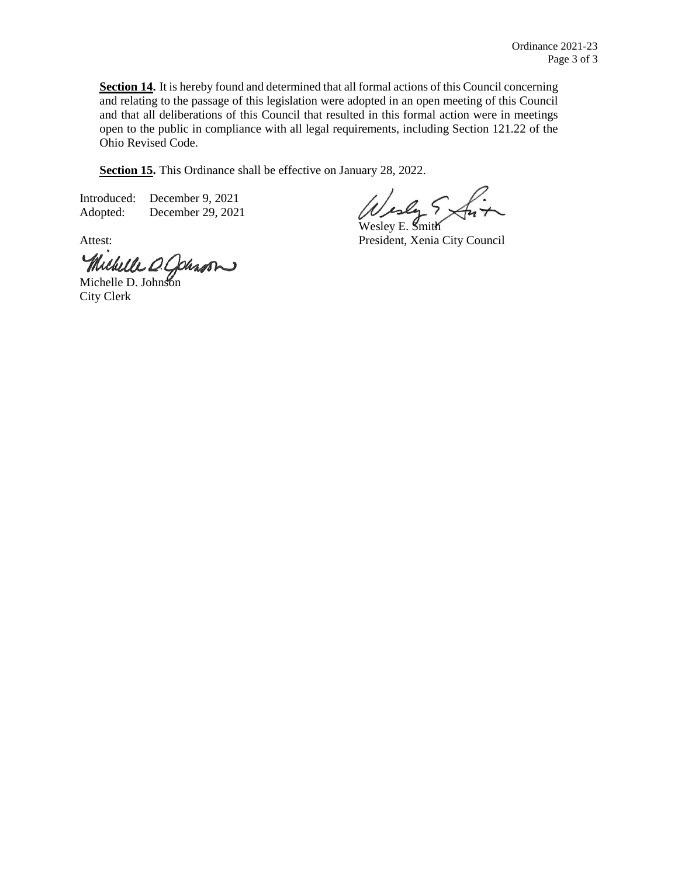**Section 14.** It is hereby found and determined that all formal actions of this Council concerning and relating to the passage of this legislation were adopted in an open meeting of this Council and that all deliberations of this Council that resulted in this formal action were in meetings open to the public in compliance with all legal requirements, including Section 121.22 of the Ohio Revised Code.

**Section 15.** This Ordinance shall be effective on January 28, 2022.

Introduced: December 9, 2021 Adopted: December 29, 2021

Michelle O. Johnson

City Clerk

esly 5>

Wesley E. Smith Attest: President, Xenia City Council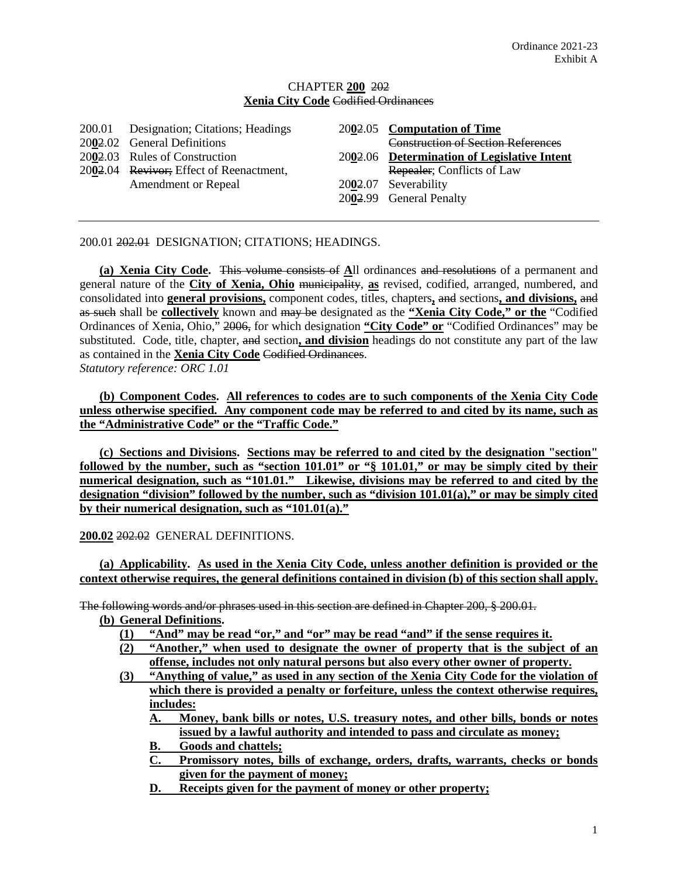### CHAPTER **200** 202 **Xenia City Code** Codified Ordinances

| 200.01 Designation; Citations; Headings<br>2002.02 General Definitions | 2002.05 Computation of Time<br>Construction of Section References |
|------------------------------------------------------------------------|-------------------------------------------------------------------|
| 2002.03 Rules of Construction                                          | 2002.06 Determination of Legislative Intent                       |
| 2002.04 Revivor; Effect of Reenactment,                                | Repealer; Conflicts of Law                                        |
| Amendment or Repeal                                                    | 2002.07 Severability                                              |
|                                                                        | 200 <del>2</del> .99 General Penalty                              |

200.01 202.01 DESIGNATION; CITATIONS; HEADINGS.

**(a) Xenia City Code.** This volume consists of **A**ll ordinances and resolutions of a permanent and general nature of the **City of Xenia, Ohio** municipality, **as** revised, codified, arranged, numbered, and consolidated into **general provisions,** component codes, titles, chapters**,** and sections**, and divisions,** and as such shall be **collectively** known and may be designated as the **"Xenia City Code," or the** "Codified Ordinances of Xenia, Ohio," 2006, for which designation **"City Code" or** "Codified Ordinances" may be substituted. Code, title, chapter, and section**, and division** headings do not constitute any part of the law as contained in the **Xenia City Code** Codified Ordinances.

*Statutory reference: ORC 1.01*

**(b) Component Codes. All references to codes are to such components of the Xenia City Code unless otherwise specified. Any component code may be referred to and cited by its name, such as the "Administrative Code" or the "Traffic Code."**

**(c) Sections and Divisions. Sections may be referred to and cited by the designation "section" followed by the number, such as "section 101.01" or "§ 101.01," or may be simply cited by their numerical designation, such as "101.01." Likewise, divisions may be referred to and cited by the designation "division" followed by the number, such as "division 101.01(a)," or may be simply cited by their numerical designation, such as "101.01(a)."**

**200.02** 202.02 GENERAL DEFINITIONS.

**(a) Applicability. As used in the Xenia City Code, unless another definition is provided or the context otherwise requires, the general definitions contained in division (b) of this section shall apply.**

The following words and/or phrases used in this section are defined in Chapter 200, § 200.01.

**(b) General Definitions.**

- **(1) "And" may be read "or," and "or" may be read "and" if the sense requires it.**
- **(2) "Another," when used to designate the owner of property that is the subject of an offense, includes not only natural persons but also every other owner of property.**
- **(3) "Anything of value," as used in any section of the Xenia City Code for the violation of which there is provided a penalty or forfeiture, unless the context otherwise requires, includes:**
	- **A. Money, bank bills or notes, U.S. treasury notes, and other bills, bonds or notes issued by a lawful authority and intended to pass and circulate as money;**
	- **B. Goods and chattels;**
	- **C. Promissory notes, bills of exchange, orders, drafts, warrants, checks or bonds given for the payment of money;**
	- **D. Receipts given for the payment of money or other property;**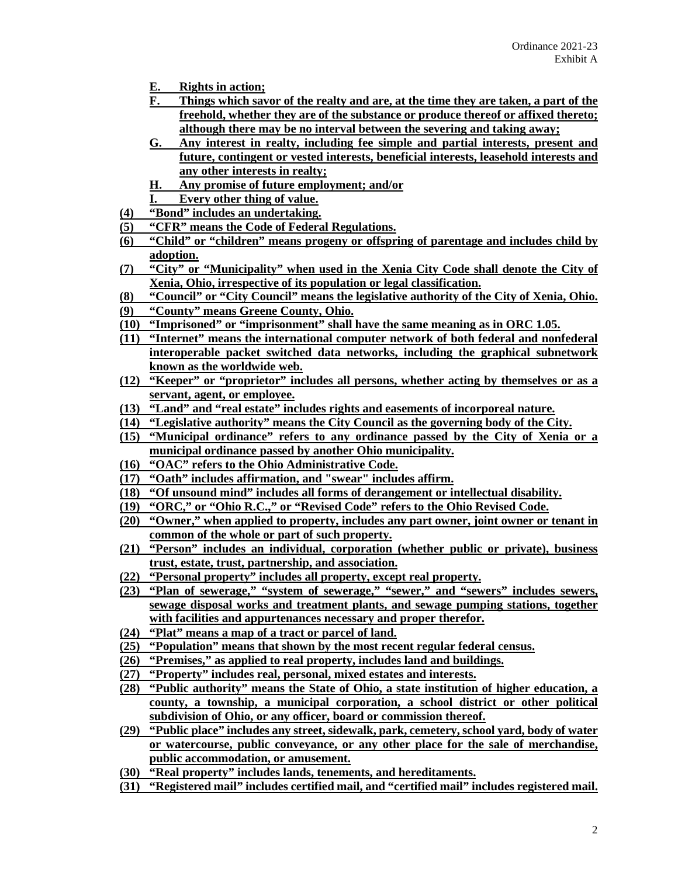- **E. Rights in action;**
- **F. Things which savor of the realty and are, at the time they are taken, a part of the freehold, whether they are of the substance or produce thereof or affixed thereto; although there may be no interval between the severing and taking away;**
- **G. Any interest in realty, including fee simple and partial interests, present and future, contingent or vested interests, beneficial interests, leasehold interests and any other interests in realty;**
- **H. Any promise of future employment; and/or**
- **I. Every other thing of value.**
- **(4) "Bond" includes an undertaking.**
- **(5) "CFR" means the Code of Federal Regulations.**
- **(6) "Child" or "children" means progeny or offspring of parentage and includes child by adoption.**
- **(7) "City" or "Municipality" when used in the Xenia City Code shall denote the City of Xenia, Ohio, irrespective of its population or legal classification.**
- **(8) "Council" or "City Council" means the legislative authority of the City of Xenia, Ohio.**
- **(9) "County" means Greene County, Ohio.**
- **(10) "Imprisoned" or "imprisonment" shall have the same meaning as in ORC 1.05.**
- **(11) "Internet" means the international computer network of both federal and nonfederal interoperable packet switched data networks, including the graphical subnetwork known as the worldwide web.**
- **(12) "Keeper" or "proprietor" includes all persons, whether acting by themselves or as a servant, agent, or employee.**
- **(13) "Land" and "real estate" includes rights and easements of incorporeal nature.**
- **(14) "Legislative authority" means the City Council as the governing body of the City.**
- **(15) "Municipal ordinance" refers to any ordinance passed by the City of Xenia or a municipal ordinance passed by another Ohio municipality.**
- **(16) "OAC" refers to the Ohio Administrative Code.**
- **(17) "Oath" includes affirmation, and "swear" includes affirm.**
- **(18) "Of unsound mind" includes all forms of derangement or intellectual disability.**
- **(19) "ORC," or "Ohio R.C.," or "Revised Code" refers to the Ohio Revised Code.**
- **(20) "Owner," when applied to property, includes any part owner, joint owner or tenant in common of the whole or part of such property.**
- **(21) "Person" includes an individual, corporation (whether public or private), business trust, estate, trust, partnership, and association.**
- **(22) "Personal property" includes all property, except real property.**
- **(23) "Plan of sewerage," "system of sewerage," "sewer," and "sewers" includes sewers, sewage disposal works and treatment plants, and sewage pumping stations, together with facilities and appurtenances necessary and proper therefor.**
- **(24) "Plat" means a map of a tract or parcel of land.**
- **(25) "Population" means that shown by the most recent regular federal census.**
- **(26) "Premises," as applied to real property, includes land and buildings.**
- **(27) "Property" includes real, personal, mixed estates and interests.**
- **(28) "Public authority" means the State of Ohio, a state institution of higher education, a county, a township, a municipal corporation, a school district or other political subdivision of Ohio, or any officer, board or commission thereof.**
- **(29) "Public place" includes any street, sidewalk, park, cemetery, school yard, body of water or watercourse, public conveyance, or any other place for the sale of merchandise, public accommodation, or amusement.**
- **(30) "Real property" includes lands, tenements, and hereditaments.**
- **(31) "Registered mail" includes certified mail, and "certified mail" includes registered mail.**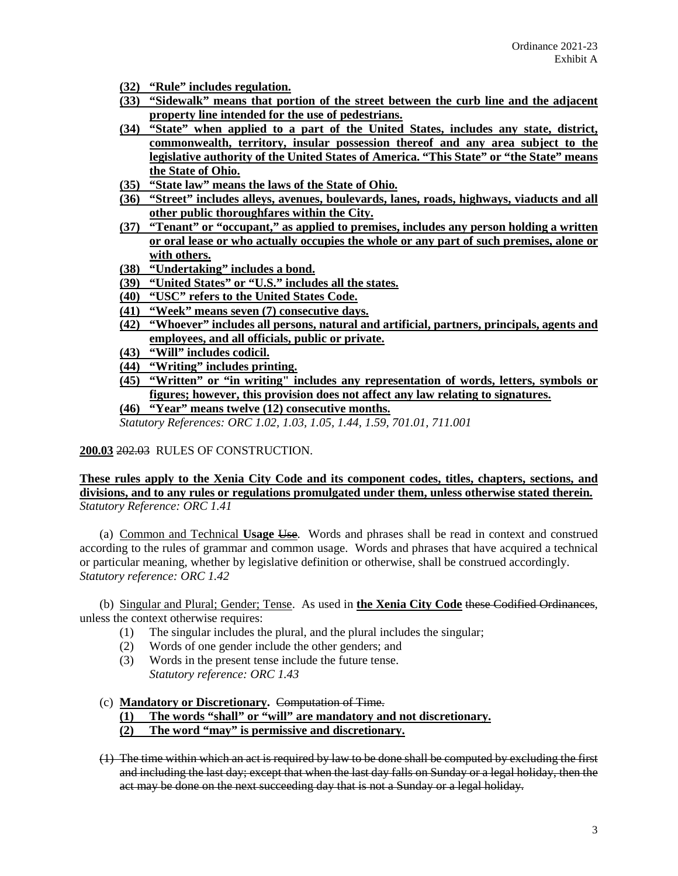- **(32) "Rule" includes regulation.**
- **(33) "Sidewalk" means that portion of the street between the curb line and the adjacent property line intended for the use of pedestrians.**
- **(34) "State" when applied to a part of the United States, includes any state, district, commonwealth, territory, insular possession thereof and any area subject to the legislative authority of the United States of America. "This State" or "the State" means the State of Ohio.**
- **(35) "State law" means the laws of the State of Ohio.**
- **(36) "Street" includes alleys, avenues, boulevards, lanes, roads, highways, viaducts and all other public thoroughfares within the City.**
- **(37) "Tenant" or "occupant," as applied to premises, includes any person holding a written or oral lease or who actually occupies the whole or any part of such premises, alone or with others.**
- **(38) "Undertaking" includes a bond.**
- **(39) "United States" or "U.S." includes all the states.**
- **(40) "USC" refers to the United States Code.**
- **(41) "Week" means seven (7) consecutive days.**
- **(42) "Whoever" includes all persons, natural and artificial, partners, principals, agents and employees, and all officials, public or private.**
- **(43) "Will" includes codicil.**
- **(44) "Writing" includes printing.**
- **(45) "Written" or "in writing" includes any representation of words, letters, symbols or figures; however, this provision does not affect any law relating to signatures. (46) "Year" means twelve (12) consecutive months.**

*Statutory References: ORC 1.02, 1.03, 1.05, 1.44, 1.59, 701.01, 711.001*

**200.03** 202.03 RULES OF CONSTRUCTION.

**These rules apply to the Xenia City Code and its component codes, titles, chapters, sections, and divisions, and to any rules or regulations promulgated under them, unless otherwise stated therein.** *Statutory Reference: ORC 1.41*

(a) Common and Technical **Usage** Use. Words and phrases shall be read in context and construed according to the rules of grammar and common usage. Words and phrases that have acquired a technical or particular meaning, whether by legislative definition or otherwise, shall be construed accordingly. *Statutory reference: ORC 1.42*

(b) Singular and Plural; Gender; Tense. As used in **the Xenia City Code** these Codified Ordinances, unless the context otherwise requires:

- (1) The singular includes the plural, and the plural includes the singular;
- (2) Words of one gender include the other genders; and
- (3) Words in the present tense include the future tense. *Statutory reference: ORC 1.43*
- (c) **Mandatory or Discretionary.** Computation of Time.

**(1) The words "shall" or "will" are mandatory and not discretionary.**

**(2) The word "may" is permissive and discretionary.**

(1) The time within which an act is required by law to be done shall be computed by excluding the first and including the last day; except that when the last day falls on Sunday or a legal holiday, then the act may be done on the next succeeding day that is not a Sunday or a legal holiday.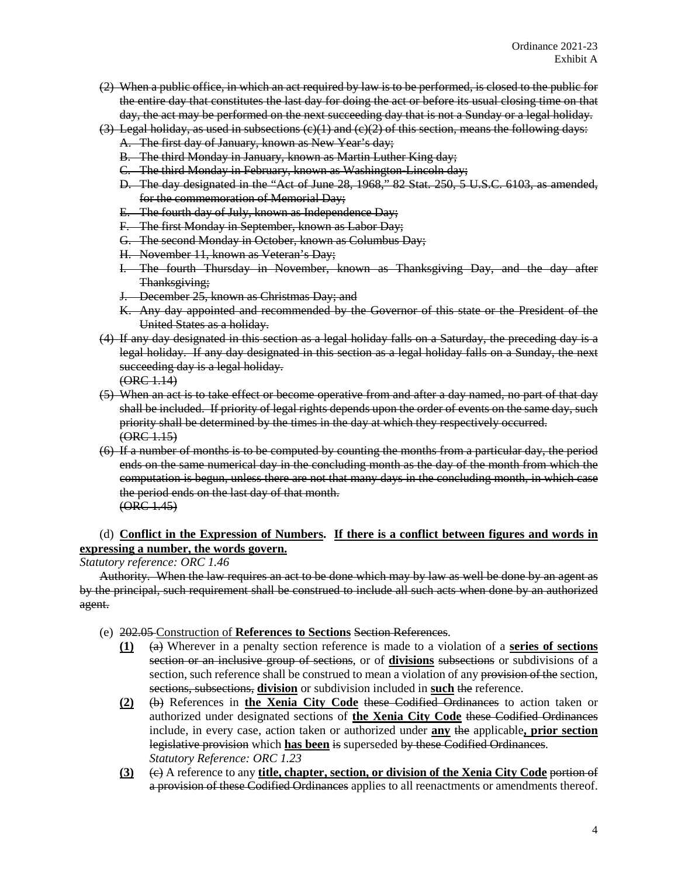- (2) When a public office, in which an act required by law is to be performed, is closed to the public for the entire day that constitutes the last day for doing the act or before its usual closing time on that day, the act may be performed on the next succeeding day that is not a Sunday or a legal holiday.
- $(3)$  Legal holiday, as used in subsections  $(e)(1)$  and  $(e)(2)$  of this section, means the following days:
	- A. The first day of January, known as New Year's day;
	- B. The third Monday in January, known as Martin Luther King day;
	- C. The third Monday in February, known as Washington-Lincoln day;
	- D. The day designated in the "Act of June 28, 1968," 82 Stat. 250, 5 U.S.C. 6103, as amended, for the commemoration of Memorial Day;
	- E. The fourth day of July, known as Independence Day;
	- F. The first Monday in September, known as Labor Day;
	- G. The second Monday in October, known as Columbus Day;
	- H. November 11, known as Veteran's Day;
	- The fourth Thursday in November, known as Thanksgiving Day, and the day after Thanksgiving;
	- J. December 25, known as Christmas Day; and
	- K. Any day appointed and recommended by the Governor of this state or the President of the United States as a holiday.
- (4) If any day designated in this section as a legal holiday falls on a Saturday, the preceding day is a legal holiday. If any day designated in this section as a legal holiday falls on a Sunday, the next succeeding day is a legal holiday.

 $(ORE 1.14)$ 

- (5) When an act is to take effect or become operative from and after a day named, no part of that day shall be included. If priority of legal rights depends upon the order of events on the same day, such priority shall be determined by the times in the day at which they respectively occurred.  $(ORE 1.15)$
- (6) If a number of months is to be computed by counting the months from a particular day, the period ends on the same numerical day in the concluding month as the day of the month from which the computation is begun, unless there are not that many days in the concluding month, in which case the period ends on the last day of that month. (ORC 1.45)

# (d) **Conflict in the Expression of Numbers. If there is a conflict between figures and words in expressing a number, the words govern.**

*Statutory reference: ORC 1.46*

Authority. When the law requires an act to be done which may by law as well be done by an agent as by the principal, such requirement shall be construed to include all such acts when done by an authorized agent.

- (e) 202.05 Construction of **References to Sections** Section References.
	- **(1)** (a) Wherever in a penalty section reference is made to a violation of a **series of sections** section or an inclusive group of sections, or of **divisions** subsections or subdivisions of a section, such reference shall be construed to mean a violation of any provision of the section, sections, subsections, **division** or subdivision included in **such** the reference.
	- **(2)** (b) References in **the Xenia City Code** these Codified Ordinances to action taken or authorized under designated sections of **the Xenia City Code** these Codified Ordinances include, in every case, action taken or authorized under **any** the applicable**, prior section** legislative provision which **has been** is superseded by these Codified Ordinances. *Statutory Reference: ORC 1.23*
	- **(3)** (c) A reference to any **title, chapter, section, or division of the Xenia City Code** portion of a provision of these Codified Ordinances applies to all reenactments or amendments thereof.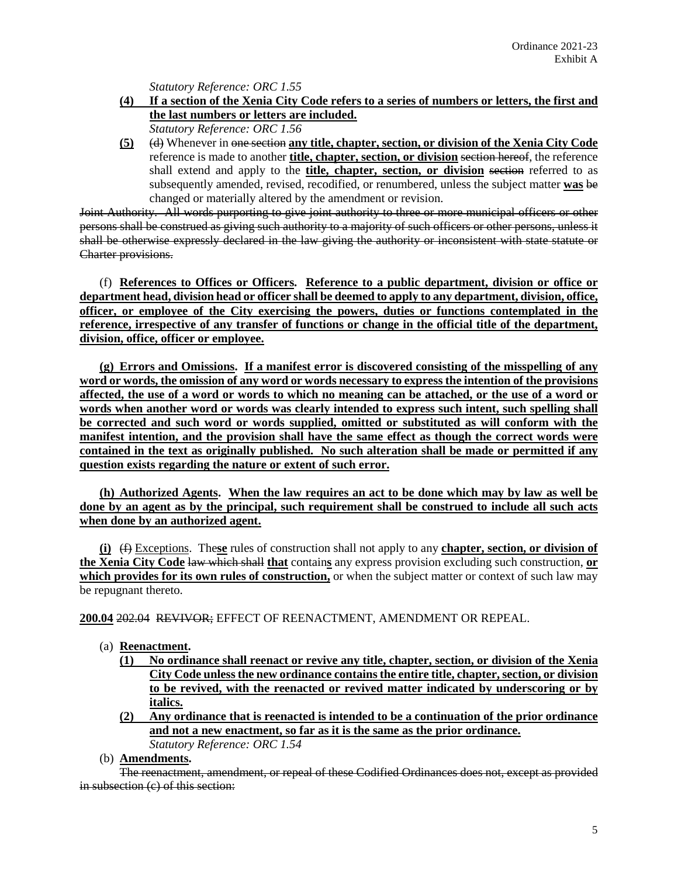*Statutory Reference: ORC 1.55*

- **(4) If a section of the Xenia City Code refers to a series of numbers or letters, the first and the last numbers or letters are included.** *Statutory Reference: ORC 1.56*
- **(5)** (d) Whenever in one section **any title, chapter, section, or division of the Xenia City Code** reference is made to another **title, chapter, section, or division** section hereof, the reference shall extend and apply to the **title, chapter, section, or division** section referred to as subsequently amended, revised, recodified, or renumbered, unless the subject matter **was** be changed or materially altered by the amendment or revision.

Joint Authority. All words purporting to give joint authority to three or more municipal officers or other persons shall be construed as giving such authority to a majority of such officers or other persons, unless it shall be otherwise expressly declared in the law giving the authority or inconsistent with state statute or Charter provisions.

(f) **References to Offices or Officers. Reference to a public department, division or office or department head, division head or officer shall be deemed to apply to any department, division, office, officer, or employee of the City exercising the powers, duties or functions contemplated in the reference, irrespective of any transfer of functions or change in the official title of the department, division, office, officer or employee.**

**(g) Errors and Omissions. If a manifest error is discovered consisting of the misspelling of any word or words, the omission of any word or words necessary to express the intention of the provisions affected, the use of a word or words to which no meaning can be attached, or the use of a word or**  words when another word or words was clearly intended to express such intent, such spelling shall **be corrected and such word or words supplied, omitted or substituted as will conform with the manifest intention, and the provision shall have the same effect as though the correct words were contained in the text as originally published. No such alteration shall be made or permitted if any question exists regarding the nature or extent of such error.**

**(h) Authorized Agents. When the law requires an act to be done which may by law as well be done by an agent as by the principal, such requirement shall be construed to include all such acts when done by an authorized agent.**

**(i)** (f) Exceptions. The**se** rules of construction shall not apply to any **chapter, section, or division of the Xenia City Code** law which shall **that** contain**s** any express provision excluding such construction, **or which provides for its own rules of construction,** or when the subject matter or context of such law may be repugnant thereto.

**200.04** 202.04 REVIVOR; EFFECT OF REENACTMENT, AMENDMENT OR REPEAL.

- (a) **Reenactment.** 
	- **(1) No ordinance shall reenact or revive any title, chapter, section, or division of the Xenia City Code unless the new ordinance contains the entire title, chapter, section, or division to be revived, with the reenacted or revived matter indicated by underscoring or by italics.**
	- **(2) Any ordinance that is reenacted is intended to be a continuation of the prior ordinance and not a new enactment, so far as it is the same as the prior ordinance.**  *Statutory Reference: ORC 1.54*

(b) **Amendments.**

The reenactment, amendment, or repeal of these Codified Ordinances does not, except as provided in subsection (c) of this section: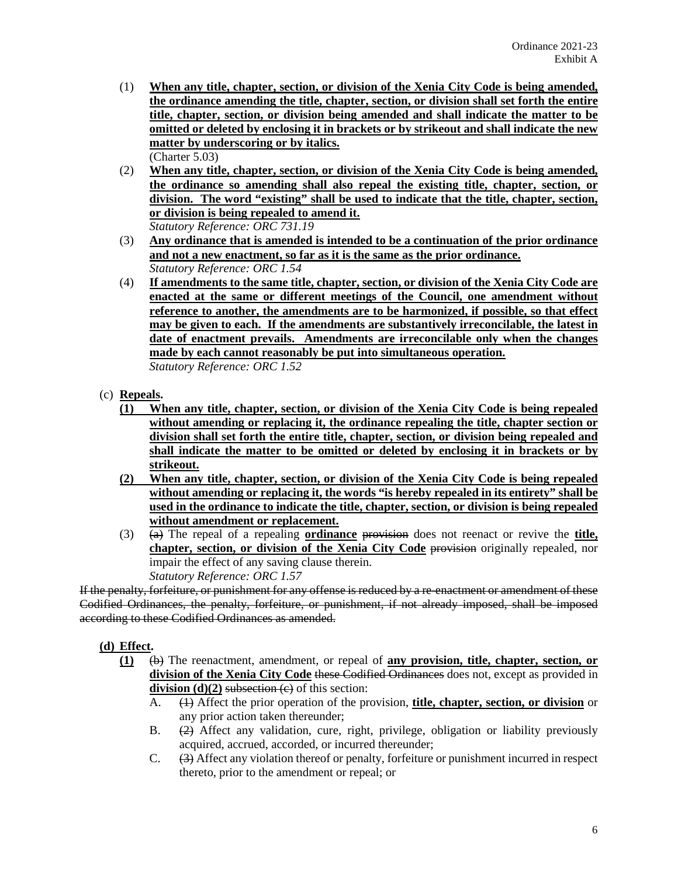- (1) **When any title, chapter, section, or division of the Xenia City Code is being amended, the ordinance amending the title, chapter, section, or division shall set forth the entire title, chapter, section, or division being amended and shall indicate the matter to be omitted or deleted by enclosing it in brackets or by strikeout and shall indicate the new matter by underscoring or by italics.** (Charter 5.03)
- (2) **When any title, chapter, section, or division of the Xenia City Code is being amended, the ordinance so amending shall also repeal the existing title, chapter, section, or division. The word "existing" shall be used to indicate that the title, chapter, section, or division is being repealed to amend it.** *Statutory Reference: ORC 731.19*
- (3) **Any ordinance that is amended is intended to be a continuation of the prior ordinance and not a new enactment, so far as it is the same as the prior ordinance.**  *Statutory Reference: ORC 1.54*
- (4) **If amendments to the same title, chapter, section, or division of the Xenia City Code are enacted at the same or different meetings of the Council, one amendment without reference to another, the amendments are to be harmonized, if possible, so that effect may be given to each. If the amendments are substantively irreconcilable, the latest in date of enactment prevails. Amendments are irreconcilable only when the changes made by each cannot reasonably be put into simultaneous operation.** *Statutory Reference: ORC 1.52*
- (c) **Repeals.**
	- **(1) When any title, chapter, section, or division of the Xenia City Code is being repealed without amending or replacing it, the ordinance repealing the title, chapter section or division shall set forth the entire title, chapter, section, or division being repealed and shall indicate the matter to be omitted or deleted by enclosing it in brackets or by strikeout.**
	- **(2) When any title, chapter, section, or division of the Xenia City Code is being repealed without amending or replacing it, the words "is hereby repealed in its entirety" shall be used in the ordinance to indicate the title, chapter, section, or division is being repealed without amendment or replacement.**
	- (3) (a) The repeal of a repealing **ordinance** provision does not reenact or revive the **title, chapter, section, or division of the Xenia City Code** provision originally repealed, nor impair the effect of any saving clause therein. *Statutory Reference: ORC 1.57*

If the penalty, forfeiture, or punishment for any offense is reduced by a re-enactment or amendment of these Codified Ordinances, the penalty, forfeiture, or punishment, if not already imposed, shall be imposed according to these Codified Ordinances as amended.

- **(d) Effect.**
	- **(1)** (b) The reenactment, amendment, or repeal of **any provision, title, chapter, section, or division of the Xenia City Code** these Codified Ordinances does not, except as provided in **division**  $(d)(2)$  subsection  $(e)$  of this section:
		- A. (1) Affect the prior operation of the provision, **title, chapter, section, or division** or any prior action taken thereunder;
		- B. (2) Affect any validation, cure, right, privilege, obligation or liability previously acquired, accrued, accorded, or incurred thereunder;
		- C. (3) Affect any violation thereof or penalty, forfeiture or punishment incurred in respect thereto, prior to the amendment or repeal; or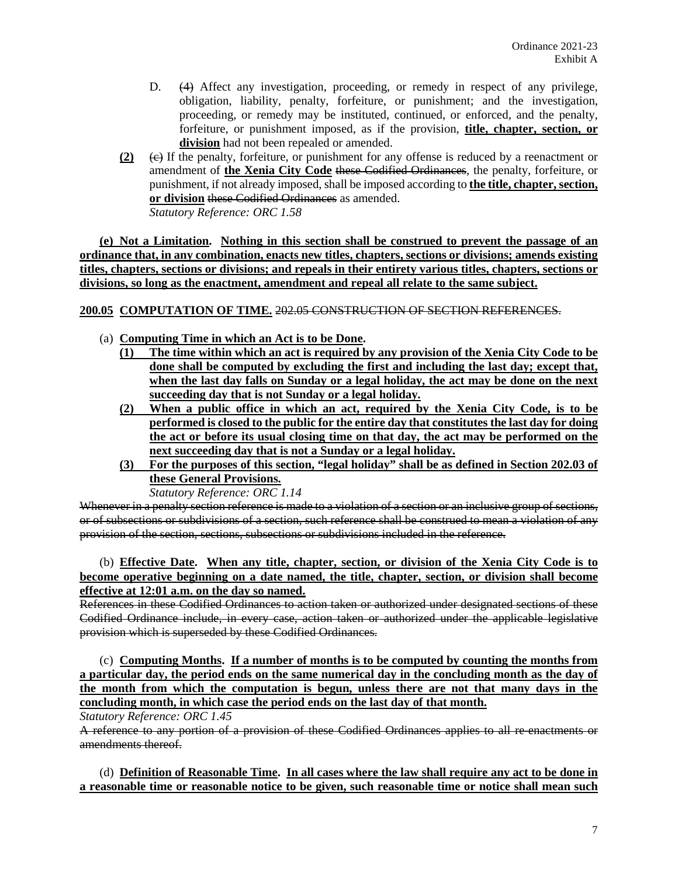- D. (4) Affect any investigation, proceeding, or remedy in respect of any privilege, obligation, liability, penalty, forfeiture, or punishment; and the investigation, proceeding, or remedy may be instituted, continued, or enforced, and the penalty, forfeiture, or punishment imposed, as if the provision, **title, chapter, section, or division** had not been repealed or amended.
- **(2)** (c) If the penalty, forfeiture, or punishment for any offense is reduced by a reenactment or amendment of **the Xenia City Code** these Codified Ordinances, the penalty, forfeiture, or punishment, if not already imposed, shall be imposed according to **the title, chapter, section, or division** these Codified Ordinances as amended. *Statutory Reference: ORC 1.58*

**(e) Not a Limitation. Nothing in this section shall be construed to prevent the passage of an ordinance that, in any combination, enacts new titles, chapters, sections or divisions; amends existing titles, chapters, sections or divisions; and repeals in their entirety various titles, chapters, sections or divisions, so long as the enactment, amendment and repeal all relate to the same subject.** 

**200.05 COMPUTATION OF TIME.** 202.05 CONSTRUCTION OF SECTION REFERENCES.

- (a) **Computing Time in which an Act is to be Done.**
	- **(1) The time within which an act is required by any provision of the Xenia City Code to be done shall be computed by excluding the first and including the last day; except that, when the last day falls on Sunday or a legal holiday, the act may be done on the next succeeding day that is not Sunday or a legal holiday.**
	- **(2) When a public office in which an act, required by the Xenia City Code, is to be performed is closed to the public for the entire day that constitutes the last day for doing the act or before its usual closing time on that day, the act may be performed on the next succeeding day that is not a Sunday or a legal holiday.**
	- **(3) For the purposes of this section, "legal holiday" shall be as defined in Section 202.03 of these General Provisions.** *Statutory Reference: ORC 1.14*

Whenever in a penalty section reference is made to a violation of a section or an inclusive group of sections, or of subsections or subdivisions of a section, such reference shall be construed to mean a violation of any provision of the section, sections, subsections or subdivisions included in the reference.

(b) **Effective Date. When any title, chapter, section, or division of the Xenia City Code is to become operative beginning on a date named, the title, chapter, section, or division shall become effective at 12:01 a.m. on the day so named.** 

References in these Codified Ordinances to action taken or authorized under designated sections of these Codified Ordinance include, in every case, action taken or authorized under the applicable legislative provision which is superseded by these Codified Ordinances.

(c) **Computing Months. If a number of months is to be computed by counting the months from a particular day, the period ends on the same numerical day in the concluding month as the day of the month from which the computation is begun, unless there are not that many days in the concluding month, in which case the period ends on the last day of that month.**

*Statutory Reference: ORC 1.45*

A reference to any portion of a provision of these Codified Ordinances applies to all re-enactments or amendments thereof.

(d) **Definition of Reasonable Time. In all cases where the law shall require any act to be done in a reasonable time or reasonable notice to be given, such reasonable time or notice shall mean such**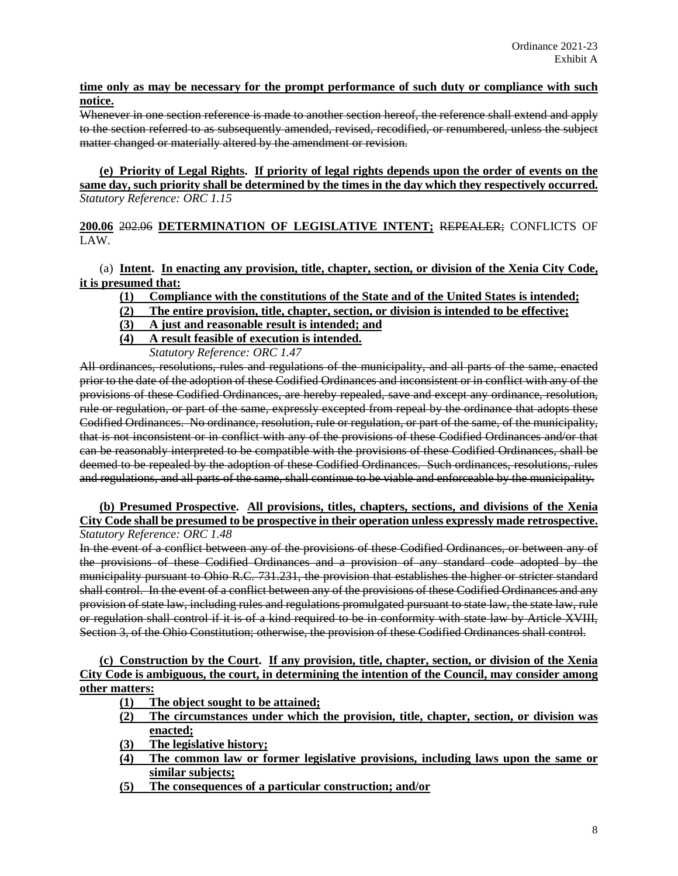# **time only as may be necessary for the prompt performance of such duty or compliance with such notice.**

Whenever in one section reference is made to another section hereof, the reference shall extend and apply to the section referred to as subsequently amended, revised, recodified, or renumbered, unless the subject matter changed or materially altered by the amendment or revision.

**(e) Priority of Legal Rights. If priority of legal rights depends upon the order of events on the same day, such priority shall be determined by the times in the day which they respectively occurred.** *Statutory Reference: ORC 1.15*

**200.06** 202.06 **DETERMINATION OF LEGISLATIVE INTENT;** REPEALER; CONFLICTS OF LAW.

(a) **Intent. In enacting any provision, title, chapter, section, or division of the Xenia City Code, it is presumed that:**

- **(1) Compliance with the constitutions of the State and of the United States is intended;**
- **(2) The entire provision, title, chapter, section, or division is intended to be effective;**
- **(3) A just and reasonable result is intended; and**
- **(4) A result feasible of execution is intended.**

*Statutory Reference: ORC 1.47*

All ordinances, resolutions, rules and regulations of the municipality, and all parts of the same, enacted prior to the date of the adoption of these Codified Ordinances and inconsistent or in conflict with any of the provisions of these Codified Ordinances, are hereby repealed, save and except any ordinance, resolution, rule or regulation, or part of the same, expressly excepted from repeal by the ordinance that adopts these Codified Ordinances. No ordinance, resolution, rule or regulation, or part of the same, of the municipality, that is not inconsistent or in conflict with any of the provisions of these Codified Ordinances and/or that can be reasonably interpreted to be compatible with the provisions of these Codified Ordinances, shall be deemed to be repealed by the adoption of these Codified Ordinances. Such ordinances, resolutions, rules and regulations, and all parts of the same, shall continue to be viable and enforceable by the municipality.

## **(b) Presumed Prospective. All provisions, titles, chapters, sections, and divisions of the Xenia City Code shall be presumed to be prospective in their operation unless expressly made retrospective.** *Statutory Reference: ORC 1.48*

In the event of a conflict between any of the provisions of these Codified Ordinances, or between any of the provisions of these Codified Ordinances and a provision of any standard code adopted by the municipality pursuant to Ohio R.C. 731.231, the provision that establishes the higher or stricter standard shall control. In the event of a conflict between any of the provisions of these Codified Ordinances and any provision of state law, including rules and regulations promulgated pursuant to state law, the state law, rule or regulation shall control if it is of a kind required to be in conformity with state law by Article XVIII, Section 3, of the Ohio Constitution; otherwise, the provision of these Codified Ordinances shall control.

**(c) Construction by the Court. If any provision, title, chapter, section, or division of the Xenia City Code is ambiguous, the court, in determining the intention of the Council, may consider among other matters:**

- **(1) The object sought to be attained;**
- **(2) The circumstances under which the provision, title, chapter, section, or division was enacted;**
- **(3) The legislative history;**
- **(4) The common law or former legislative provisions, including laws upon the same or similar subjects;**
- **(5) The consequences of a particular construction; and/or**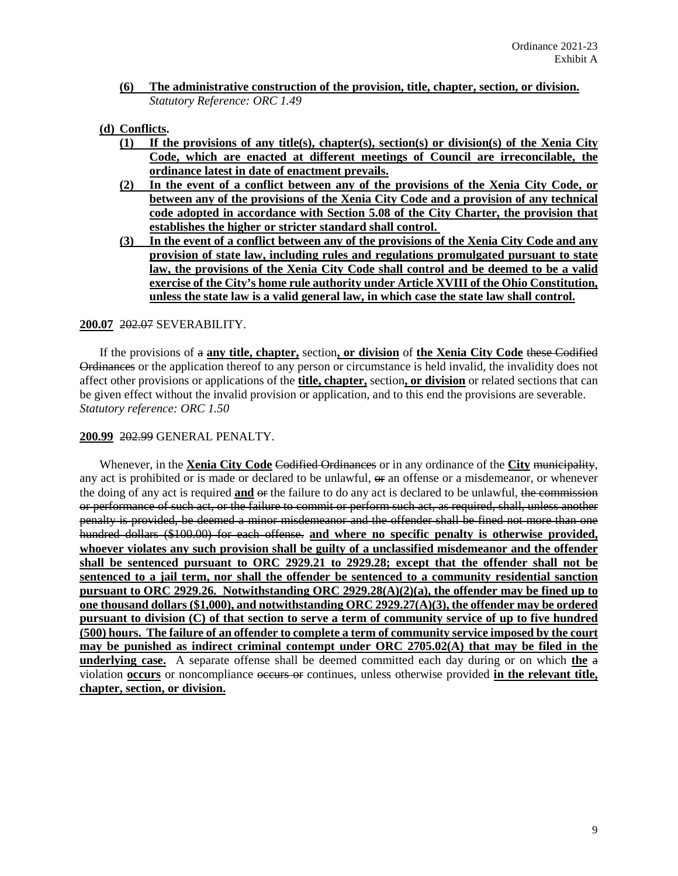**(6) The administrative construction of the provision, title, chapter, section, or division.**  *Statutory Reference: ORC 1.49*

#### **(d) Conflicts.**

- **(1) If the provisions of any title(s), chapter(s), section(s) or division(s) of the Xenia City Code, which are enacted at different meetings of Council are irreconcilable, the ordinance latest in date of enactment prevails.**
- **(2) In the event of a conflict between any of the provisions of the Xenia City Code, or between any of the provisions of the Xenia City Code and a provision of any technical code adopted in accordance with Section 5.08 of the City Charter, the provision that establishes the higher or stricter standard shall control.**
- **(3) In the event of a conflict between any of the provisions of the Xenia City Code and any provision of state law, including rules and regulations promulgated pursuant to state law, the provisions of the Xenia City Code shall control and be deemed to be a valid exercise of the City's home rule authority under Article XVIII of the Ohio Constitution, unless the state law is a valid general law, in which case the state law shall control.**

## **200.07** 202.07 SEVERABILITY.

If the provisions of a **any title, chapter,** section**, or division** of **the Xenia City Code** these Codified Ordinances or the application thereof to any person or circumstance is held invalid, the invalidity does not affect other provisions or applications of the **title, chapter,** section**, or division** or related sections that can be given effect without the invalid provision or application, and to this end the provisions are severable. *Statutory reference: ORC 1.50*

## **200.99** 202.99 GENERAL PENALTY.

Whenever, in the **Xenia City Code** Codified Ordinances or in any ordinance of the **City** municipality, any act is prohibited or is made or declared to be unlawful,  $\Theta$  an offense or a misdemeanor, or whenever the doing of any act is required **and** or the failure to do any act is declared to be unlawful, the commission or performance of such act, or the failure to commit or perform such act, as required, shall, unless another penalty is provided, be deemed a minor misdemeanor and the offender shall be fined not more than one hundred dollars (\$100.00) for each offense. **and where no specific penalty is otherwise provided, whoever violates any such provision shall be guilty of a unclassified misdemeanor and the offender shall be sentenced pursuant to ORC 2929.21 to 2929.28; except that the offender shall not be sentenced to a jail term, nor shall the offender be sentenced to a community residential sanction pursuant to ORC 2929.26. Notwithstanding ORC 2929.28(A)(2)(a), the offender may be fined up to one thousand dollars (\$1,000), and notwithstanding ORC 2929.27(A)(3), the offender may be ordered pursuant to division (C) of that section to serve a term of community service of up to five hundred (500) hours. The failure of an offender to complete a term of community service imposed by the court may be punished as indirect criminal contempt under ORC 2705.02(A) that may be filed in the underlying case.** A separate offense shall be deemed committed each day during or on which **the** a violation **occurs** or noncompliance occurs or continues, unless otherwise provided **in the relevant title, chapter, section, or division.**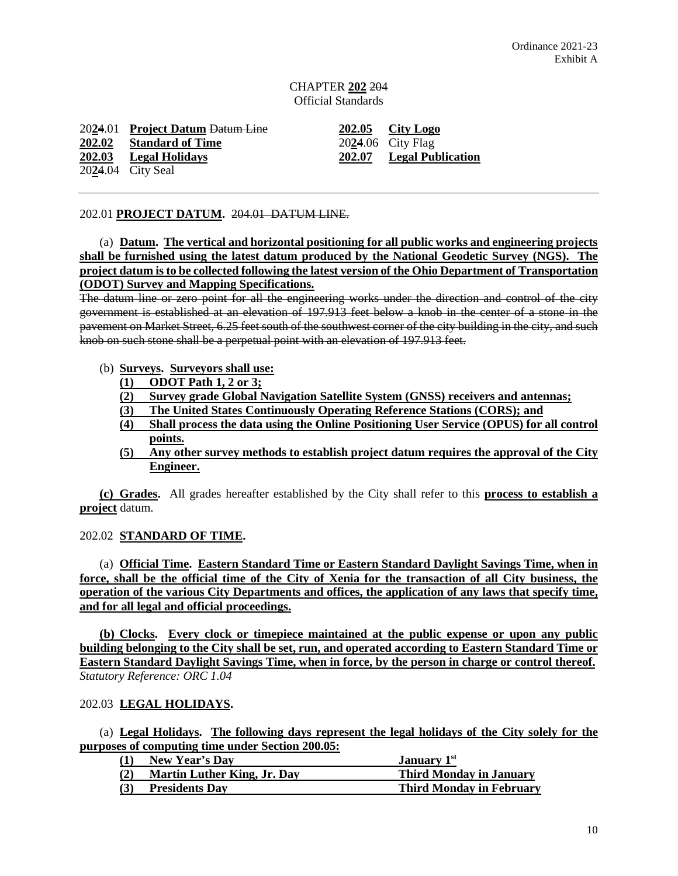# CHAPTER **202** 204 Official Standards

20**2**4.01 **Project Datum** Datum Line **202.05 City Logo 202.02 Standard of Time** 20**2**4.06 City Flag 20**2**4.04 City Seal

**202.03 Legal Holidays 202.07 Legal Publication**

## 202.01 **PROJECT DATUM.** 204.01 DATUM LINE.

(a) **Datum. The vertical and horizontal positioning for all public works and engineering projects shall be furnished using the latest datum produced by the National Geodetic Survey (NGS). The project datum is to be collected following the latest version of the Ohio Department of Transportation (ODOT) Survey and Mapping Specifications.**

The datum line or zero point for all the engineering works under the direction and control of the city government is established at an elevation of 197.913 feet below a knob in the center of a stone in the pavement on Market Street, 6.25 feet south of the southwest corner of the city building in the city, and such knob on such stone shall be a perpetual point with an elevation of 197.913 feet.

#### (b) **Surveys. Surveyors shall use:**

- **(1) ODOT Path 1, 2 or 3;**
- **(2) Survey grade Global Navigation Satellite System (GNSS) receivers and antennas;**
- **(3) The United States Continuously Operating Reference Stations (CORS); and**
- **(4) Shall process the data using the Online Positioning User Service (OPUS) for all control points.**
- **(5) Any other survey methods to establish project datum requires the approval of the City Engineer.**

**(c) Grades.** All grades hereafter established by the City shall refer to this **process to establish a project** datum.

# 202.02 **STANDARD OF TIME.**

(a) **Official Time. Eastern Standard Time or Eastern Standard Daylight Savings Time, when in force, shall be the official time of the City of Xenia for the transaction of all City business, the operation of the various City Departments and offices, the application of any laws that specify time, and for all legal and official proceedings.**

**(b) Clocks. Every clock or timepiece maintained at the public expense or upon any public building belonging to the City shall be set, run, and operated according to Eastern Standard Time or Eastern Standard Daylight Savings Time, when in force, by the person in charge or control thereof.** *Statutory Reference: ORC 1.04*

# 202.03 **LEGAL HOLIDAYS.**

(a) **Legal Holidays. The following days represent the legal holidays of the City solely for the purposes of computing time under Section 200.05:** 

| (1) | New Year's Day                     | <b>January</b> 1st              |
|-----|------------------------------------|---------------------------------|
| (2) | <b>Martin Luther King, Jr. Day</b> | <b>Third Monday in January</b>  |
| (3) | <b>Presidents Day</b>              | <b>Third Monday in February</b> |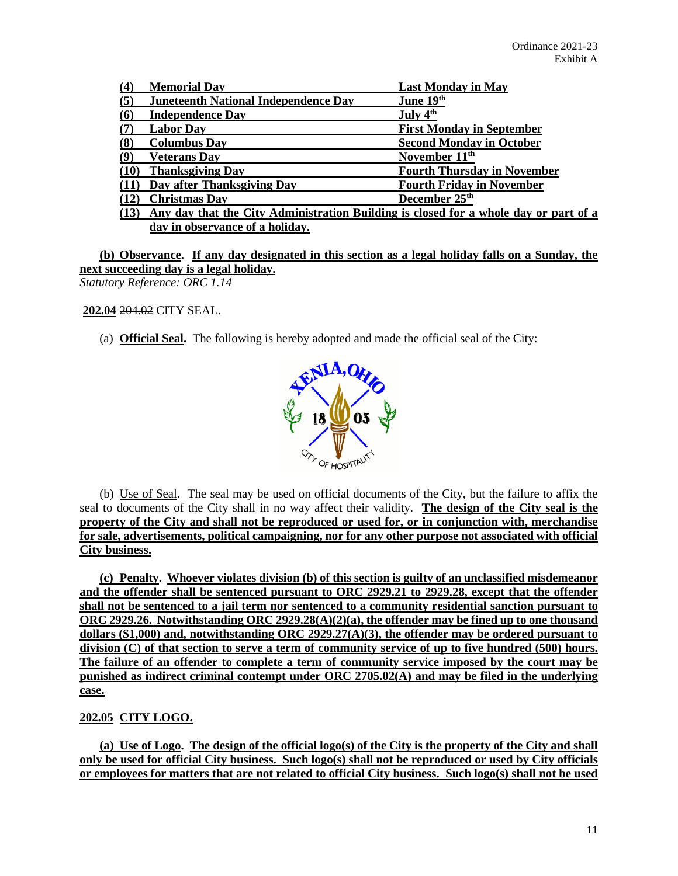| (4)                     | <b>Memorial Day</b>                         | <b>Last Monday in May</b>                                                            |
|-------------------------|---------------------------------------------|--------------------------------------------------------------------------------------|
| (5)                     | <b>Juneteenth National Independence Day</b> | June 19th                                                                            |
| $\overline{\mathbf{6}}$ | <b>Independence Day</b>                     | July 4 <sup>th</sup>                                                                 |
|                         | <b>Labor Day</b>                            | <b>First Monday in September</b>                                                     |
| (8)                     | <b>Columbus Day</b>                         | <b>Second Monday in October</b>                                                      |
| $\left(9\right)$        | <b>Veterans Dav</b>                         | November 11 <sup>th</sup>                                                            |
| (10)                    | <b>Thanksgiving Day</b>                     | <b>Fourth Thursday in November</b>                                                   |
|                         | Day after Thanksgiving Day                  | <b>Fourth Friday in November</b>                                                     |
|                         | <b>Christmas Day</b>                        | December 25 <sup>th</sup>                                                            |
| (13)                    |                                             | Any day that the City Administration Building is closed for a whole day or part of a |
|                         | day in observance of a holiday.             |                                                                                      |

**(b) Observance. If any day designated in this section as a legal holiday falls on a Sunday, the next succeeding day is a legal holiday.** *Statutory Reference: ORC 1.14*

**202.04** 204.02 CITY SEAL.

(a) **Official Seal.** The following is hereby adopted and made the official seal of the City:



(b) Use of Seal. The seal may be used on official documents of the City, but the failure to affix the seal to documents of the City shall in no way affect their validity. **The design of the City seal is the property of the City and shall not be reproduced or used for, or in conjunction with, merchandise for sale, advertisements, political campaigning, nor for any other purpose not associated with official City business.**

**(c) Penalty. Whoever violates division (b) of this section is guilty of an unclassified misdemeanor and the offender shall be sentenced pursuant to ORC 2929.21 to 2929.28, except that the offender shall not be sentenced to a jail term nor sentenced to a community residential sanction pursuant to ORC 2929.26. Notwithstanding ORC 2929.28(A)(2)(a), the offender may be fined up to one thousand dollars (\$1,000) and, notwithstanding ORC 2929.27(A)(3), the offender may be ordered pursuant to division (C) of that section to serve a term of community service of up to five hundred (500) hours. The failure of an offender to complete a term of community service imposed by the court may be punished as indirect criminal contempt under ORC 2705.02(A) and may be filed in the underlying case.**

# **202.05 CITY LOGO.**

**(a) Use of Logo. The design of the official logo(s) of the City is the property of the City and shall only be used for official City business. Such logo(s) shall not be reproduced or used by City officials or employees for matters that are not related to official City business. Such logo(s) shall not be used**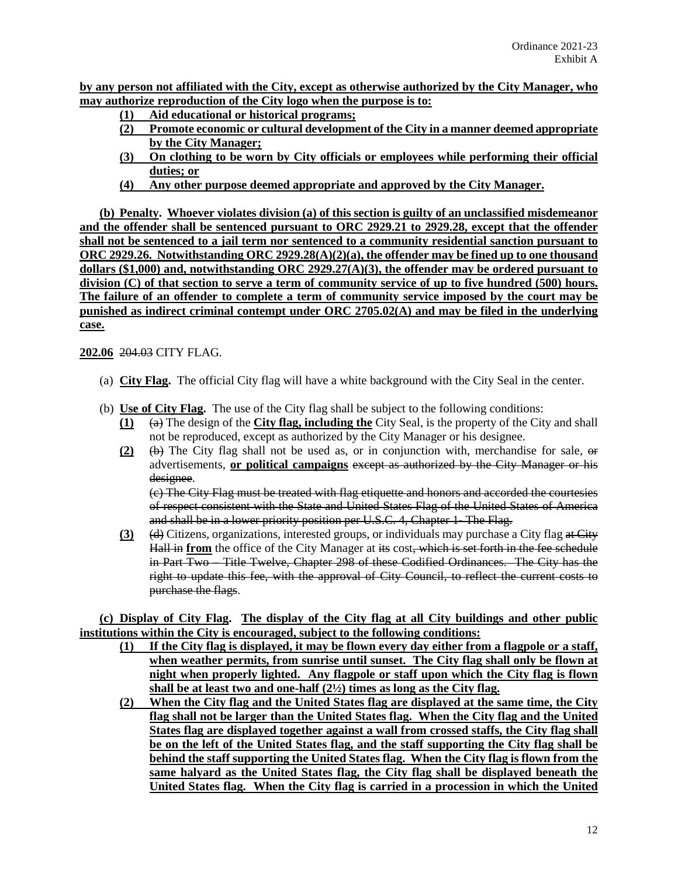**by any person not affiliated with the City, except as otherwise authorized by the City Manager, who may authorize reproduction of the City logo when the purpose is to:**

- **(1) Aid educational or historical programs;**
- **(2) Promote economic or cultural development of the City in a manner deemed appropriate by the City Manager;**
- **(3) On clothing to be worn by City officials or employees while performing their official duties; or**
- **(4) Any other purpose deemed appropriate and approved by the City Manager.**

**(b) Penalty. Whoever violates division (a) of this section is guilty of an unclassified misdemeanor and the offender shall be sentenced pursuant to ORC 2929.21 to 2929.28, except that the offender shall not be sentenced to a jail term nor sentenced to a community residential sanction pursuant to ORC 2929.26. Notwithstanding ORC 2929.28(A)(2)(a), the offender may be fined up to one thousand dollars (\$1,000) and, notwithstanding ORC 2929.27(A)(3), the offender may be ordered pursuant to division (C) of that section to serve a term of community service of up to five hundred (500) hours. The failure of an offender to complete a term of community service imposed by the court may be punished as indirect criminal contempt under ORC 2705.02(A) and may be filed in the underlying case.**

**202.06** 204.03 CITY FLAG.

- (a) **City Flag.** The official City flag will have a white background with the City Seal in the center.
- (b) **Use of City Flag.** The use of the City flag shall be subject to the following conditions:
	- **(1)** (a) The design of the **City flag, including the** City Seal, is the property of the City and shall not be reproduced, except as authorized by the City Manager or his designee.
	- **(2)** (b) The City flag shall not be used as, or in conjunction with, merchandise for sale, or advertisements, **or political campaigns** except as authorized by the City Manager or his designee.

(c) The City Flag must be treated with flag etiquette and honors and accorded the courtesies of respect consistent with the State and United States Flag of the United States of America and shall be in a lower priority position per U.S.C. 4, Chapter 1- The Flag.

**(3)** (d) Citizens, organizations, interested groups, or individuals may purchase a City flag at City Hall in **from** the office of the City Manager at its cost, which is set forth in the fee schedule in Part Two – Title Twelve, Chapter 298 of these Codified Ordinances. The City has the right to update this fee, with the approval of City Council, to reflect the current costs to purchase the flags.

**(c) Display of City Flag. The display of the City flag at all City buildings and other public institutions within the City is encouraged, subject to the following conditions:**

- **(1) If the City flag is displayed, it may be flown every day either from a flagpole or a staff, when weather permits, from sunrise until sunset. The City flag shall only be flown at night when properly lighted. Any flagpole or staff upon which the City flag is flown shall be at least two and one-half (2½) times as long as the City flag.**
- **(2) When the City flag and the United States flag are displayed at the same time, the City flag shall not be larger than the United States flag. When the City flag and the United States flag are displayed together against a wall from crossed staffs, the City flag shall be on the left of the United States flag, and the staff supporting the City flag shall be behind the staff supporting the United States flag. When the City flag is flown from the same halyard as the United States flag, the City flag shall be displayed beneath the United States flag. When the City flag is carried in a procession in which the United**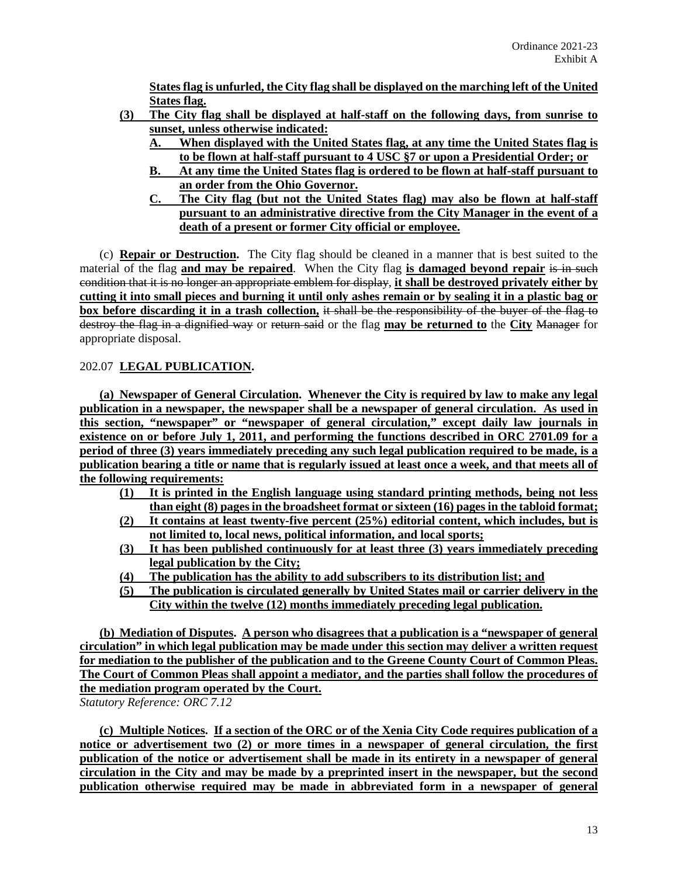**States flag is unfurled, the City flag shall be displayed on the marching left of the United States flag.**

- **(3) The City flag shall be displayed at half-staff on the following days, from sunrise to sunset, unless otherwise indicated:**
	- **A. When displayed with the United States flag, at any time the United States flag is to be flown at half-staff pursuant to 4 USC §7 or upon a Presidential Order; or**
	- **B. At any time the United States flag is ordered to be flown at half-staff pursuant to an order from the Ohio Governor.**
	- **C. The City flag (but not the United States flag) may also be flown at half-staff pursuant to an administrative directive from the City Manager in the event of a death of a present or former City official or employee.**

(c) **Repair or Destruction.** The City flag should be cleaned in a manner that is best suited to the material of the flag **and may be repaired**. When the City flag **is damaged beyond repair** is in such condition that it is no longer an appropriate emblem for display, **it shall be destroyed privately either by cutting it into small pieces and burning it until only ashes remain or by sealing it in a plastic bag or box before discarding it in a trash collection,** it shall be the responsibility of the buyer of the flag to destroy the flag in a dignified way or return said or the flag **may be returned to** the **City** Manager for appropriate disposal.

# 202.07 **LEGAL PUBLICATION.**

**(a) Newspaper of General Circulation. Whenever the City is required by law to make any legal publication in a newspaper, the newspaper shall be a newspaper of general circulation. As used in this section, "newspaper" or "newspaper of general circulation," except daily law journals in existence on or before July 1, 2011, and performing the functions described in ORC 2701.09 for a period of three (3) years immediately preceding any such legal publication required to be made, is a publication bearing a title or name that is regularly issued at least once a week, and that meets all of the following requirements:**

- **(1) It is printed in the English language using standard printing methods, being not less than eight (8) pages in the broadsheet format or sixteen (16) pages in the tabloid format;**
- **(2) It contains at least twenty-five percent (25%) editorial content, which includes, but is not limited to, local news, political information, and local sports;**
- **(3) It has been published continuously for at least three (3) years immediately preceding legal publication by the City;**
- **(4) The publication has the ability to add subscribers to its distribution list; and**
- **(5) The publication is circulated generally by United States mail or carrier delivery in the City within the twelve (12) months immediately preceding legal publication.**

**(b) Mediation of Disputes. A person who disagrees that a publication is a "newspaper of general circulation" in which legal publication may be made under this section may deliver a written request for mediation to the publisher of the publication and to the Greene County Court of Common Pleas. The Court of Common Pleas shall appoint a mediator, and the parties shall follow the procedures of the mediation program operated by the Court.** *Statutory Reference: ORC 7.12*

**(c) Multiple Notices. If a section of the ORC or of the Xenia City Code requires publication of a notice or advertisement two (2) or more times in a newspaper of general circulation, the first publication of the notice or advertisement shall be made in its entirety in a newspaper of general circulation in the City and may be made by a preprinted insert in the newspaper, but the second publication otherwise required may be made in abbreviated form in a newspaper of general**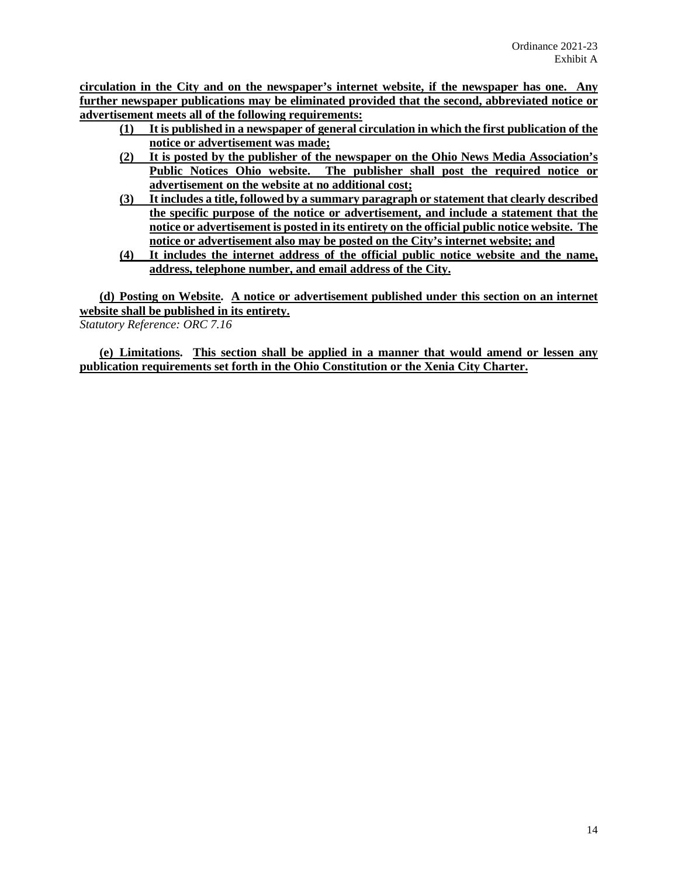**circulation in the City and on the newspaper's internet website, if the newspaper has one. Any further newspaper publications may be eliminated provided that the second, abbreviated notice or advertisement meets all of the following requirements:**

- **(1) It is published in a newspaper of general circulation in which the first publication of the notice or advertisement was made;**
- **(2) It is posted by the publisher of the newspaper on the Ohio News Media Association's Public Notices Ohio website. The publisher shall post the required notice or advertisement on the website at no additional cost;**
- **(3) It includes a title, followed by a summary paragraph or statement that clearly described the specific purpose of the notice or advertisement, and include a statement that the notice or advertisement is posted in its entirety on the official public notice website. The notice or advertisement also may be posted on the City's internet website; and**
- **(4) It includes the internet address of the official public notice website and the name, address, telephone number, and email address of the City.**

**(d) Posting on Website. A notice or advertisement published under this section on an internet website shall be published in its entirety.**

*Statutory Reference: ORC 7.16*

**(e) Limitations. This section shall be applied in a manner that would amend or lessen any publication requirements set forth in the Ohio Constitution or the Xenia City Charter.**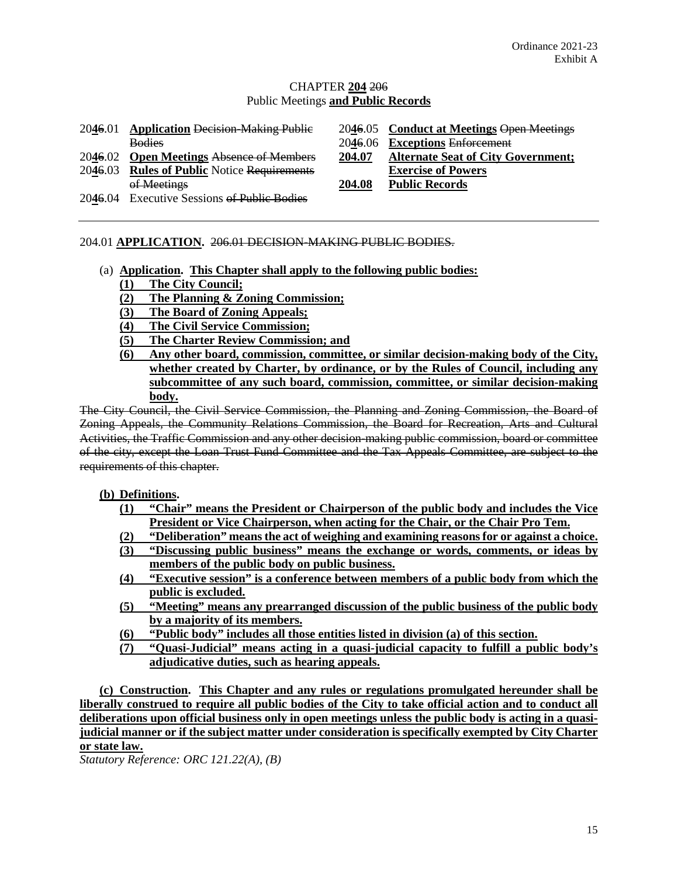# CHAPTER **204** 206 Public Meetings **and Public Records**

| 2046.01 | <b>Application Decision-Making Public</b>   |         | 2046.05 Conduct at Meetings Open Meetings |
|---------|---------------------------------------------|---------|-------------------------------------------|
|         | <b>Bodies</b>                               | 2046.06 | <b>Exceptions Enforcement</b>             |
|         | 2046.02 Open Meetings Absence of Members    | 204.07  | <b>Alternate Seat of City Government;</b> |
|         | 2046.03 Rules of Public Notice Requirements |         | <b>Exercise of Powers</b>                 |
|         | of Meetings                                 | 204.08  | <b>Public Records</b>                     |
|         | 2046.04 Executive Sessions of Public Bodies |         |                                           |

# 204.01 **APPLICATION.** 206.01 DECISION-MAKING PUBLIC BODIES.

- (a) **Application. This Chapter shall apply to the following public bodies: (1) The City Council;**
	- **(2) The Planning & Zoning Commission;**
	- **(3) The Board of Zoning Appeals;**
	- **(4) The Civil Service Commission;**
	- **(5) The Charter Review Commission; and**
	- **(6) Any other board, commission, committee, or similar decision-making body of the City, whether created by Charter, by ordinance, or by the Rules of Council, including any subcommittee of any such board, commission, committee, or similar decision-making body.**

The City Council, the Civil Service Commission, the Planning and Zoning Commission, the Board of Zoning Appeals, the Community Relations Commission, the Board for Recreation, Arts and Cultural Activities, the Traffic Commission and any other decision-making public commission, board or committee of the city, except the Loan Trust Fund Committee and the Tax Appeals Committee, are subject to the requirements of this chapter.

# **(b) Definitions.**

- **(1) "Chair" means the President or Chairperson of the public body and includes the Vice President or Vice Chairperson, when acting for the Chair, or the Chair Pro Tem.**
- **(2) "Deliberation" means the act of weighing and examining reasons for or against a choice.**
- **(3) "Discussing public business" means the exchange or words, comments, or ideas by members of the public body on public business.**
- **(4) "Executive session" is a conference between members of a public body from which the public is excluded.**
- **(5) "Meeting" means any prearranged discussion of the public business of the public body by a majority of its members.**
- **(6) "Public body" includes all those entities listed in division (a) of this section.**
- **(7) "Quasi-Judicial" means acting in a quasi-judicial capacity to fulfill a public body's adjudicative duties, such as hearing appeals.**

**(c) Construction. This Chapter and any rules or regulations promulgated hereunder shall be liberally construed to require all public bodies of the City to take official action and to conduct all deliberations upon official business only in open meetings unless the public body is acting in a quasijudicial manner or if the subject matter under consideration is specifically exempted by City Charter or state law.**

*Statutory Reference: ORC 121.22(A), (B)*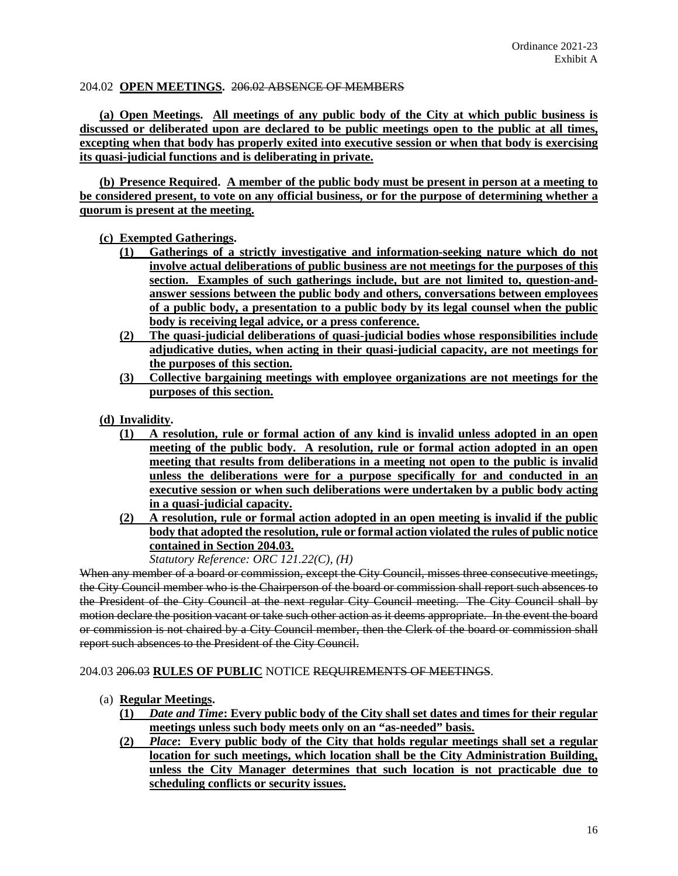## 204.02 **OPEN MEETINGS.** 206.02 ABSENCE OF MEMBERS

**(a) Open Meetings. All meetings of any public body of the City at which public business is discussed or deliberated upon are declared to be public meetings open to the public at all times, excepting when that body has properly exited into executive session or when that body is exercising its quasi-judicial functions and is deliberating in private.**

**(b) Presence Required. A member of the public body must be present in person at a meeting to be considered present, to vote on any official business, or for the purpose of determining whether a quorum is present at the meeting.**

# **(c) Exempted Gatherings.**

- **(1) Gatherings of a strictly investigative and information-seeking nature which do not involve actual deliberations of public business are not meetings for the purposes of this section. Examples of such gatherings include, but are not limited to, question-andanswer sessions between the public body and others, conversations between employees of a public body, a presentation to a public body by its legal counsel when the public body is receiving legal advice, or a press conference.**
- **(2) The quasi-judicial deliberations of quasi-judicial bodies whose responsibilities include adjudicative duties, when acting in their quasi-judicial capacity, are not meetings for the purposes of this section.**
- **(3) Collective bargaining meetings with employee organizations are not meetings for the purposes of this section.**
- **(d) Invalidity.** 
	- **(1) A resolution, rule or formal action of any kind is invalid unless adopted in an open meeting of the public body. A resolution, rule or formal action adopted in an open meeting that results from deliberations in a meeting not open to the public is invalid unless the deliberations were for a purpose specifically for and conducted in an executive session or when such deliberations were undertaken by a public body acting in a quasi-judicial capacity.**
	- **(2) A resolution, rule or formal action adopted in an open meeting is invalid if the public body that adopted the resolution, rule or formal action violated the rules of public notice contained in Section 204.03.**

*Statutory Reference: ORC 121.22(C), (H)*

When any member of a board or commission, except the City Council, misses three consecutive meetings, the City Council member who is the Chairperson of the board or commission shall report such absences to the President of the City Council at the next regular City Council meeting. The City Council shall by motion declare the position vacant or take such other action as it deems appropriate. In the event the board or commission is not chaired by a City Council member, then the Clerk of the board or commission shall report such absences to the President of the City Council.

204.03 206.03 **RULES OF PUBLIC** NOTICE REQUIREMENTS OF MEETINGS.

- (a) **Regular Meetings.** 
	- **(1)** *Date and Time***: Every public body of the City shall set dates and times for their regular meetings unless such body meets only on an "as-needed" basis.**
	- **(2)** *Place***: Every public body of the City that holds regular meetings shall set a regular location for such meetings, which location shall be the City Administration Building, unless the City Manager determines that such location is not practicable due to scheduling conflicts or security issues.**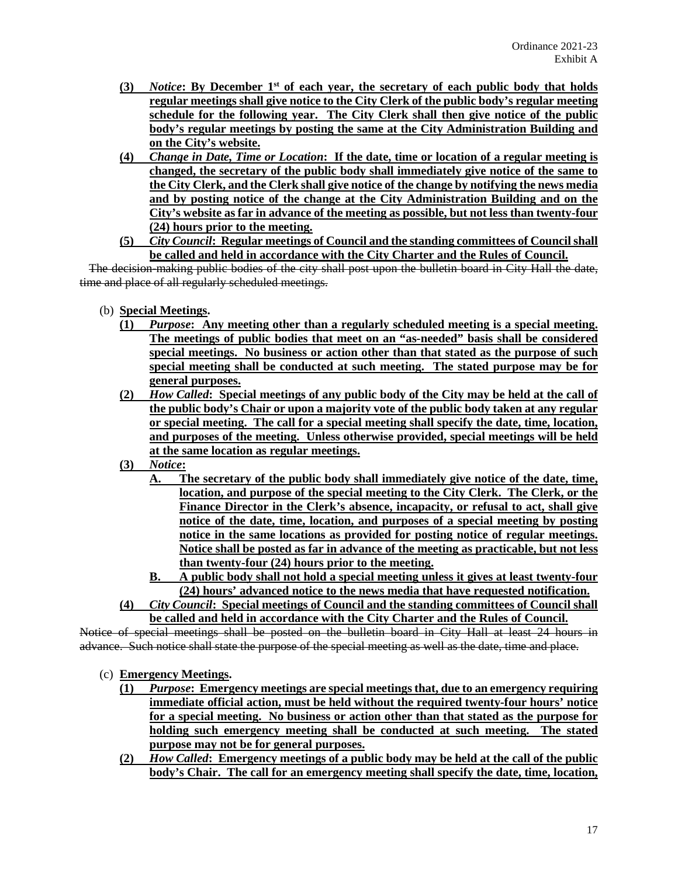- **(3)** *Notice***: By December 1st of each year, the secretary of each public body that holds regular meetings shall give notice to the City Clerk of the public body's regular meeting schedule for the following year. The City Clerk shall then give notice of the public body's regular meetings by posting the same at the City Administration Building and on the City's website.**
- **(4)** *Change in Date, Time or Location***: If the date, time or location of a regular meeting is changed, the secretary of the public body shall immediately give notice of the same to the City Clerk, and the Clerk shall give notice of the change by notifying the news media and by posting notice of the change at the City Administration Building and on the City's website as far in advance of the meeting as possible, but not less than twenty-four (24) hours prior to the meeting.**
- **(5)** *City Council***: Regular meetings of Council and the standing committees of Council shall be called and held in accordance with the City Charter and the Rules of Council.**

 The decision-making public bodies of the city shall post upon the bulletin board in City Hall the date, time and place of all regularly scheduled meetings.

- (b) **Special Meetings.**
	- **(1)** *Purpose***: Any meeting other than a regularly scheduled meeting is a special meeting. The meetings of public bodies that meet on an "as-needed" basis shall be considered special meetings. No business or action other than that stated as the purpose of such special meeting shall be conducted at such meeting. The stated purpose may be for general purposes.**
	- **(2)** *How Called***: Special meetings of any public body of the City may be held at the call of the public body's Chair or upon a majority vote of the public body taken at any regular or special meeting. The call for a special meeting shall specify the date, time, location, and purposes of the meeting. Unless otherwise provided, special meetings will be held at the same location as regular meetings.**
	- **(3)** *Notice***:** 
		- **A. The secretary of the public body shall immediately give notice of the date, time, location, and purpose of the special meeting to the City Clerk. The Clerk, or the Finance Director in the Clerk's absence, incapacity, or refusal to act, shall give notice of the date, time, location, and purposes of a special meeting by posting notice in the same locations as provided for posting notice of regular meetings. Notice shall be posted as far in advance of the meeting as practicable, but not less than twenty-four (24) hours prior to the meeting.**
		- **B. A public body shall not hold a special meeting unless it gives at least twenty-four (24) hours' advanced notice to the news media that have requested notification.**
	- **(4)** *City Council***: Special meetings of Council and the standing committees of Council shall be called and held in accordance with the City Charter and the Rules of Council.**

Notice of special meetings shall be posted on the bulletin board in City Hall at least 24 hours in advance. Such notice shall state the purpose of the special meeting as well as the date, time and place.

- (c) **Emergency Meetings.**
	- **(1)** *Purpose***: Emergency meetings are special meetings that, due to an emergency requiring immediate official action, must be held without the required twenty-four hours' notice for a special meeting. No business or action other than that stated as the purpose for holding such emergency meeting shall be conducted at such meeting. The stated purpose may not be for general purposes.**
	- **(2)** *How Called***: Emergency meetings of a public body may be held at the call of the public body's Chair. The call for an emergency meeting shall specify the date, time, location,**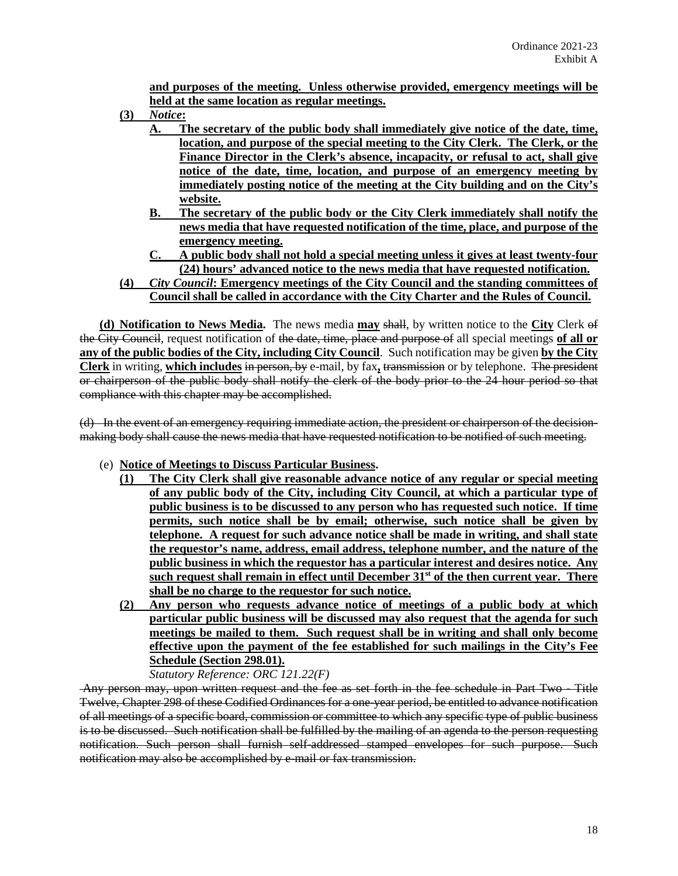**and purposes of the meeting. Unless otherwise provided, emergency meetings will be held at the same location as regular meetings.** 

- **(3)** *Notice***:** 
	- **A. The secretary of the public body shall immediately give notice of the date, time, location, and purpose of the special meeting to the City Clerk. The Clerk, or the Finance Director in the Clerk's absence, incapacity, or refusal to act, shall give notice of the date, time, location, and purpose of an emergency meeting by immediately posting notice of the meeting at the City building and on the City's website.**
		- **B. The secretary of the public body or the City Clerk immediately shall notify the news media that have requested notification of the time, place, and purpose of the emergency meeting.**
	- **C. A public body shall not hold a special meeting unless it gives at least twenty-four (24) hours' advanced notice to the news media that have requested notification.**
- **(4)** *City Council***: Emergency meetings of the City Council and the standing committees of Council shall be called in accordance with the City Charter and the Rules of Council.**

**(d) Notification to News Media.** The news media **may** shall, by written notice to the **City** Clerk of the City Council, request notification of the date, time, place and purpose of all special meetings **of all or any of the public bodies of the City, including City Council**. Such notification may be given **by the City Clerk** in writing, **which includes** in person, by e-mail, by fax**,** transmission or by telephone. The president or chairperson of the public body shall notify the clerk of the body prior to the 24 hour period so that compliance with this chapter may be accomplished.

(d) In the event of an emergency requiring immediate action, the president or chairperson of the decisionmaking body shall cause the news media that have requested notification to be notified of such meeting.

- (e) **Notice of Meetings to Discuss Particular Business.**
	- **(1) The City Clerk shall give reasonable advance notice of any regular or special meeting of any public body of the City, including City Council, at which a particular type of public business is to be discussed to any person who has requested such notice. If time permits, such notice shall be by email; otherwise, such notice shall be given by telephone. A request for such advance notice shall be made in writing, and shall state the requestor's name, address, email address, telephone number, and the nature of the public business in which the requestor has a particular interest and desires notice. Any such request shall remain in effect until December 31st of the then current year. There shall be no charge to the requestor for such notice.**
	- **(2) Any person who requests advance notice of meetings of a public body at which particular public business will be discussed may also request that the agenda for such meetings be mailed to them. Such request shall be in writing and shall only become effective upon the payment of the fee established for such mailings in the City's Fee Schedule (Section 298.01).**

*Statutory Reference: ORC 121.22(F)*

Any person may, upon written request and the fee as set forth in the fee schedule in Part Two - Title Twelve, Chapter 298 of these Codified Ordinances for a one-year period, be entitled to advance notification of all meetings of a specific board, commission or committee to which any specific type of public business is to be discussed. Such notification shall be fulfilled by the mailing of an agenda to the person requesting notification. Such person shall furnish self-addressed stamped envelopes for such purpose. Such notification may also be accomplished by e-mail or fax transmission.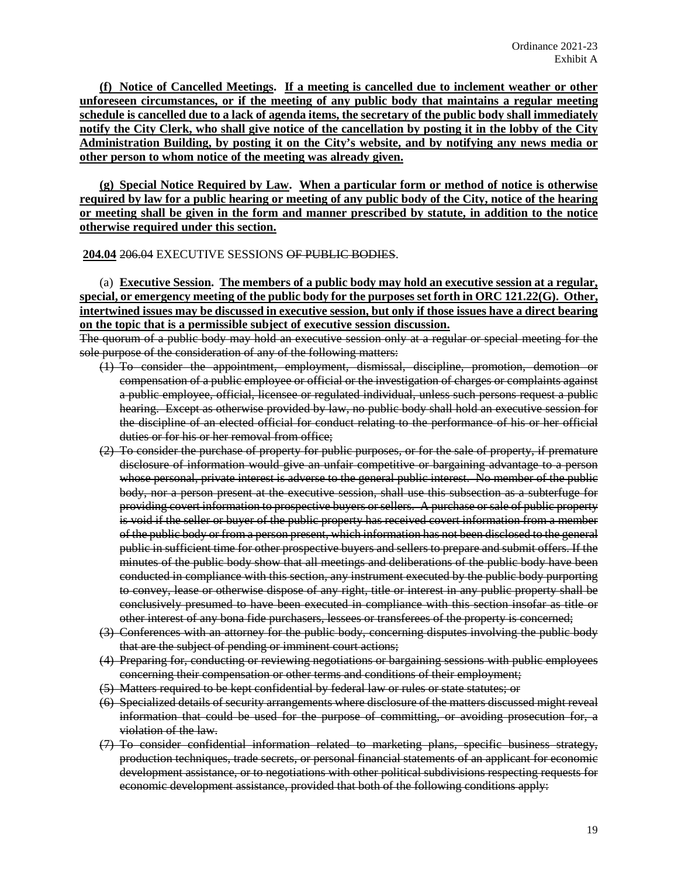**(f) Notice of Cancelled Meetings. If a meeting is cancelled due to inclement weather or other unforeseen circumstances, or if the meeting of any public body that maintains a regular meeting schedule is cancelled due to a lack of agenda items, the secretary of the public body shall immediately notify the City Clerk, who shall give notice of the cancellation by posting it in the lobby of the City Administration Building, by posting it on the City's website, and by notifying any news media or other person to whom notice of the meeting was already given.**

**(g) Special Notice Required by Law. When a particular form or method of notice is otherwise required by law for a public hearing or meeting of any public body of the City, notice of the hearing or meeting shall be given in the form and manner prescribed by statute, in addition to the notice otherwise required under this section.**

**204.04** 206.04 EXECUTIVE SESSIONS OF PUBLIC BODIES.

(a) **Executive Session. The members of a public body may hold an executive session at a regular, special, or emergency meeting of the public body for the purposes set forth in ORC 121.22(G). Other, intertwined issues may be discussed in executive session, but only if those issues have a direct bearing on the topic that is a permissible subject of executive session discussion.**

The quorum of a public body may hold an executive session only at a regular or special meeting for the sole purpose of the consideration of any of the following matters:

- (1) To consider the appointment, employment, dismissal, discipline, promotion, demotion or compensation of a public employee or official or the investigation of charges or complaints against a public employee, official, licensee or regulated individual, unless such persons request a public hearing. Except as otherwise provided by law, no public body shall hold an executive session for the discipline of an elected official for conduct relating to the performance of his or her official duties or for his or her removal from office;
- (2) To consider the purchase of property for public purposes, or for the sale of property, if premature disclosure of information would give an unfair competitive or bargaining advantage to a person whose personal, private interest is adverse to the general public interest. No member of the public body, nor a person present at the executive session, shall use this subsection as a subterfuge for providing covert information to prospective buyers or sellers. A purchase or sale of public property is void if the seller or buyer of the public property has received covert information from a member of the public body or from a person present, which information has not been disclosed to the general public in sufficient time for other prospective buyers and sellers to prepare and submit offers. If the minutes of the public body show that all meetings and deliberations of the public body have been conducted in compliance with this section, any instrument executed by the public body purporting to convey, lease or otherwise dispose of any right, title or interest in any public property shall be conclusively presumed to have been executed in compliance with this section insofar as title or other interest of any bona fide purchasers, lessees or transferees of the property is concerned;
- (3) Conferences with an attorney for the public body, concerning disputes involving the public body that are the subject of pending or imminent court actions;
- (4) Preparing for, conducting or reviewing negotiations or bargaining sessions with public employees concerning their compensation or other terms and conditions of their employment;
- (5) Matters required to be kept confidential by federal law or rules or state statutes; or
- (6) Specialized details of security arrangements where disclosure of the matters discussed might reveal information that could be used for the purpose of committing, or avoiding prosecution for, a violation of the law.
- (7) To consider confidential information related to marketing plans, specific business strategy, production techniques, trade secrets, or personal financial statements of an applicant for economic development assistance, or to negotiations with other political subdivisions respecting requests for economic development assistance, provided that both of the following conditions apply: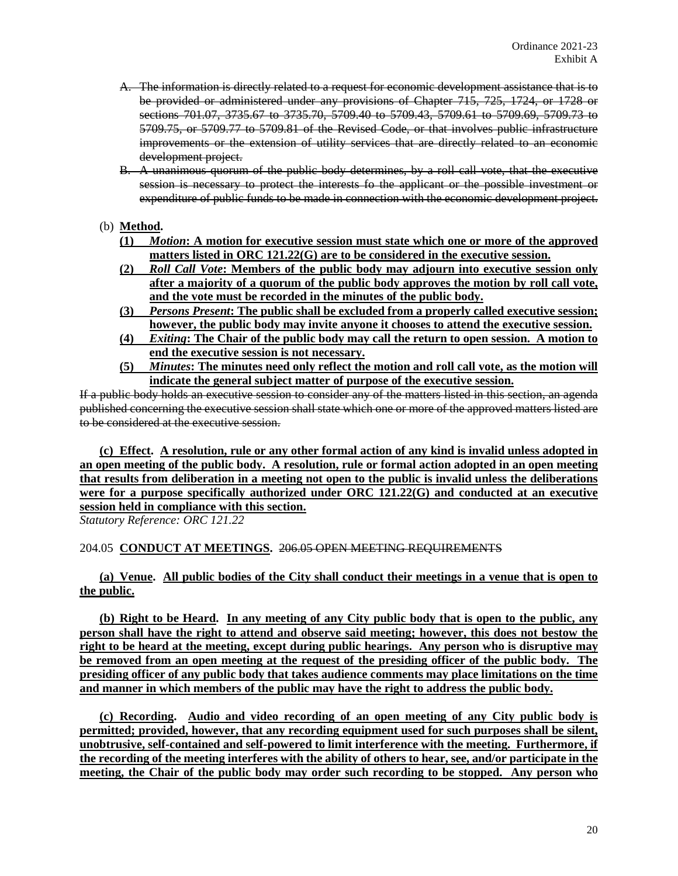- A. The information is directly related to a request for economic development assistance that is to be provided or administered under any provisions of Chapter 715, 725, 1724, or 1728 or sections 701.07, 3735.67 to 3735.70, 5709.40 to 5709.43, 5709.61 to 5709.69, 5709.73 to 5709.75, or 5709.77 to 5709.81 of the Revised Code, or that involves public infrastructure improvements or the extension of utility services that are directly related to an economic development project.
- B. A unanimous quorum of the public body determines, by a roll call vote, that the executive session is necessary to protect the interests fo the applicant or the possible investment or expenditure of public funds to be made in connection with the economic development project.

# (b) **Method.**

- **(1)** *Motion***: A motion for executive session must state which one or more of the approved matters listed in ORC 121.22(G) are to be considered in the executive session.**
- **(2)** *Roll Call Vote***: Members of the public body may adjourn into executive session only after a majority of a quorum of the public body approves the motion by roll call vote, and the vote must be recorded in the minutes of the public body.**
- **(3)** *Persons Present***: The public shall be excluded from a properly called executive session; however, the public body may invite anyone it chooses to attend the executive session.**
- **(4)** *Exiting***: The Chair of the public body may call the return to open session. A motion to end the executive session is not necessary.**
- **(5)** *Minutes***: The minutes need only reflect the motion and roll call vote, as the motion will indicate the general subject matter of purpose of the executive session.**

If a public body holds an executive session to consider any of the matters listed in this section, an agenda published concerning the executive session shall state which one or more of the approved matters listed are to be considered at the executive session.

**(c) Effect. A resolution, rule or any other formal action of any kind is invalid unless adopted in an open meeting of the public body. A resolution, rule or formal action adopted in an open meeting that results from deliberation in a meeting not open to the public is invalid unless the deliberations were for a purpose specifically authorized under ORC 121.22(G) and conducted at an executive session held in compliance with this section.** 

*Statutory Reference: ORC 121.22*

# 204.05 **CONDUCT AT MEETINGS.** 206.05 OPEN MEETING REQUIREMENTS

**(a) Venue. All public bodies of the City shall conduct their meetings in a venue that is open to the public.**

**(b) Right to be Heard. In any meeting of any City public body that is open to the public, any person shall have the right to attend and observe said meeting; however, this does not bestow the right to be heard at the meeting, except during public hearings. Any person who is disruptive may be removed from an open meeting at the request of the presiding officer of the public body. The presiding officer of any public body that takes audience comments may place limitations on the time and manner in which members of the public may have the right to address the public body.**

**(c) Recording. Audio and video recording of an open meeting of any City public body is permitted; provided, however, that any recording equipment used for such purposes shall be silent, unobtrusive, self-contained and self-powered to limit interference with the meeting. Furthermore, if the recording of the meeting interferes with the ability of others to hear, see, and/or participate in the meeting, the Chair of the public body may order such recording to be stopped. Any person who**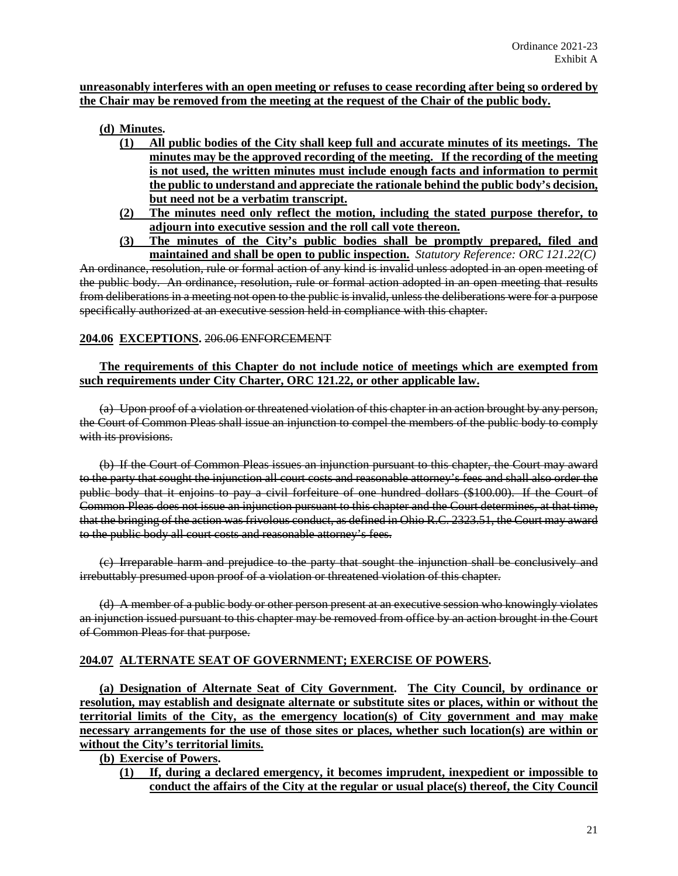# **unreasonably interferes with an open meeting or refuses to cease recording after being so ordered by the Chair may be removed from the meeting at the request of the Chair of the public body.**

# **(d) Minutes.**

- **(1) All public bodies of the City shall keep full and accurate minutes of its meetings. The minutes may be the approved recording of the meeting. If the recording of the meeting is not used, the written minutes must include enough facts and information to permit the public to understand and appreciate the rationale behind the public body's decision, but need not be a verbatim transcript.**
- **(2) The minutes need only reflect the motion, including the stated purpose therefor, to adjourn into executive session and the roll call vote thereon.**
- **(3) The minutes of the City's public bodies shall be promptly prepared, filed and maintained and shall be open to public inspection.** *Statutory Reference: ORC 121.22(C)*

An ordinance, resolution, rule or formal action of any kind is invalid unless adopted in an open meeting of the public body. An ordinance, resolution, rule or formal action adopted in an open meeting that results from deliberations in a meeting not open to the public is invalid, unless the deliberations were for a purpose specifically authorized at an executive session held in compliance with this chapter.

# **204.06 EXCEPTIONS.** 206.06 ENFORCEMENT

# **The requirements of this Chapter do not include notice of meetings which are exempted from such requirements under City Charter, ORC 121.22, or other applicable law.**

(a) Upon proof of a violation or threatened violation of this chapter in an action brought by any person, the Court of Common Pleas shall issue an injunction to compel the members of the public body to comply with its provisions.

(b) If the Court of Common Pleas issues an injunction pursuant to this chapter, the Court may award to the party that sought the injunction all court costs and reasonable attorney's fees and shall also order the public body that it enjoins to pay a civil forfeiture of one hundred dollars (\$100.00). If the Court of Common Pleas does not issue an injunction pursuant to this chapter and the Court determines, at that time, that the bringing of the action was frivolous conduct, as defined in Ohio R.C. 2323.51, the Court may award to the public body all court costs and reasonable attorney's fees.

(c) Irreparable harm and prejudice to the party that sought the injunction shall be conclusively and irrebuttably presumed upon proof of a violation or threatened violation of this chapter.

(d) A member of a public body or other person present at an executive session who knowingly violates an injunction issued pursuant to this chapter may be removed from office by an action brought in the Court of Common Pleas for that purpose.

# **204.07 ALTERNATE SEAT OF GOVERNMENT; EXERCISE OF POWERS.**

**(a) Designation of Alternate Seat of City Government. The City Council, by ordinance or resolution, may establish and designate alternate or substitute sites or places, within or without the territorial limits of the City, as the emergency location(s) of City government and may make necessary arrangements for the use of those sites or places, whether such location(s) are within or without the City's territorial limits.** 

**(b) Exercise of Powers.**

**(1) If, during a declared emergency, it becomes imprudent, inexpedient or impossible to conduct the affairs of the City at the regular or usual place(s) thereof, the City Council**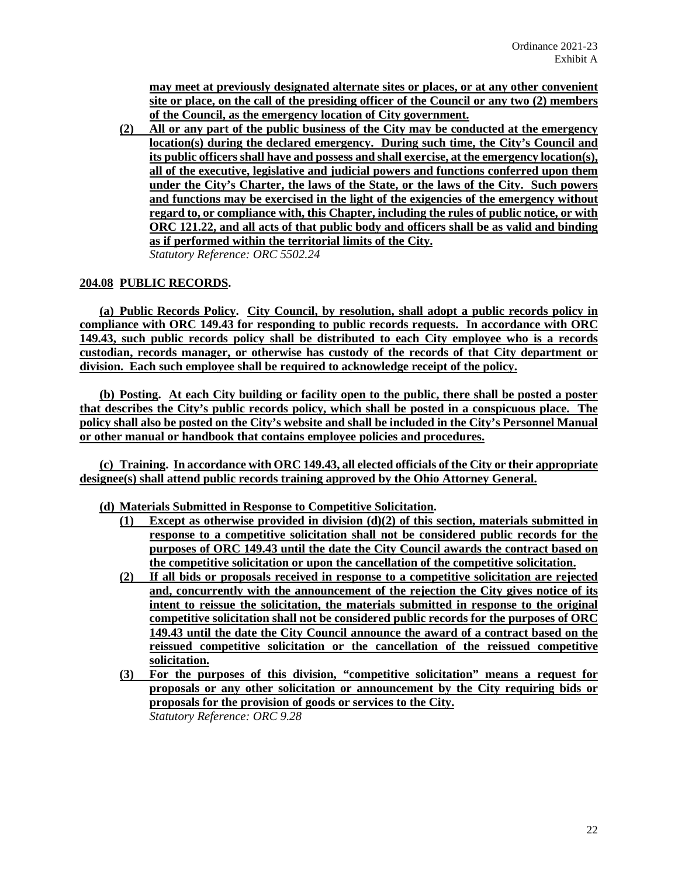**may meet at previously designated alternate sites or places, or at any other convenient site or place, on the call of the presiding officer of the Council or any two (2) members of the Council, as the emergency location of City government.** 

**(2) All or any part of the public business of the City may be conducted at the emergency location(s) during the declared emergency. During such time, the City's Council and its public officers shall have and possess and shall exercise, at the emergency location(s), all of the executive, legislative and judicial powers and functions conferred upon them under the City's Charter, the laws of the State, or the laws of the City. Such powers and functions may be exercised in the light of the exigencies of the emergency without regard to, or compliance with, this Chapter, including the rules of public notice, or with ORC 121.22, and all acts of that public body and officers shall be as valid and binding as if performed within the territorial limits of the City.** *Statutory Reference: ORC 5502.24*

# **204.08 PUBLIC RECORDS.**

**(a) Public Records Policy. City Council, by resolution, shall adopt a public records policy in compliance with ORC 149.43 for responding to public records requests. In accordance with ORC 149.43, such public records policy shall be distributed to each City employee who is a records custodian, records manager, or otherwise has custody of the records of that City department or division. Each such employee shall be required to acknowledge receipt of the policy.**

**(b) Posting. At each City building or facility open to the public, there shall be posted a poster that describes the City's public records policy, which shall be posted in a conspicuous place. The policy shall also be posted on the City's website and shall be included in the City's Personnel Manual or other manual or handbook that contains employee policies and procedures.**

**(c) Training. In accordance with ORC 149.43, all elected officials of the City or their appropriate designee(s) shall attend public records training approved by the Ohio Attorney General.**

**(d) Materials Submitted in Response to Competitive Solicitation.**

- **(1) Except as otherwise provided in division (d)(2) of this section, materials submitted in response to a competitive solicitation shall not be considered public records for the purposes of ORC 149.43 until the date the City Council awards the contract based on the competitive solicitation or upon the cancellation of the competitive solicitation.**
- **(2) If all bids or proposals received in response to a competitive solicitation are rejected and, concurrently with the announcement of the rejection the City gives notice of its intent to reissue the solicitation, the materials submitted in response to the original competitive solicitation shall not be considered public records for the purposes of ORC 149.43 until the date the City Council announce the award of a contract based on the reissued competitive solicitation or the cancellation of the reissued competitive solicitation.**
- **(3) For the purposes of this division, "competitive solicitation" means a request for proposals or any other solicitation or announcement by the City requiring bids or proposals for the provision of goods or services to the City.** *Statutory Reference: ORC 9.28*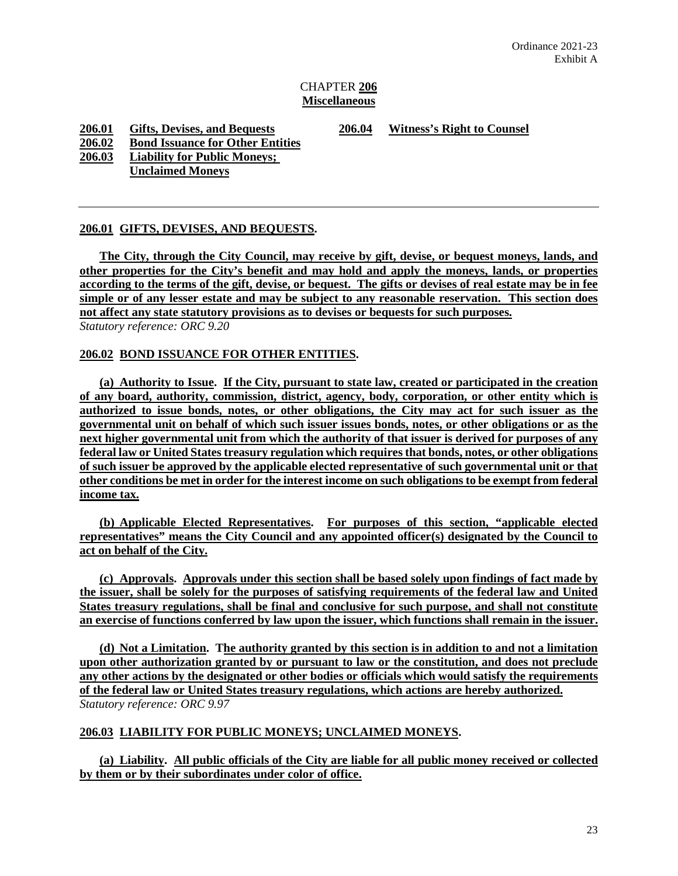# CHAPTER **206 Miscellaneous**

**206.01 Gifts, Devises, and Bequests 206.04 Witness's Right to Counsel**

**206.02 Bond Issuance for Other Entities**

**206.03 Liability for Public Moneys;** 

**Unclaimed Moneys**

# **206.01 GIFTS, DEVISES, AND BEQUESTS.**

**The City, through the City Council, may receive by gift, devise, or bequest moneys, lands, and other properties for the City's benefit and may hold and apply the moneys, lands, or properties according to the terms of the gift, devise, or bequest. The gifts or devises of real estate may be in fee simple or of any lesser estate and may be subject to any reasonable reservation. This section does not affect any state statutory provisions as to devises or bequests for such purposes.** *Statutory reference: ORC 9.20*

# **206.02 BOND ISSUANCE FOR OTHER ENTITIES.**

**(a) Authority to Issue. If the City, pursuant to state law, created or participated in the creation of any board, authority, commission, district, agency, body, corporation, or other entity which is authorized to issue bonds, notes, or other obligations, the City may act for such issuer as the governmental unit on behalf of which such issuer issues bonds, notes, or other obligations or as the next higher governmental unit from which the authority of that issuer is derived for purposes of any federal law or United States treasury regulation which requires that bonds, notes, or other obligations of such issuer be approved by the applicable elected representative of such governmental unit or that other conditions be met in order for the interest income on such obligations to be exempt from federal income tax.** 

**(b) Applicable Elected Representatives. For purposes of this section, "applicable elected representatives" means the City Council and any appointed officer(s) designated by the Council to act on behalf of the City.**

**(c) Approvals. Approvals under this section shall be based solely upon findings of fact made by the issuer, shall be solely for the purposes of satisfying requirements of the federal law and United States treasury regulations, shall be final and conclusive for such purpose, and shall not constitute an exercise of functions conferred by law upon the issuer, which functions shall remain in the issuer.**

**(d) Not a Limitation. The authority granted by this section is in addition to and not a limitation upon other authorization granted by or pursuant to law or the constitution, and does not preclude any other actions by the designated or other bodies or officials which would satisfy the requirements of the federal law or United States treasury regulations, which actions are hereby authorized.** *Statutory reference: ORC 9.97*

# **206.03 LIABILITY FOR PUBLIC MONEYS; UNCLAIMED MONEYS.**

**(a) Liability. All public officials of the City are liable for all public money received or collected by them or by their subordinates under color of office.**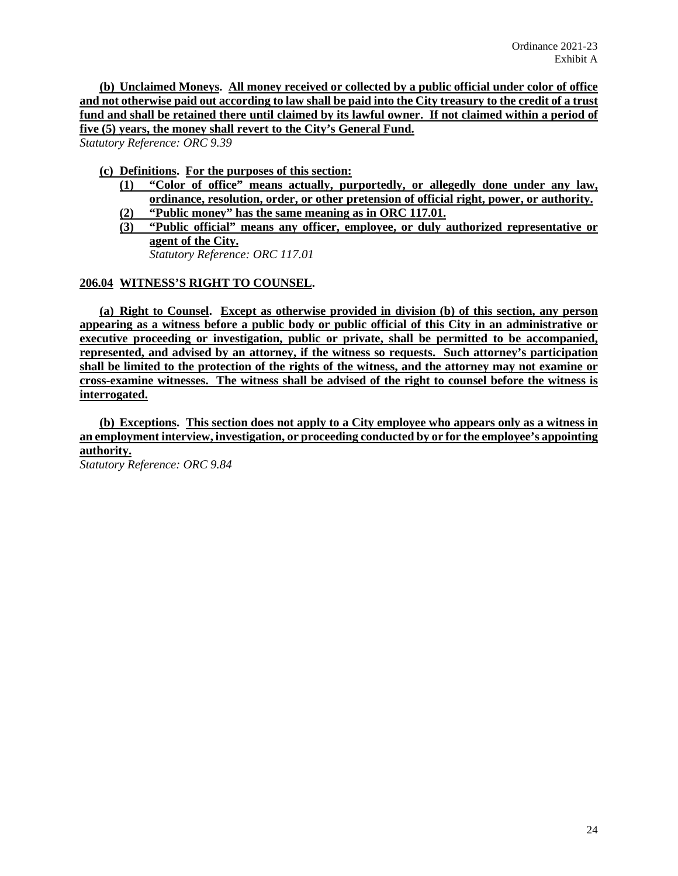**(b) Unclaimed Moneys. All money received or collected by a public official under color of office and not otherwise paid out according to law shall be paid into the City treasury to the credit of a trust fund and shall be retained there until claimed by its lawful owner. If not claimed within a period of five (5) years, the money shall revert to the City's General Fund.**

*Statutory Reference: ORC 9.39*

# **(c) Definitions. For the purposes of this section:**

- **(1) "Color of office" means actually, purportedly, or allegedly done under any law, ordinance, resolution, order, or other pretension of official right, power, or authority. (2) "Public money" has the same meaning as in ORC 117.01.**
- **(3) "Public official" means any officer, employee, or duly authorized representative or agent of the City.**

*Statutory Reference: ORC 117.01*

# **206.04 WITNESS'S RIGHT TO COUNSEL.**

**(a) Right to Counsel. Except as otherwise provided in division (b) of this section, any person appearing as a witness before a public body or public official of this City in an administrative or executive proceeding or investigation, public or private, shall be permitted to be accompanied, represented, and advised by an attorney, if the witness so requests. Such attorney's participation shall be limited to the protection of the rights of the witness, and the attorney may not examine or cross-examine witnesses. The witness shall be advised of the right to counsel before the witness is interrogated.**

**(b) Exceptions. This section does not apply to a City employee who appears only as a witness in an employment interview, investigation, or proceeding conducted by or for the employee's appointing authority.**

*Statutory Reference: ORC 9.84*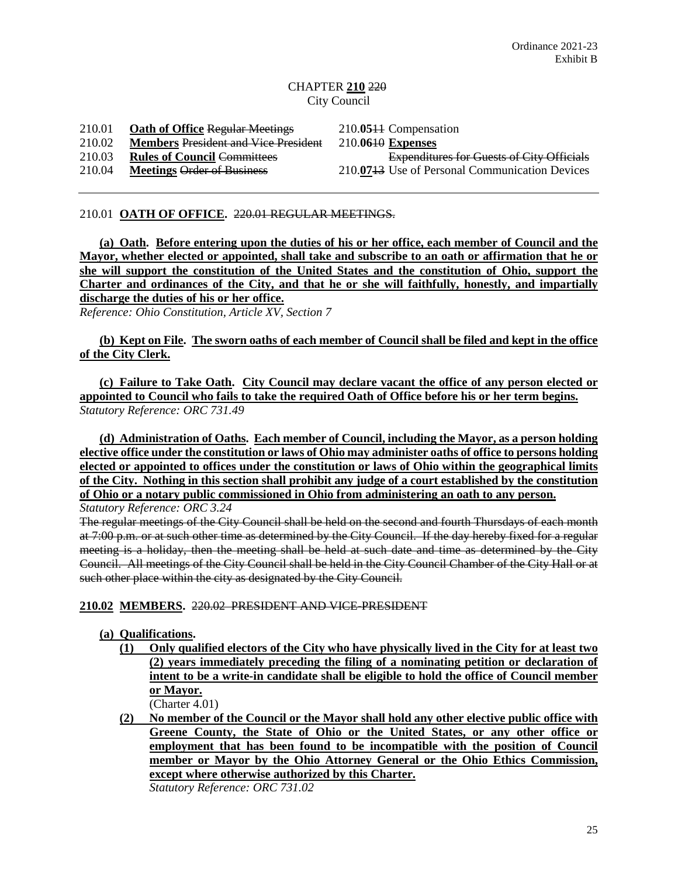# CHAPTER **210** 220 City Council

210.01 **Oath of Office** Regular Meetings 210.**05**11 Compensation 210.02 **Members** President and Vice President 210.**06**10 **Expenses** 210.03 **Rules of Council Committees** Expenditures for Guests of City Officials<br>210.04 **Meetings Order of Business** 210.0743 Use of Personal Communication Devices 210.07<del>13</del> Use of Personal Communication Devices

## 210.01 **OATH OF OFFICE.** 220.01 REGULAR MEETINGS.

**(a) Oath. Before entering upon the duties of his or her office, each member of Council and the Mayor, whether elected or appointed, shall take and subscribe to an oath or affirmation that he or she will support the constitution of the United States and the constitution of Ohio, support the**  Charter and ordinances of the City, and that he or she will faithfully, honestly, and impartially **discharge the duties of his or her office.**

*Reference: Ohio Constitution, Article XV, Section 7*

# **(b) Kept on File. The sworn oaths of each member of Council shall be filed and kept in the office of the City Clerk.**

**(c) Failure to Take Oath. City Council may declare vacant the office of any person elected or appointed to Council who fails to take the required Oath of Office before his or her term begins.** *Statutory Reference: ORC 731.49*

**(d) Administration of Oaths. Each member of Council, including the Mayor, as a person holding elective office under the constitution or laws of Ohio may administer oaths of office to persons holding elected or appointed to offices under the constitution or laws of Ohio within the geographical limits of the City. Nothing in this section shall prohibit any judge of a court established by the constitution of Ohio or a notary public commissioned in Ohio from administering an oath to any person.**

*Statutory Reference: ORC 3.24*

The regular meetings of the City Council shall be held on the second and fourth Thursdays of each month at 7:00 p.m. or at such other time as determined by the City Council. If the day hereby fixed for a regular meeting is a holiday, then the meeting shall be held at such date and time as determined by the City Council. All meetings of the City Council shall be held in the City Council Chamber of the City Hall or at such other place within the city as designated by the City Council.

**210.02 MEMBERS.** 220.02 PRESIDENT AND VICE-PRESIDENT

- **(a) Qualifications.** 
	- **(1) Only qualified electors of the City who have physically lived in the City for at least two (2) years immediately preceding the filing of a nominating petition or declaration of intent to be a write-in candidate shall be eligible to hold the office of Council member or Mayor.**  (Charter 4.01)
	- **(2) No member of the Council or the Mayor shall hold any other elective public office with Greene County, the State of Ohio or the United States, or any other office or employment that has been found to be incompatible with the position of Council member or Mayor by the Ohio Attorney General or the Ohio Ethics Commission, except where otherwise authorized by this Charter.**  *Statutory Reference: ORC 731.02*

25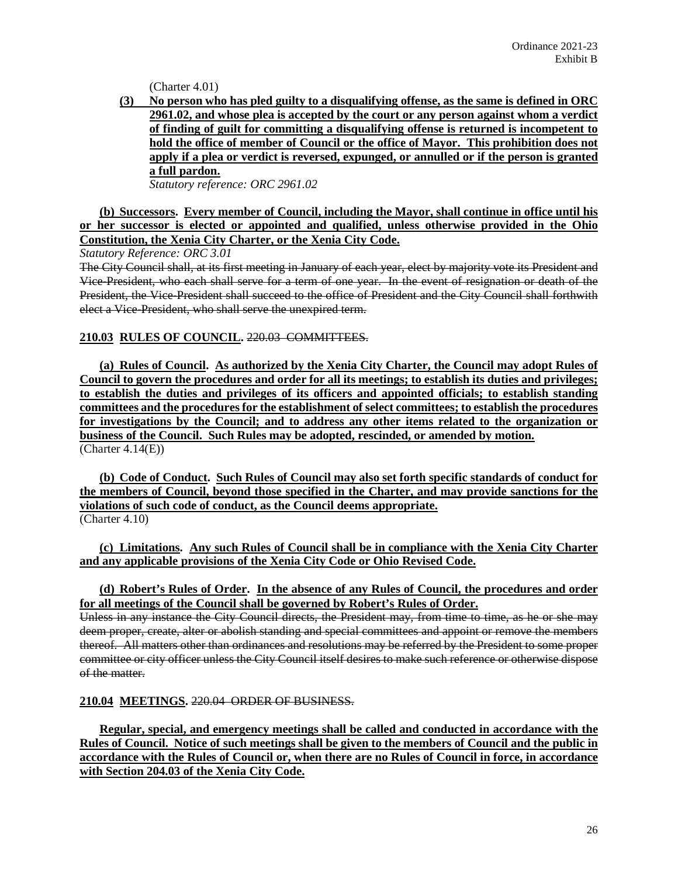(Charter 4.01)

**(3) No person who has pled guilty to a disqualifying offense, as the same is defined in ORC 2961.02, and whose plea is accepted by the court or any person against whom a verdict of finding of guilt for committing a disqualifying offense is returned is incompetent to hold the office of member of Council or the office of Mayor. This prohibition does not apply if a plea or verdict is reversed, expunged, or annulled or if the person is granted a full pardon.**

*Statutory reference: ORC 2961.02*

**(b) Successors. Every member of Council, including the Mayor, shall continue in office until his or her successor is elected or appointed and qualified, unless otherwise provided in the Ohio Constitution, the Xenia City Charter, or the Xenia City Code.**

*Statutory Reference: ORC 3.01*

The City Council shall, at its first meeting in January of each year, elect by majority vote its President and Vice-President, who each shall serve for a term of one year. In the event of resignation or death of the President, the Vice-President shall succeed to the office of President and the City Council shall forthwith elect a Vice-President, who shall serve the unexpired term.

# **210.03 RULES OF COUNCIL.** 220.03 COMMITTEES.

**(a) Rules of Council. As authorized by the Xenia City Charter, the Council may adopt Rules of Council to govern the procedures and order for all its meetings; to establish its duties and privileges; to establish the duties and privileges of its officers and appointed officials; to establish standing committees and the procedures for the establishment of select committees; to establish the procedures for investigations by the Council; and to address any other items related to the organization or business of the Council. Such Rules may be adopted, rescinded, or amended by motion.**   $(Character\ 4.14(E))$ 

**(b) Code of Conduct. Such Rules of Council may also set forth specific standards of conduct for the members of Council, beyond those specified in the Charter, and may provide sanctions for the violations of such code of conduct, as the Council deems appropriate.** (Charter 4.10)

**(c) Limitations. Any such Rules of Council shall be in compliance with the Xenia City Charter and any applicable provisions of the Xenia City Code or Ohio Revised Code.**

# **(d) Robert's Rules of Order. In the absence of any Rules of Council, the procedures and order for all meetings of the Council shall be governed by Robert's Rules of Order.**

Unless in any instance the City Council directs, the President may, from time to time, as he or she may deem proper, create, alter or abolish standing and special committees and appoint or remove the members thereof. All matters other than ordinances and resolutions may be referred by the President to some proper committee or city officer unless the City Council itself desires to make such reference or otherwise dispose of the matter.

**210.04 MEETINGS.** 220.04 ORDER OF BUSINESS.

**Regular, special, and emergency meetings shall be called and conducted in accordance with the Rules of Council. Notice of such meetings shall be given to the members of Council and the public in accordance with the Rules of Council or, when there are no Rules of Council in force, in accordance with Section 204.03 of the Xenia City Code.**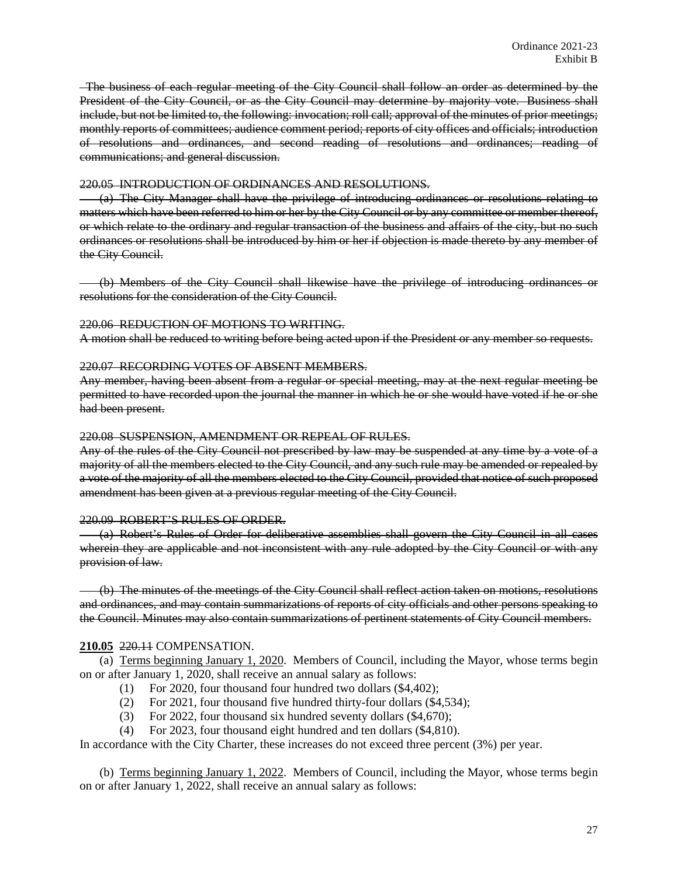The business of each regular meeting of the City Council shall follow an order as determined by the President of the City Council, or as the City Council may determine by majority vote. Business shall include, but not be limited to, the following: invocation; roll call; approval of the minutes of prior meetings; monthly reports of committees; audience comment period; reports of city offices and officials; introduction of resolutions and ordinances, and second reading of resolutions and ordinances; reading of communications; and general discussion.

#### 220.05 INTRODUCTION OF ORDINANCES AND RESOLUTIONS.

(a) The City Manager shall have the privilege of introducing ordinances or resolutions relating to matters which have been referred to him or her by the City Council or by any committee or member thereof, or which relate to the ordinary and regular transaction of the business and affairs of the city, but no such ordinances or resolutions shall be introduced by him or her if objection is made thereto by any member of the City Council.

(b) Members of the City Council shall likewise have the privilege of introducing ordinances or resolutions for the consideration of the City Council.

## 220.06 REDUCTION OF MOTIONS TO WRITING.

A motion shall be reduced to writing before being acted upon if the President or any member so requests.

## 220.07 RECORDING VOTES OF ABSENT MEMBERS.

Any member, having been absent from a regular or special meeting, may at the next regular meeting be permitted to have recorded upon the journal the manner in which he or she would have voted if he or she had been present.

## 220.08 SUSPENSION, AMENDMENT OR REPEAL OF RULES.

Any of the rules of the City Council not prescribed by law may be suspended at any time by a vote of a majority of all the members elected to the City Council, and any such rule may be amended or repealed by a vote of the majority of all the members elected to the City Council, provided that notice of such proposed amendment has been given at a previous regular meeting of the City Council.

# 220.09 ROBERT'S RULES OF ORDER.

(a) Robert's Rules of Order for deliberative assemblies shall govern the City Council in all cases wherein they are applicable and not inconsistent with any rule adopted by the City Council or with any provision of law.

(b) The minutes of the meetings of the City Council shall reflect action taken on motions, resolutions and ordinances, and may contain summarizations of reports of city officials and other persons speaking to the Council. Minutes may also contain summarizations of pertinent statements of City Council members.

# **210.05** 220.11 COMPENSATION.

(a) Terms beginning January 1, 2020. Members of Council, including the Mayor, whose terms begin on or after January 1, 2020, shall receive an annual salary as follows:

- (1) For 2020, four thousand four hundred two dollars (\$4,402);
- (2) For 2021, four thousand five hundred thirty-four dollars (\$4,534);
- (3) For 2022, four thousand six hundred seventy dollars (\$4,670);
- (4) For 2023, four thousand eight hundred and ten dollars (\$4,810).

In accordance with the City Charter, these increases do not exceed three percent (3%) per year.

(b) Terms beginning January 1, 2022. Members of Council, including the Mayor, whose terms begin on or after January 1, 2022, shall receive an annual salary as follows: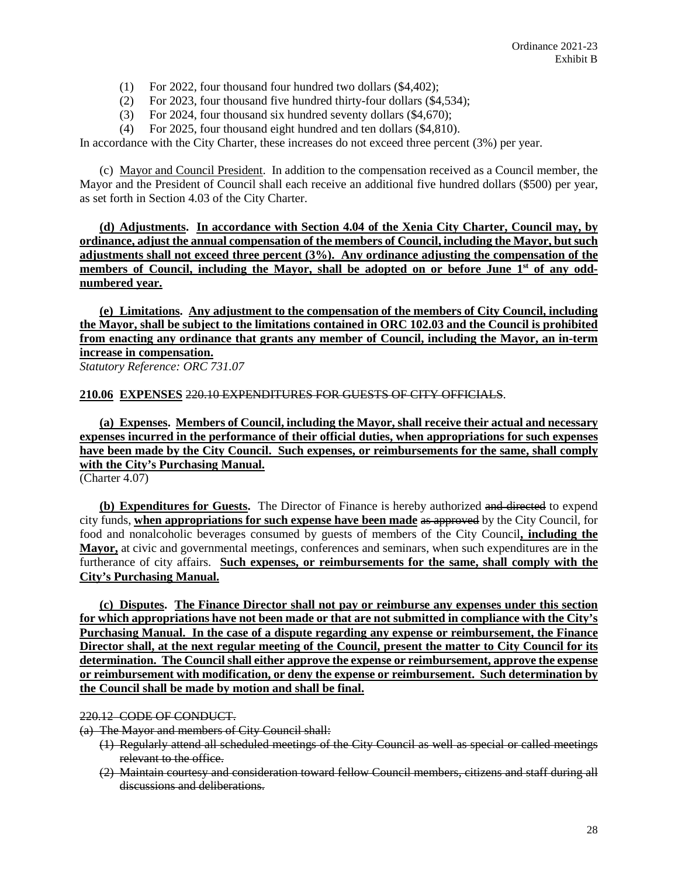- (1) For 2022, four thousand four hundred two dollars (\$4,402);
- (2) For 2023, four thousand five hundred thirty-four dollars (\$4,534);
- (3) For 2024, four thousand six hundred seventy dollars (\$4,670);
- (4) For 2025, four thousand eight hundred and ten dollars (\$4,810).

In accordance with the City Charter, these increases do not exceed three percent (3%) per year.

(c) Mayor and Council President. In addition to the compensation received as a Council member, the Mayor and the President of Council shall each receive an additional five hundred dollars (\$500) per year, as set forth in Section 4.03 of the City Charter.

**(d) Adjustments. In accordance with Section 4.04 of the Xenia City Charter, Council may, by ordinance, adjust the annual compensation of the members of Council, including the Mayor, but such adjustments shall not exceed three percent (3%). Any ordinance adjusting the compensation of the**  members of Council, including the Mayor, shall be adopted on or before June 1<sup>st</sup> of any odd**numbered year.**

**(e) Limitations. Any adjustment to the compensation of the members of City Council, including the Mayor, shall be subject to the limitations contained in ORC 102.03 and the Council is prohibited from enacting any ordinance that grants any member of Council, including the Mayor, an in-term increase in compensation.** 

*Statutory Reference: ORC 731.07*

**210.06 EXPENSES** 220.10 EXPENDITURES FOR GUESTS OF CITY OFFICIALS.

**(a) Expenses. Members of Council, including the Mayor, shall receive their actual and necessary expenses incurred in the performance of their official duties, when appropriations for such expenses have been made by the City Council. Such expenses, or reimbursements for the same, shall comply with the City's Purchasing Manual.** 

(Charter 4.07)

**(b) Expenditures for Guests.** The Director of Finance is hereby authorized and directed to expend city funds, **when appropriations for such expense have been made** as approved by the City Council, for food and nonalcoholic beverages consumed by guests of members of the City Council**, including the Mayor,** at civic and governmental meetings, conferences and seminars, when such expenditures are in the furtherance of city affairs. **Such expenses, or reimbursements for the same, shall comply with the City's Purchasing Manual.**

**(c) Disputes. The Finance Director shall not pay or reimburse any expenses under this section for which appropriations have not been made or that are not submitted in compliance with the City's Purchasing Manual. In the case of a dispute regarding any expense or reimbursement, the Finance Director shall, at the next regular meeting of the Council, present the matter to City Council for its determination. The Council shall either approve the expense or reimbursement, approve the expense or reimbursement with modification, or deny the expense or reimbursement. Such determination by the Council shall be made by motion and shall be final.**

#### 220.12 CODE OF CONDUCT.

(a) The Mayor and members of City Council shall:

- (1) Regularly attend all scheduled meetings of the City Council as well as special or called meetings relevant to the office.
- (2) Maintain courtesy and consideration toward fellow Council members, citizens and staff during all discussions and deliberations.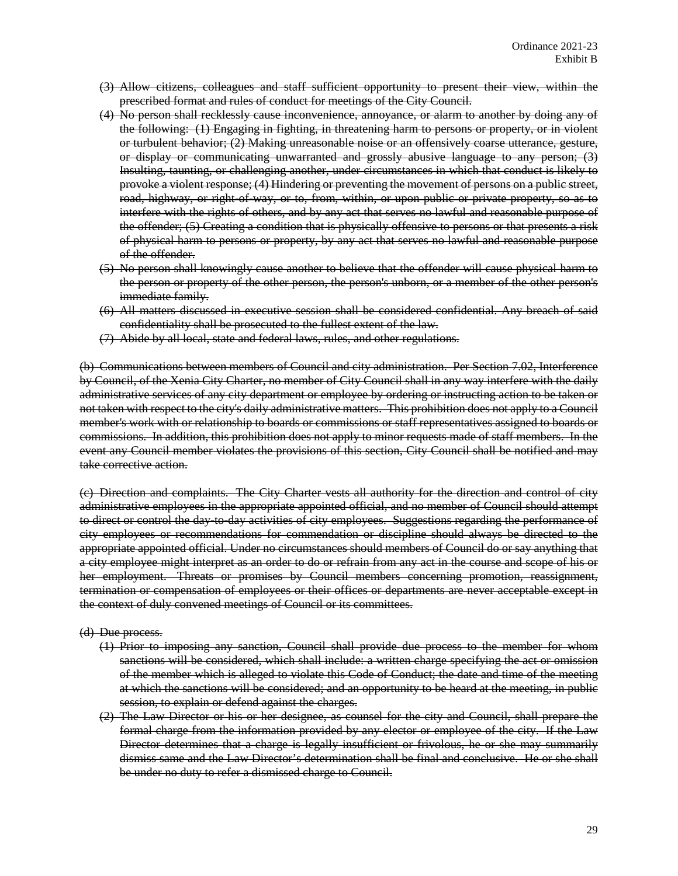- (3) Allow citizens, colleagues and staff sufficient opportunity to present their view, within the prescribed format and rules of conduct for meetings of the City Council.
- (4) No person shall recklessly cause inconvenience, annoyance, or alarm to another by doing any of the following: (1) Engaging in fighting, in threatening harm to persons or property, or in violent or turbulent behavior; (2) Making unreasonable noise or an offensively coarse utterance, gesture, or display or communicating unwarranted and grossly abusive language to any person; (3) Insulting, taunting, or challenging another, under circumstances in which that conduct is likely to provoke a violent response; (4) Hindering or preventing the movement of persons on a public street, road, highway, or right of way, or to, from, within, or upon public or private property, so as to interfere with the rights of others, and by any act that serves no lawful and reasonable purpose of the offender; (5) Creating a condition that is physically offensive to persons or that presents a risk of physical harm to persons or property, by any act that serves no lawful and reasonable purpose of the offender.
- (5) No person shall knowingly cause another to believe that the offender will cause physical harm to the person or property of the other person, the person's unborn, or a member of the other person's immediate family.
- (6) All matters discussed in executive session shall be considered confidential. Any breach of said confidentiality shall be prosecuted to the fullest extent of the law.
- (7) Abide by all local, state and federal laws, rules, and other regulations.

(b) Communications between members of Council and city administration. Per Section 7.02, Interference by Council, of the Xenia City Charter, no member of City Council shall in any way interfere with the daily administrative services of any city department or employee by ordering or instructing action to be taken or not taken with respect to the city's daily administrative matters. This prohibition does not apply to a Council member's work with or relationship to boards or commissions or staff representatives assigned to boards or commissions. In addition, this prohibition does not apply to minor requests made of staff members. In the event any Council member violates the provisions of this section, City Council shall be notified and may take corrective action.

(c) Direction and complaints. The City Charter vests all authority for the direction and control of city administrative employees in the appropriate appointed official, and no member of Council should attempt to direct or control the day-to-day activities of city employees. Suggestions regarding the performance of city employees or recommendations for commendation or discipline should always be directed to the appropriate appointed official. Under no circumstances should members of Council do or say anything that a city employee might interpret as an order to do or refrain from any act in the course and scope of his or her employment. Threats or promises by Council members concerning promotion, reassignment, termination or compensation of employees or their offices or departments are never acceptable except in the context of duly convened meetings of Council or its committees.

#### (d) Due process.

- (1) Prior to imposing any sanction, Council shall provide due process to the member for whom sanctions will be considered, which shall include: a written charge specifying the act or omission of the member which is alleged to violate this Code of Conduct; the date and time of the meeting at which the sanctions will be considered; and an opportunity to be heard at the meeting, in public session, to explain or defend against the charges.
- (2) The Law Director or his or her designee, as counsel for the city and Council, shall prepare the formal charge from the information provided by any elector or employee of the city. If the Law Director determines that a charge is legally insufficient or frivolous, he or she may summarily dismiss same and the Law Director's determination shall be final and conclusive. He or she shall be under no duty to refer a dismissed charge to Council.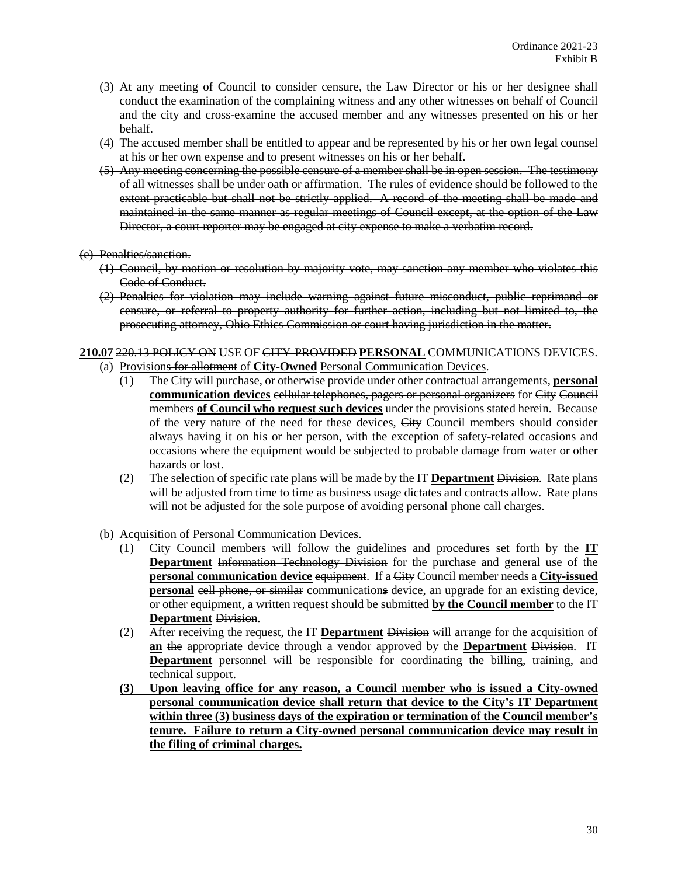- (3) At any meeting of Council to consider censure, the Law Director or his or her designee shall conduct the examination of the complaining witness and any other witnesses on behalf of Council and the city and cross-examine the accused member and any witnesses presented on his or her behalf.
- (4) The accused member shall be entitled to appear and be represented by his or her own legal counsel at his or her own expense and to present witnesses on his or her behalf.
- (5) Any meeting concerning the possible censure of a member shall be in open session. The testimony of all witnesses shall be under oath or affirmation. The rules of evidence should be followed to the extent practicable but shall not be strictly applied. A record of the meeting shall be made and maintained in the same manner as regular meetings of Council except, at the option of the Law Director, a court reporter may be engaged at city expense to make a verbatim record.

#### (e) Penalties/sanction.

- (1) Council, by motion or resolution by majority vote, may sanction any member who violates this Code of Conduct.
- (2) Penalties for violation may include warning against future misconduct, public reprimand or censure, or referral to property authority for further action, including but not limited to, the prosecuting attorney, Ohio Ethics Commission or court having jurisdiction in the matter.

## **210.07** 220.13 POLICY ON USE OF CITY-PROVIDED **PERSONAL** COMMUNICATIONS DEVICES. (a) Provisions for allotment of **City-Owned** Personal Communication Devices.

- (1) The City will purchase, or otherwise provide under other contractual arrangements, **personal communication devices** cellular telephones, pagers or personal organizers for City Council members **of Council who request such devices** under the provisions stated herein. Because of the very nature of the need for these devices, City Council members should consider always having it on his or her person, with the exception of safety-related occasions and occasions where the equipment would be subjected to probable damage from water or other hazards or lost.
- (2) The selection of specific rate plans will be made by the IT **Department** Division. Rate plans will be adjusted from time to time as business usage dictates and contracts allow. Rate plans will not be adjusted for the sole purpose of avoiding personal phone call charges.
- (b) Acquisition of Personal Communication Devices.
	- (1) City Council members will follow the guidelines and procedures set forth by the **IT Department** Information Technology Division for the purchase and general use of the **personal communication device equipment**. If a City Council member needs a City-issued **personal** cell phone, or similar communications device, an upgrade for an existing device, or other equipment, a written request should be submitted **by the Council member** to the IT **Department** Division.
	- (2) After receiving the request, the IT **Department** Division will arrange for the acquisition of **an** the appropriate device through a vendor approved by the **Department** Division. IT **Department** personnel will be responsible for coordinating the billing, training, and technical support.
	- **(3) Upon leaving office for any reason, a Council member who is issued a City-owned personal communication device shall return that device to the City's IT Department within three (3) business days of the expiration or termination of the Council member's tenure. Failure to return a City-owned personal communication device may result in the filing of criminal charges.**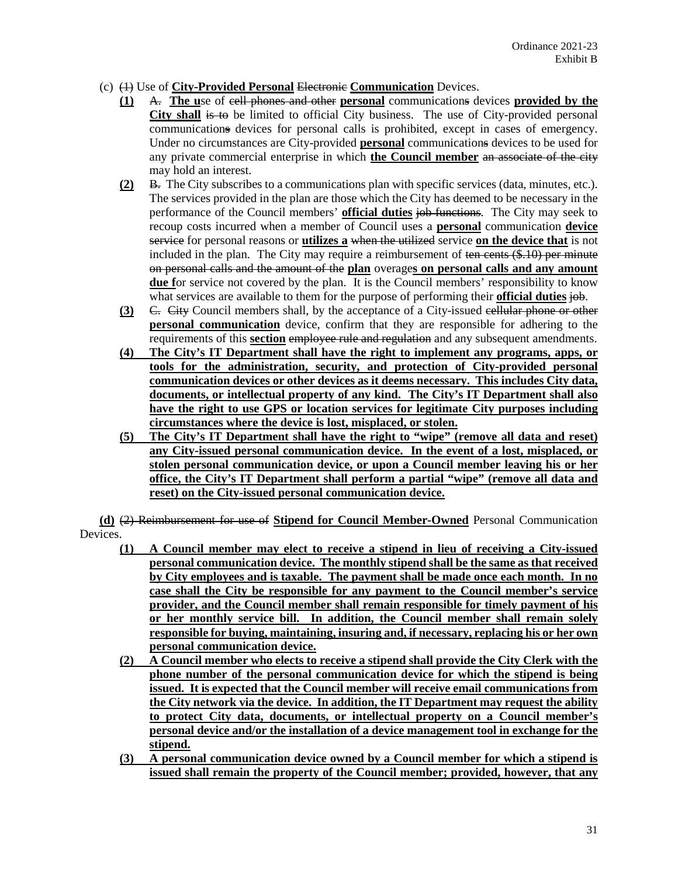- (c) (1) Use of **City-Provided Personal** Electronic **Communication** Devices.
	- **(1)** A. **The u**se of cell phones and other **personal** communications devices **provided by the City shall** is to be limited to official City business. The use of City-provided personal communications devices for personal calls is prohibited, except in cases of emergency. Under no circumstances are City-provided **personal** communications devices to be used for any private commercial enterprise in which **the Council member** an associate of the city may hold an interest.
	- **(2)** B. The City subscribes to a communications plan with specific services (data, minutes, etc.). The services provided in the plan are those which the City has deemed to be necessary in the performance of the Council members' **official duties** job functions. The City may seek to recoup costs incurred when a member of Council uses a **personal** communication **device** service for personal reasons or **utilizes a** when the utilized service **on the device that** is not included in the plan. The City may require a reimbursement of ten cents  $(\$$ .10) per minute on personal calls and the amount of the **plan** overage**s on personal calls and any amount due f**or service not covered by the plan. It is the Council members' responsibility to know what services are available to them for the purpose of performing their **official duties** job.
	- **(3)** C. City Council members shall, by the acceptance of a City-issued cellular phone or other **personal communication** device, confirm that they are responsible for adhering to the requirements of this **section** employee rule and regulation and any subsequent amendments.
	- **(4) The City's IT Department shall have the right to implement any programs, apps, or tools for the administration, security, and protection of City-provided personal communication devices or other devices as it deems necessary. This includes City data, documents, or intellectual property of any kind. The City's IT Department shall also have the right to use GPS or location services for legitimate City purposes including circumstances where the device is lost, misplaced, or stolen.**
	- **(5) The City's IT Department shall have the right to "wipe" (remove all data and reset) any City-issued personal communication device. In the event of a lost, misplaced, or stolen personal communication device, or upon a Council member leaving his or her office, the City's IT Department shall perform a partial "wipe" (remove all data and reset) on the City-issued personal communication device.**

**(d)** (2) Reimbursement for use of **Stipend for Council Member-Owned** Personal Communication Devices.

- **(1) A Council member may elect to receive a stipend in lieu of receiving a City-issued personal communication device. The monthly stipend shall be the same as that received by City employees and is taxable. The payment shall be made once each month. In no case shall the City be responsible for any payment to the Council member's service provider, and the Council member shall remain responsible for timely payment of his or her monthly service bill. In addition, the Council member shall remain solely responsible for buying, maintaining, insuring and, if necessary, replacing his or her own personal communication device.**
- **(2) A Council member who elects to receive a stipend shall provide the City Clerk with the phone number of the personal communication device for which the stipend is being issued. It is expected that the Council member will receive email communications from the City network via the device. In addition, the IT Department may request the ability to protect City data, documents, or intellectual property on a Council member's personal device and/or the installation of a device management tool in exchange for the stipend.**
- **(3) A personal communication device owned by a Council member for which a stipend is issued shall remain the property of the Council member; provided, however, that any**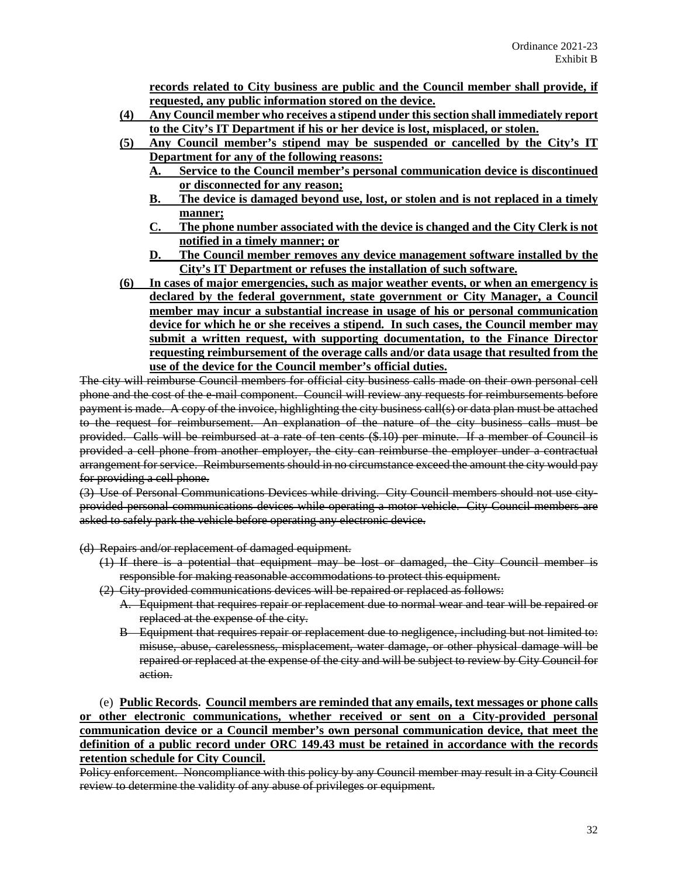**records related to City business are public and the Council member shall provide, if requested, any public information stored on the device.**

- **(4) Any Council member who receives a stipend under this section shall immediately report to the City's IT Department if his or her device is lost, misplaced, or stolen.**
- **(5) Any Council member's stipend may be suspended or cancelled by the City's IT Department for any of the following reasons:**
	- **A. Service to the Council member's personal communication device is discontinued or disconnected for any reason;**
	- **B. The device is damaged beyond use, lost, or stolen and is not replaced in a timely manner;**
	- **C. The phone number associated with the device is changed and the City Clerk is not notified in a timely manner; or**
	- **D. The Council member removes any device management software installed by the City's IT Department or refuses the installation of such software.**
- **(6) In cases of major emergencies, such as major weather events, or when an emergency is declared by the federal government, state government or City Manager, a Council member may incur a substantial increase in usage of his or personal communication device for which he or she receives a stipend. In such cases, the Council member may submit a written request, with supporting documentation, to the Finance Director requesting reimbursement of the overage calls and/or data usage that resulted from the use of the device for the Council member's official duties.**

The city will reimburse Council members for official city business calls made on their own personal cell phone and the cost of the e-mail component. Council will review any requests for reimbursements before payment is made. A copy of the invoice, highlighting the city business call(s) or data plan must be attached to the request for reimbursement. An explanation of the nature of the city business calls must be provided. Calls will be reimbursed at a rate of ten cents (\$.10) per minute. If a member of Council is provided a cell phone from another employer, the city can reimburse the employer under a contractual arrangement for service. Reimbursements should in no circumstance exceed the amount the city would pay for providing a cell phone.

(3) Use of Personal Communications Devices while driving. City Council members should not use cityprovided personal communications devices while operating a motor vehicle. City Council members are asked to safely park the vehicle before operating any electronic device.

(d) Repairs and/or replacement of damaged equipment.

- (1) If there is a potential that equipment may be lost or damaged, the City Council member is responsible for making reasonable accommodations to protect this equipment.
- (2) City-provided communications devices will be repaired or replaced as follows:
	- A. Equipment that requires repair or replacement due to normal wear and tear will be repaired or replaced at the expense of the city.
	- B Equipment that requires repair or replacement due to negligence, including but not limited to: misuse, abuse, carelessness, misplacement, water damage, or other physical damage will be repaired or replaced at the expense of the city and will be subject to review by City Council for action.

(e) **Public Records. Council members are reminded that any emails, text messages or phone calls or other electronic communications, whether received or sent on a City-provided personal communication device or a Council member's own personal communication device, that meet the definition of a public record under ORC 149.43 must be retained in accordance with the records retention schedule for City Council.**

Policy enforcement. Noncompliance with this policy by any Council member may result in a City Council review to determine the validity of any abuse of privileges or equipment.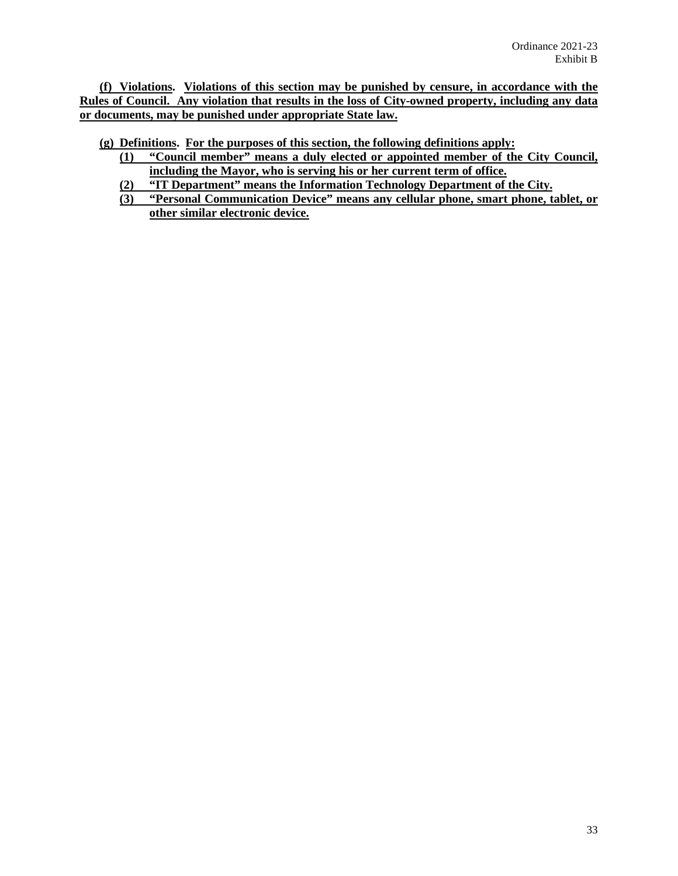**(f) Violations. Violations of this section may be punished by censure, in accordance with the Rules of Council. Any violation that results in the loss of City-owned property, including any data or documents, may be punished under appropriate State law.**

**(g) Definitions. For the purposes of this section, the following definitions apply:**

- **(1) "Council member" means a duly elected or appointed member of the City Council, including the Mayor, who is serving his or her current term of office.**
- **(2) "IT Department" means the Information Technology Department of the City.**
- **(3) "Personal Communication Device" means any cellular phone, smart phone, tablet, or other similar electronic device.**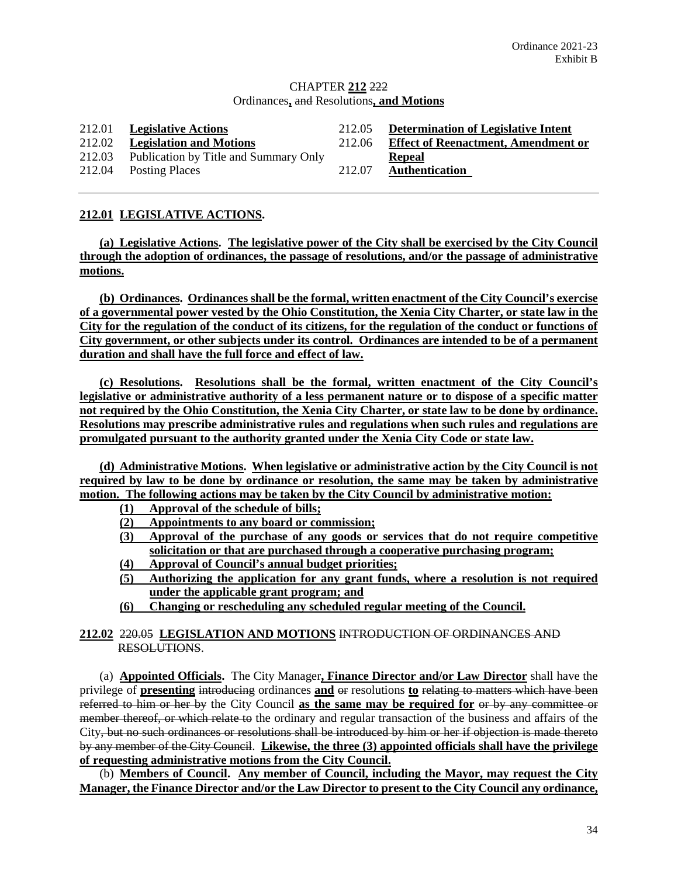## CHAPTER **212** 222 Ordinances**,** and Resolutions**, and Motions**

| 212.01 | <b>Legislative Actions</b>            | 212.05 | <b>Determination of Legislative Intent</b> |
|--------|---------------------------------------|--------|--------------------------------------------|
| 212.02 | <b>Legislation and Motions</b>        | 212.06 | <b>Effect of Reenactment, Amendment or</b> |
| 212.03 | Publication by Title and Summary Only |        | Repeal                                     |
|        | 212.04 Posting Places                 | 212.07 | <b>Authentication</b>                      |

# **212.01 LEGISLATIVE ACTIONS.**

**(a) Legislative Actions. The legislative power of the City shall be exercised by the City Council through the adoption of ordinances, the passage of resolutions, and/or the passage of administrative motions.**

**(b) Ordinances. Ordinances shall be the formal, written enactment of the City Council's exercise of a governmental power vested by the Ohio Constitution, the Xenia City Charter, or state law in the City for the regulation of the conduct of its citizens, for the regulation of the conduct or functions of City government, or other subjects under its control. Ordinances are intended to be of a permanent duration and shall have the full force and effect of law.**

**(c) Resolutions. Resolutions shall be the formal, written enactment of the City Council's legislative or administrative authority of a less permanent nature or to dispose of a specific matter not required by the Ohio Constitution, the Xenia City Charter, or state law to be done by ordinance. Resolutions may prescribe administrative rules and regulations when such rules and regulations are promulgated pursuant to the authority granted under the Xenia City Code or state law.**

**(d) Administrative Motions. When legislative or administrative action by the City Council is not required by law to be done by ordinance or resolution, the same may be taken by administrative motion. The following actions may be taken by the City Council by administrative motion:**

- **(1) Approval of the schedule of bills;**
- **(2) Appointments to any board or commission;**
- **(3) Approval of the purchase of any goods or services that do not require competitive solicitation or that are purchased through a cooperative purchasing program;**
- **(4) Approval of Council's annual budget priorities;**
- **(5) Authorizing the application for any grant funds, where a resolution is not required under the applicable grant program; and**
- **(6) Changing or rescheduling any scheduled regular meeting of the Council.**

**212.02** 220.05 **LEGISLATION AND MOTIONS** INTRODUCTION OF ORDINANCES AND RESOLUTIONS.

(a) **Appointed Officials.** The City Manager**, Finance Director and/or Law Director** shall have the privilege of **presenting** introducing ordinances **and** or resolutions **to** relating to matters which have been referred to him or her by the City Council **as the same may be required for** or by any committee or member thereof, or which relate to the ordinary and regular transaction of the business and affairs of the City, but no such ordinances or resolutions shall be introduced by him or her if objection is made thereto by any member of the City Council. **Likewise, the three (3) appointed officials shall have the privilege of requesting administrative motions from the City Council.** 

(b) **Members of Council. Any member of Council, including the Mayor, may request the City Manager, the Finance Director and/or the Law Director to present to the City Council any ordinance,**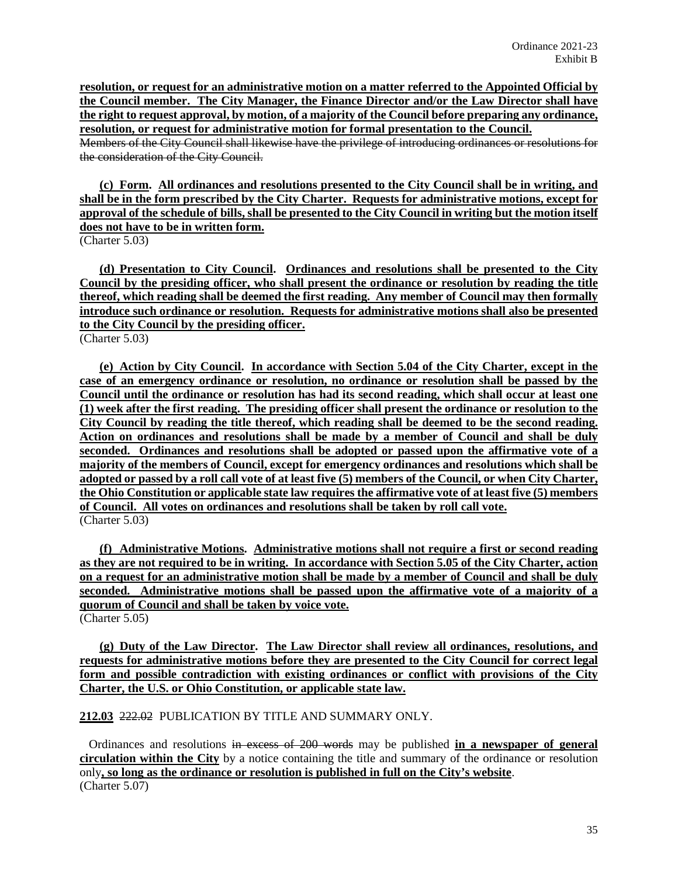**resolution, or request for an administrative motion on a matter referred to the Appointed Official by the Council member. The City Manager, the Finance Director and/or the Law Director shall have the right to request approval, by motion, of a majority of the Council before preparing any ordinance, resolution, or request for administrative motion for formal presentation to the Council.**

Members of the City Council shall likewise have the privilege of introducing ordinances or resolutions for the consideration of the City Council.

**(c) Form. All ordinances and resolutions presented to the City Council shall be in writing, and shall be in the form prescribed by the City Charter. Requests for administrative motions, except for approval of the schedule of bills, shall be presented to the City Council in writing but the motion itself does not have to be in written form.**

(Charter 5.03)

**(d) Presentation to City Council. Ordinances and resolutions shall be presented to the City Council by the presiding officer, who shall present the ordinance or resolution by reading the title thereof, which reading shall be deemed the first reading. Any member of Council may then formally introduce such ordinance or resolution. Requests for administrative motions shall also be presented to the City Council by the presiding officer.**

(Charter 5.03)

**(e) Action by City Council. In accordance with Section 5.04 of the City Charter, except in the case of an emergency ordinance or resolution, no ordinance or resolution shall be passed by the Council until the ordinance or resolution has had its second reading, which shall occur at least one (1) week after the first reading. The presiding officer shall present the ordinance or resolution to the City Council by reading the title thereof, which reading shall be deemed to be the second reading. Action on ordinances and resolutions shall be made by a member of Council and shall be duly seconded. Ordinances and resolutions shall be adopted or passed upon the affirmative vote of a majority of the members of Council, except for emergency ordinances and resolutions which shall be adopted or passed by a roll call vote of at least five (5) members of the Council, or when City Charter, the Ohio Constitution or applicable state law requires the affirmative vote of at least five (5) members of Council. All votes on ordinances and resolutions shall be taken by roll call vote.** (Charter 5.03)

**(f) Administrative Motions. Administrative motions shall not require a first or second reading as they are not required to be in writing. In accordance with Section 5.05 of the City Charter, action on a request for an administrative motion shall be made by a member of Council and shall be duly seconded. Administrative motions shall be passed upon the affirmative vote of a majority of a quorum of Council and shall be taken by voice vote.** (Charter 5.05)

**(g) Duty of the Law Director. The Law Director shall review all ordinances, resolutions, and requests for administrative motions before they are presented to the City Council for correct legal form and possible contradiction with existing ordinances or conflict with provisions of the City Charter, the U.S. or Ohio Constitution, or applicable state law.**

**212.03** 222.02 PUBLICATION BY TITLE AND SUMMARY ONLY.

 Ordinances and resolutions in excess of 200 words may be published **in a newspaper of general circulation within the City** by a notice containing the title and summary of the ordinance or resolution only**, so long as the ordinance or resolution is published in full on the City's website**. (Charter 5.07)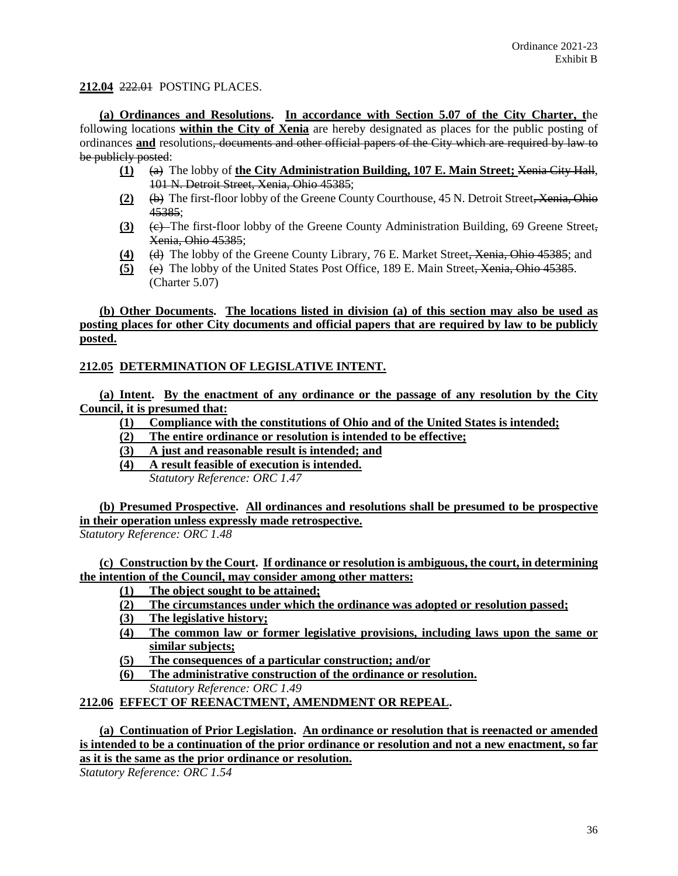# **212.04** 222.01 POSTING PLACES.

**(a) Ordinances and Resolutions. In accordance with Section 5.07 of the City Charter, t**he following locations **within the City of Xenia** are hereby designated as places for the public posting of ordinances **and** resolutions, documents and other official papers of the City which are required by law to be publicly posted:

- **(1)** (a) The lobby of **the City Administration Building, 107 E. Main Street;** Xenia City Hall, 101 N. Detroit Street, Xenia, Ohio 45385;
- **(2)** (b) The first-floor lobby of the Greene County Courthouse, 45 N. Detroit Street, Xenia, Ohio 45385;
- **(3)** (c) The first-floor lobby of the Greene County Administration Building, 69 Greene Street, Xenia, Ohio 45385;
- **(4)** (d) The lobby of the Greene County Library, 76 E. Market Street, Xenia, Ohio 45385; and
- **(5)** (e) The lobby of the United States Post Office, 189 E. Main Street, Xenia, Ohio 45385. (Charter 5.07)

# **(b) Other Documents. The locations listed in division (a) of this section may also be used as posting places for other City documents and official papers that are required by law to be publicly posted.**

# **212.05 DETERMINATION OF LEGISLATIVE INTENT.**

**(a) Intent. By the enactment of any ordinance or the passage of any resolution by the City Council, it is presumed that:**

**(1) Compliance with the constitutions of Ohio and of the United States is intended;**

- **(2) The entire ordinance or resolution is intended to be effective;**
- **(3) A just and reasonable result is intended; and**
- **(4) A result feasible of execution is intended.**

*Statutory Reference: ORC 1.47*

**(b) Presumed Prospective. All ordinances and resolutions shall be presumed to be prospective in their operation unless expressly made retrospective.**

*Statutory Reference: ORC 1.48*

**(c) Construction by the Court. If ordinance or resolution is ambiguous, the court, in determining the intention of the Council, may consider among other matters:**

- **(1) The object sought to be attained;**
- **(2) The circumstances under which the ordinance was adopted or resolution passed;**
- **(3) The legislative history;**
- **(4) The common law or former legislative provisions, including laws upon the same or similar subjects;**
- **(5) The consequences of a particular construction; and/or**
- **(6) The administrative construction of the ordinance or resolution.**  *Statutory Reference: ORC 1.49*
- 

# **212.06 EFFECT OF REENACTMENT, AMENDMENT OR REPEAL.**

**(a) Continuation of Prior Legislation. An ordinance or resolution that is reenacted or amended is intended to be a continuation of the prior ordinance or resolution and not a new enactment, so far as it is the same as the prior ordinance or resolution.**

*Statutory Reference: ORC 1.54*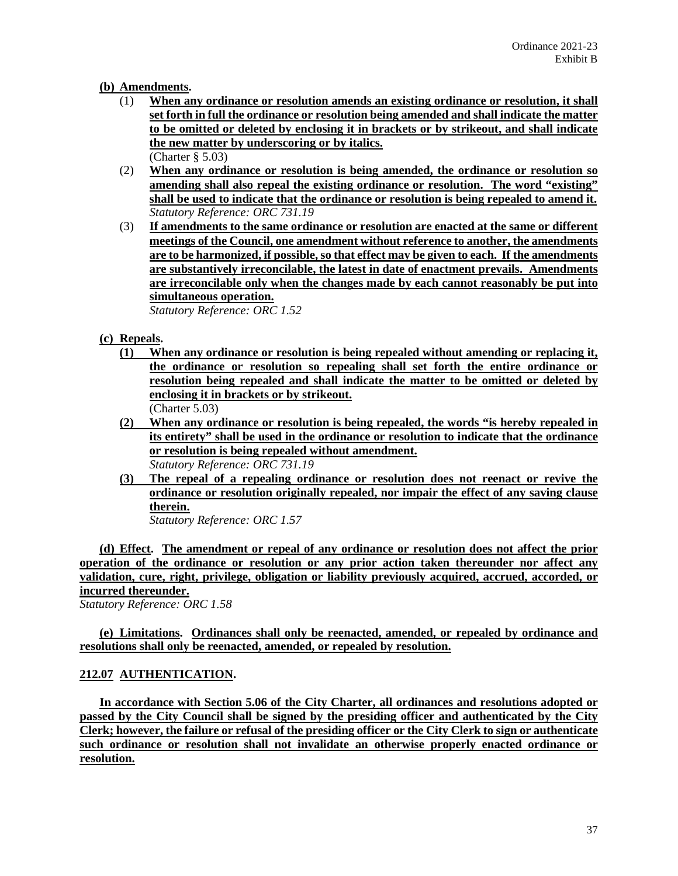# **(b) Amendments.**

- (1) **When any ordinance or resolution amends an existing ordinance or resolution, it shall set forth in full the ordinance or resolution being amended and shall indicate the matter to be omitted or deleted by enclosing it in brackets or by strikeout, and shall indicate the new matter by underscoring or by italics.** (Charter § 5.03)
- (2) **When any ordinance or resolution is being amended, the ordinance or resolution so amending shall also repeal the existing ordinance or resolution. The word "existing" shall be used to indicate that the ordinance or resolution is being repealed to amend it.** *Statutory Reference: ORC 731.19*
- (3) **If amendments to the same ordinance or resolution are enacted at the same or different meetings of the Council, one amendment without reference to another, the amendments are to be harmonized, if possible, so that effect may be given to each. If the amendments are substantively irreconcilable, the latest in date of enactment prevails. Amendments are irreconcilable only when the changes made by each cannot reasonably be put into simultaneous operation.**

*Statutory Reference: ORC 1.52*

- **(c) Repeals.** 
	- **(1) When any ordinance or resolution is being repealed without amending or replacing it, the ordinance or resolution so repealing shall set forth the entire ordinance or resolution being repealed and shall indicate the matter to be omitted or deleted by enclosing it in brackets or by strikeout.** (Charter 5.03)
	- **(2) When any ordinance or resolution is being repealed, the words "is hereby repealed in its entirety" shall be used in the ordinance or resolution to indicate that the ordinance or resolution is being repealed without amendment.** *Statutory Reference: ORC 731.19*
	- **(3) The repeal of a repealing ordinance or resolution does not reenact or revive the ordinance or resolution originally repealed, nor impair the effect of any saving clause therein.**

*Statutory Reference: ORC 1.57*

**(d) Effect. The amendment or repeal of any ordinance or resolution does not affect the prior operation of the ordinance or resolution or any prior action taken thereunder nor affect any validation, cure, right, privilege, obligation or liability previously acquired, accrued, accorded, or incurred thereunder.**

*Statutory Reference: ORC 1.58*

**(e) Limitations. Ordinances shall only be reenacted, amended, or repealed by ordinance and resolutions shall only be reenacted, amended, or repealed by resolution.**

# **212.07 AUTHENTICATION.**

**In accordance with Section 5.06 of the City Charter, all ordinances and resolutions adopted or passed by the City Council shall be signed by the presiding officer and authenticated by the City Clerk; however, the failure or refusal of the presiding officer or the City Clerk to sign or authenticate such ordinance or resolution shall not invalidate an otherwise properly enacted ordinance or resolution.**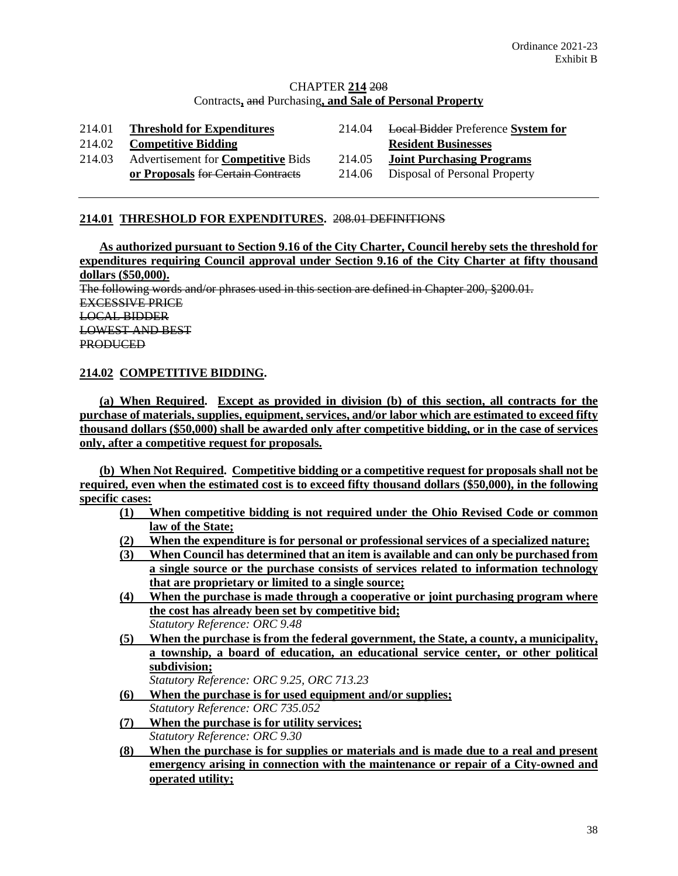# CHAPTER **214** 208 Contracts**,** and Purchasing**, and Sale of Personal Property**

| 214.01 | <b>Threshold for Expenditures</b>         | 214.04 | <b>Local Bidder Preference System for</b> |
|--------|-------------------------------------------|--------|-------------------------------------------|
| 214.02 | <b>Competitive Bidding</b>                |        | <b>Resident Businesses</b>                |
| 214.03 | Advertisement for <b>Competitive</b> Bids | 214.05 | <b>Joint Purchasing Programs</b>          |
|        | or Proposals for Certain Contracts        | 214.06 | Disposal of Personal Property             |

# **214.01 THRESHOLD FOR EXPENDITURES.** 208.01 DEFINITIONS

**As authorized pursuant to Section 9.16 of the City Charter, Council hereby sets the threshold for expenditures requiring Council approval under Section 9.16 of the City Charter at fifty thousand dollars (\$50,000).** The following words and/or phrases used in this section are defined in Chapter 200, §200.01. EXCESSIVE PRICE LOCAL BIDDER LOWEST AND BEST PRODUCED

# **214.02 COMPETITIVE BIDDING.**

**(a) When Required. Except as provided in division (b) of this section, all contracts for the purchase of materials, supplies, equipment, services, and/or labor which are estimated to exceed fifty thousand dollars (\$50,000) shall be awarded only after competitive bidding, or in the case of services only, after a competitive request for proposals.**

**(b) When Not Required. Competitive bidding or a competitive request for proposals shall not be required, even when the estimated cost is to exceed fifty thousand dollars (\$50,000), in the following specific cases:**

- **(1) When competitive bidding is not required under the Ohio Revised Code or common law of the State;**
- **(2) When the expenditure is for personal or professional services of a specialized nature;**
- **(3) When Council has determined that an item is available and can only be purchased from a single source or the purchase consists of services related to information technology that are proprietary or limited to a single source;**
- **(4) When the purchase is made through a cooperative or joint purchasing program where the cost has already been set by competitive bid;** *Statutory Reference: ORC 9.48*
- **(5) When the purchase is from the federal government, the State, a county, a municipality, a township, a board of education, an educational service center, or other political subdivision;**

*Statutory Reference: ORC 9.25, ORC 713.23*

- **(6) When the purchase is for used equipment and/or supplies;** *Statutory Reference: ORC 735.052*
- **(7) When the purchase is for utility services;** *Statutory Reference: ORC 9.30*
- **(8) When the purchase is for supplies or materials and is made due to a real and present emergency arising in connection with the maintenance or repair of a City-owned and operated utility;**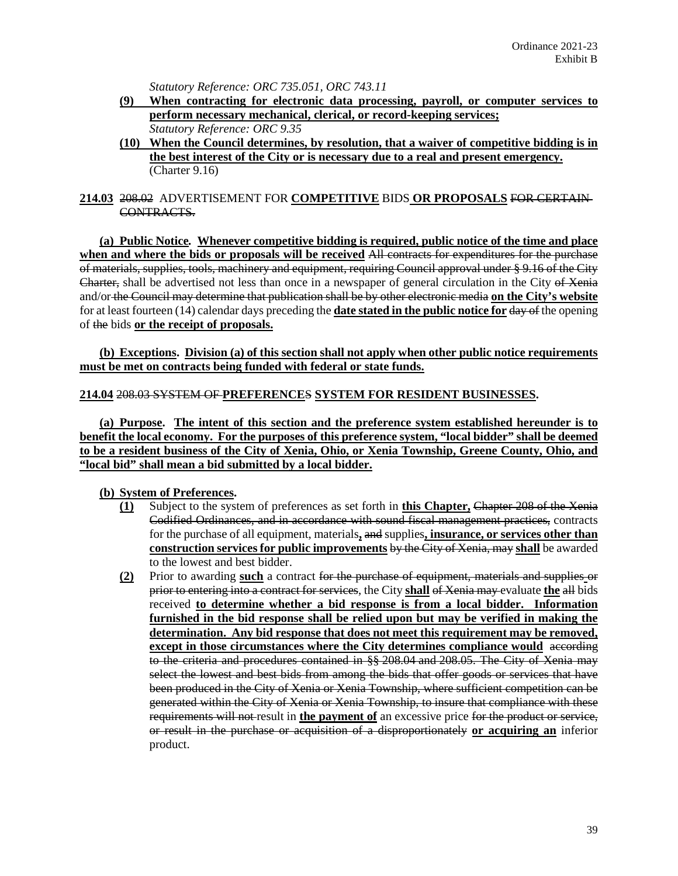*Statutory Reference: ORC 735.051, ORC 743.11*

- **(9) When contracting for electronic data processing, payroll, or computer services to perform necessary mechanical, clerical, or record-keeping services;** *Statutory Reference: ORC 9.35*
- **(10) When the Council determines, by resolution, that a waiver of competitive bidding is in the best interest of the City or is necessary due to a real and present emergency.** (Charter 9.16)

# **214.03** 208.02 ADVERTISEMENT FOR **COMPETITIVE** BIDS **OR PROPOSALS** FOR CERTAIN CONTRACTS.

**(a) Public Notice***.* **Whenever competitive bidding is required, public notice of the time and place when and where the bids or proposals will be received** All contracts for expenditures for the purchase of materials, supplies, tools, machinery and equipment, requiring Council approval under § 9.16 of the City Charter, shall be advertised not less than once in a newspaper of general circulation in the City of Xenia and/or the Council may determine that publication shall be by other electronic media **on the City's website** for at least fourteen (14) calendar days preceding the **date stated in the public notice for** day of the opening of the bids **or the receipt of proposals.**

**(b) Exceptions. Division (a) of this section shall not apply when other public notice requirements must be met on contracts being funded with federal or state funds.**

## **214.04** 208.03 SYSTEM OF **PREFERENCE**S **SYSTEM FOR RESIDENT BUSINESSES.**

**(a) Purpose. The intent of this section and the preference system established hereunder is to benefit the local economy. For the purposes of this preference system, "local bidder" shall be deemed to be a resident business of the City of Xenia, Ohio, or Xenia Township, Greene County, Ohio, and "local bid" shall mean a bid submitted by a local bidder.**

# **(b) System of Preferences.**

- **(1)** Subject to the system of preferences as set forth in **this Chapter,** Chapter 208 of the Xenia Codified Ordinances, and in accordance with sound fiscal management practices, contracts for the purchase of all equipment, materials**,** and supplies**, insurance, or services other than construction services for public improvements** by the City of Xenia, may **shall** be awarded to the lowest and best bidder.
- **(2)** Prior to awarding **such** a contract for the purchase of equipment, materials and supplies or prior to entering into a contract for services, the City **shall** of Xenia may evaluate **the** all bids received **to determine whether a bid response is from a local bidder. Information furnished in the bid response shall be relied upon but may be verified in making the determination. Any bid response that does not meet this requirement may be removed, except in those circumstances where the City determines compliance would** according to the criteria and procedures contained in §§ 208.04 and 208.05. The City of Xenia may select the lowest and best bids from among the bids that offer goods or services that have been produced in the City of Xenia or Xenia Township, where sufficient competition can be generated within the City of Xenia or Xenia Township, to insure that compliance with these requirements will not result in **the payment of** an excessive price for the product or service, or result in the purchase or acquisition of a disproportionately **or acquiring an** inferior product.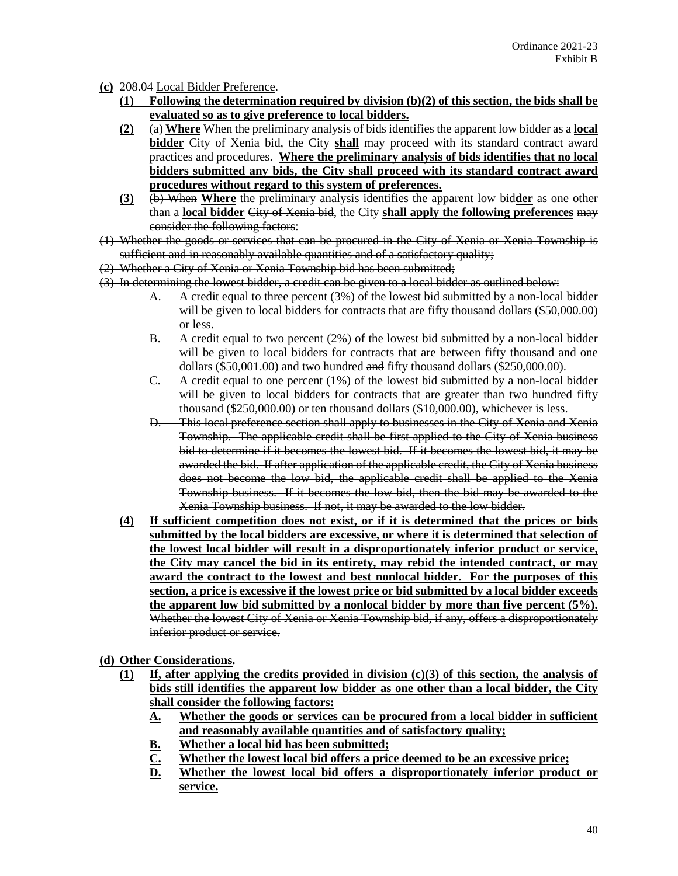- **(c)** 208.04 Local Bidder Preference.
	- **(1) Following the determination required by division (b)(2) of this section, the bids shall be evaluated so as to give preference to local bidders.**
	- **(2)** (a) **Where** When the preliminary analysis of bids identifies the apparent low bidder as a **local bidder** City of Xenia bid, the City **shall** may proceed with its standard contract award practices and procedures. **Where the preliminary analysis of bids identifies that no local bidders submitted any bids, the City shall proceed with its standard contract award procedures without regard to this system of preferences.**
	- **(3)** (b) When **Where** the preliminary analysis identifies the apparent low bid**der** as one other than a **local bidder** City of Xenia bid, the City **shall apply the following preferences** may consider the following factors:
- (1) Whether the goods or services that can be procured in the City of Xenia or Xenia Township is sufficient and in reasonably available quantities and of a satisfactory quality;
- (2) Whether a City of Xenia or Xenia Township bid has been submitted;
- (3) In determining the lowest bidder, a credit can be given to a local bidder as outlined below:
	- A. A credit equal to three percent (3%) of the lowest bid submitted by a non-local bidder will be given to local bidders for contracts that are fifty thousand dollars (\$50,000.00) or less.
	- B. A credit equal to two percent (2%) of the lowest bid submitted by a non-local bidder will be given to local bidders for contracts that are between fifty thousand and one dollars (\$50,001.00) and two hundred and fifty thousand dollars (\$250,000.00).
	- C. A credit equal to one percent (1%) of the lowest bid submitted by a non-local bidder will be given to local bidders for contracts that are greater than two hundred fifty thousand (\$250,000.00) or ten thousand dollars (\$10,000.00), whichever is less.
	- D. This local preference section shall apply to businesses in the City of Xenia and Xenia Township. The applicable credit shall be first applied to the City of Xenia business bid to determine if it becomes the lowest bid. If it becomes the lowest bid, it may be awarded the bid. If after application of the applicable credit, the City of Xenia business does not become the low bid, the applicable credit shall be applied to the Xenia Township business. If it becomes the low bid, then the bid may be awarded to the Xenia Township business. If not, it may be awarded to the low bidder.
	- **(4) If sufficient competition does not exist, or if it is determined that the prices or bids submitted by the local bidders are excessive, or where it is determined that selection of the lowest local bidder will result in a disproportionately inferior product or service, the City may cancel the bid in its entirety, may rebid the intended contract, or may award the contract to the lowest and best nonlocal bidder. For the purposes of this section, a price is excessive if the lowest price or bid submitted by a local bidder exceeds the apparent low bid submitted by a nonlocal bidder by more than five percent (5%).**  Whether the lowest City of Xenia or Xenia Township bid, if any, offers a disproportionately inferior product or service.

**(d) Other Considerations.** 

- **(1) If, after applying the credits provided in division (c)(3) of this section, the analysis of bids still identifies the apparent low bidder as one other than a local bidder, the City shall consider the following factors:**
	- **A. Whether the goods or services can be procured from a local bidder in sufficient and reasonably available quantities and of satisfactory quality;**
	-
	- **B.** Whether a local bid has been submitted;<br>
	<u>C.</u> Whether the lowest local bid offers a prior **C. Whether the lowest local bid offers a price deemed to be an excessive price;**
	- **D. Whether the lowest local bid offers a disproportionately inferior product or service.**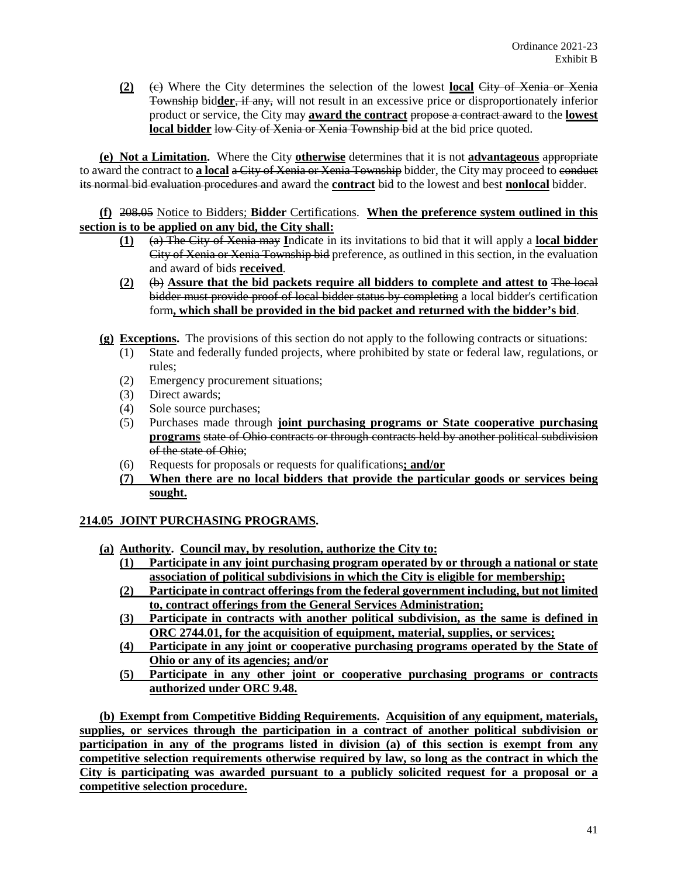**(2)** (c) Where the City determines the selection of the lowest **local** City of Xenia or Xenia Township bid**der**, if any, will not result in an excessive price or disproportionately inferior product or service, the City may **award the contract** propose a contract award to the **lowest local bidder** low City of Xenia or Xenia Township bid at the bid price quoted.

**(e) Not a Limitation.** Where the City **otherwise** determines that it is not **advantageous** appropriate to award the contract to **a local** a City of Xenia or Xenia Township bidder, the City may proceed to conduct its normal bid evaluation procedures and award the **contract** bid to the lowest and best **nonlocal** bidder.

**(f)** 208.05 Notice to Bidders; **Bidder** Certifications. **When the preference system outlined in this section is to be applied on any bid, the City shall:**

- **(1)** (a) The City of Xenia may **I**ndicate in its invitations to bid that it will apply a **local bidder** City of Xenia or Xenia Township bid preference, as outlined in this section, in the evaluation and award of bids **received**.
- **(2)** (b) **Assure that the bid packets require all bidders to complete and attest to** The local bidder must provide proof of local bidder status by completing a local bidder's certification form**, which shall be provided in the bid packet and returned with the bidder's bid**.
- **(g) Exceptions.** The provisions of this section do not apply to the following contracts or situations:
	- (1) State and federally funded projects, where prohibited by state or federal law, regulations, or rules;
	- (2) Emergency procurement situations;
	- (3) Direct awards;
	- (4) Sole source purchases;
	- (5) Purchases made through **joint purchasing programs or State cooperative purchasing programs** state of Ohio contracts or through contracts held by another political subdivision of the state of Ohio;
	- (6) Requests for proposals or requests for qualifications**; and/or**
	- **(7) When there are no local bidders that provide the particular goods or services being sought.**

# **214.05 JOINT PURCHASING PROGRAMS.**

- **(a) Authority. Council may, by resolution, authorize the City to:**
	- **(1) Participate in any joint purchasing program operated by or through a national or state association of political subdivisions in which the City is eligible for membership;**
	- **(2) Participate in contract offerings from the federal government including, but not limited to, contract offerings from the General Services Administration;**
	- **(3) Participate in contracts with another political subdivision, as the same is defined in ORC 2744.01, for the acquisition of equipment, material, supplies, or services;**
	- **(4) Participate in any joint or cooperative purchasing programs operated by the State of Ohio or any of its agencies; and/or**
	- **(5) Participate in any other joint or cooperative purchasing programs or contracts authorized under ORC 9.48.**

**(b) Exempt from Competitive Bidding Requirements. Acquisition of any equipment, materials, supplies, or services through the participation in a contract of another political subdivision or participation in any of the programs listed in division (a) of this section is exempt from any competitive selection requirements otherwise required by law, so long as the contract in which the City is participating was awarded pursuant to a publicly solicited request for a proposal or a competitive selection procedure.**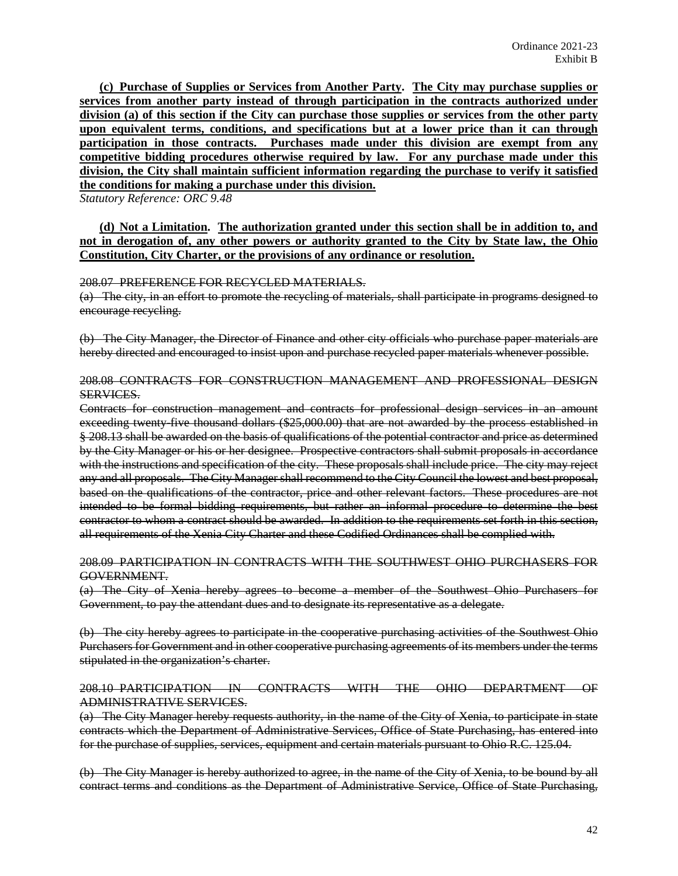**(c) Purchase of Supplies or Services from Another Party. The City may purchase supplies or services from another party instead of through participation in the contracts authorized under division (a) of this section if the City can purchase those supplies or services from the other party upon equivalent terms, conditions, and specifications but at a lower price than it can through participation in those contracts. Purchases made under this division are exempt from any competitive bidding procedures otherwise required by law. For any purchase made under this division, the City shall maintain sufficient information regarding the purchase to verify it satisfied the conditions for making a purchase under this division.**

*Statutory Reference: ORC 9.48*

**(d) Not a Limitation. The authorization granted under this section shall be in addition to, and not in derogation of, any other powers or authority granted to the City by State law, the Ohio Constitution, City Charter, or the provisions of any ordinance or resolution.**

#### 208.07 PREFERENCE FOR RECYCLED MATERIALS.

(a) The city, in an effort to promote the recycling of materials, shall participate in programs designed to encourage recycling.

(b) The City Manager, the Director of Finance and other city officials who purchase paper materials are hereby directed and encouraged to insist upon and purchase recycled paper materials whenever possible.

#### 208.08 CONTRACTS FOR CONSTRUCTION MANAGEMENT AND PROFESSIONAL DESIGN SERVICES.

Contracts for construction management and contracts for professional design services in an amount exceeding twenty-five thousand dollars (\$25,000.00) that are not awarded by the process established in § 208.13 shall be awarded on the basis of qualifications of the potential contractor and price as determined by the City Manager or his or her designee. Prospective contractors shall submit proposals in accordance with the instructions and specification of the city. These proposals shall include price. The city may reject any and all proposals. The City Manager shall recommend to the City Council the lowest and best proposal, based on the qualifications of the contractor, price and other relevant factors. These procedures are not intended to be formal bidding requirements, but rather an informal procedure to determine the best contractor to whom a contract should be awarded. In addition to the requirements set forth in this section, all requirements of the Xenia City Charter and these Codified Ordinances shall be complied with.

#### 208.09 PARTICIPATION IN CONTRACTS WITH THE SOUTHWEST OHIO PURCHASERS FOR GOVERNMENT.

(a) The City of Xenia hereby agrees to become a member of the Southwest Ohio Purchasers for Government, to pay the attendant dues and to designate its representative as a delegate.

(b) The city hereby agrees to participate in the cooperative purchasing activities of the Southwest Ohio Purchasers for Government and in other cooperative purchasing agreements of its members under the terms stipulated in the organization's charter.

## 208.10 PARTICIPATION IN CONTRACTS WITH THE OHIO DEPARTMENT OF ADMINISTRATIVE SERVICES.

(a) The City Manager hereby requests authority, in the name of the City of Xenia, to participate in state contracts which the Department of Administrative Services, Office of State Purchasing, has entered into for the purchase of supplies, services, equipment and certain materials pursuant to Ohio R.C. 125.04.

(b) The City Manager is hereby authorized to agree, in the name of the City of Xenia, to be bound by all contract terms and conditions as the Department of Administrative Service, Office of State Purchasing,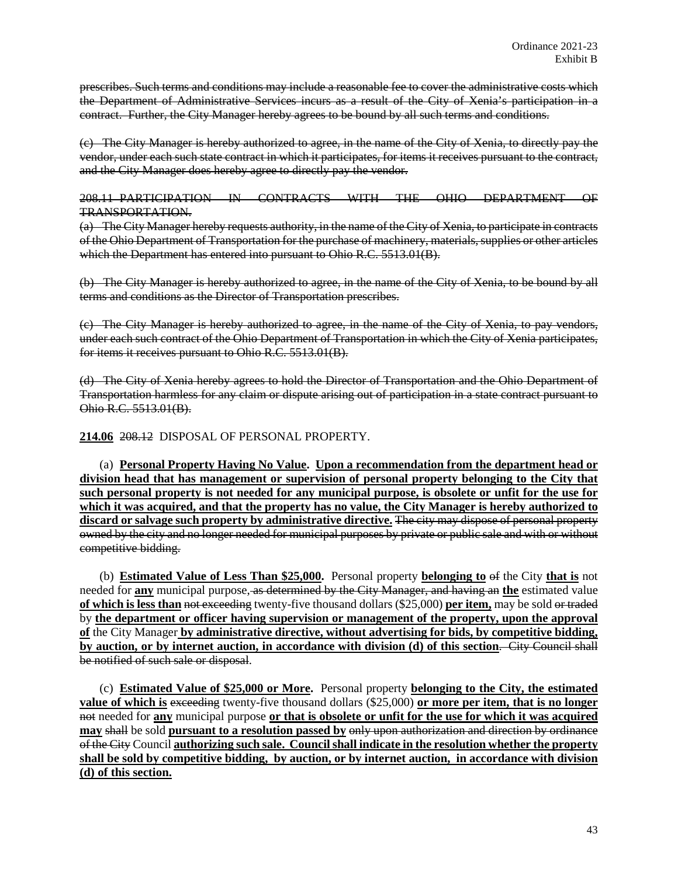prescribes. Such terms and conditions may include a reasonable fee to cover the administrative costs which the Department of Administrative Services incurs as a result of the City of Xenia's participation in a contract. Further, the City Manager hereby agrees to be bound by all such terms and conditions.

(c) The City Manager is hereby authorized to agree, in the name of the City of Xenia, to directly pay the vendor, under each such state contract in which it participates, for items it receives pursuant to the contract, and the City Manager does hereby agree to directly pay the vendor.

208.11 PARTICIPATION IN CONTRACTS WITH THE OHIO DEPARTMENT OF TRANSPORTATION.

(a) The City Manager hereby requests authority, in the name of the City of Xenia, to participate in contracts of the Ohio Department of Transportation for the purchase of machinery, materials, supplies or other articles which the Department has entered into pursuant to Ohio R.C. 5513.01(B).

(b) The City Manager is hereby authorized to agree, in the name of the City of Xenia, to be bound by all terms and conditions as the Director of Transportation prescribes.

(c) The City Manager is hereby authorized to agree, in the name of the City of Xenia, to pay vendors, under each such contract of the Ohio Department of Transportation in which the City of Xenia participates, for items it receives pursuant to Ohio R.C. 5513.01(B).

(d) The City of Xenia hereby agrees to hold the Director of Transportation and the Ohio Department of Transportation harmless for any claim or dispute arising out of participation in a state contract pursuant to Ohio R.C. 5513.01(B).

**214.06** 208.12 DISPOSAL OF PERSONAL PROPERTY.

(a) **Personal Property Having No Value. Upon a recommendation from the department head or division head that has management or supervision of personal property belonging to the City that such personal property is not needed for any municipal purpose, is obsolete or unfit for the use for which it was acquired, and that the property has no value, the City Manager is hereby authorized to discard or salvage such property by administrative directive.** The city may dispose of personal property owned by the city and no longer needed for municipal purposes by private or public sale and with or without competitive bidding.

(b) **Estimated Value of Less Than \$25,000.** Personal property **belonging to** of the City **that is** not needed for **any** municipal purpose, as determined by the City Manager, and having an **the** estimated value **of which is less than** not exceeding twenty-five thousand dollars (\$25,000) **per item,** may be sold or traded by **the department or officer having supervision or management of the property, upon the approval of** the City Manager **by administrative directive, without advertising for bids, by competitive bidding, by auction, or by internet auction, in accordance with division (d) of this section**. City Council shall be notified of such sale or disposal.

(c) **Estimated Value of \$25,000 or More.** Personal property **belonging to the City, the estimated value of which is exceeding twenty-five thousand dollars (\$25,000) or more per item, that is no longer** not needed for **any** municipal purpose **or that is obsolete or unfit for the use for which it was acquired may** shall be sold **pursuant to a resolution passed by** only upon authorization and direction by ordinance of the City Council **authorizing such sale. Council shall indicate in the resolution whether the property shall be sold by competitive bidding, by auction, or by internet auction, in accordance with division (d) of this section.**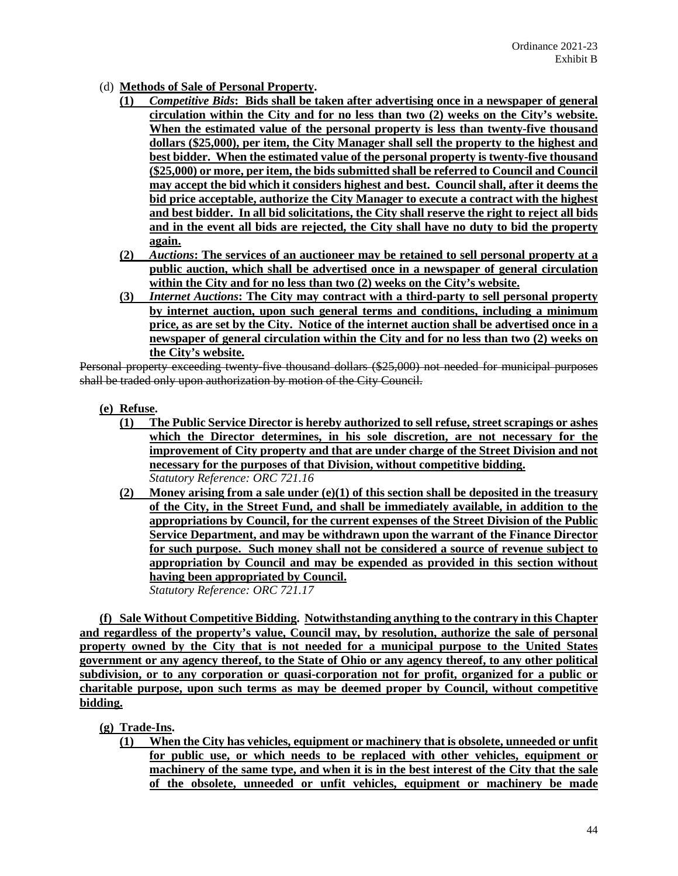- (d) **Methods of Sale of Personal Property.**
	- **(1)** *Competitive Bids***: Bids shall be taken after advertising once in a newspaper of general circulation within the City and for no less than two (2) weeks on the City's website. When the estimated value of the personal property is less than twenty-five thousand dollars (\$25,000), per item, the City Manager shall sell the property to the highest and best bidder. When the estimated value of the personal property is twenty-five thousand (\$25,000) or more, per item, the bids submitted shall be referred to Council and Council may accept the bid which it considers highest and best. Council shall, after it deems the bid price acceptable, authorize the City Manager to execute a contract with the highest and best bidder. In all bid solicitations, the City shall reserve the right to reject all bids and in the event all bids are rejected, the City shall have no duty to bid the property again.**
	- **(2)** *Auctions***: The services of an auctioneer may be retained to sell personal property at a public auction, which shall be advertised once in a newspaper of general circulation within the City and for no less than two (2) weeks on the City's website.**
	- **(3)** *Internet Auctions***: The City may contract with a third-party to sell personal property by internet auction, upon such general terms and conditions, including a minimum price, as are set by the City. Notice of the internet auction shall be advertised once in a newspaper of general circulation within the City and for no less than two (2) weeks on the City's website.**

Personal property exceeding twenty-five thousand dollars (\$25,000) not needed for municipal purposes shall be traded only upon authorization by motion of the City Council.

- **(e) Refuse.**
	- **(1) The Public Service Director is hereby authorized to sell refuse, street scrapings or ashes which the Director determines, in his sole discretion, are not necessary for the improvement of City property and that are under charge of the Street Division and not necessary for the purposes of that Division, without competitive bidding.** *Statutory Reference: ORC 721.16*
	- **(2) Money arising from a sale under (e)(1) of this section shall be deposited in the treasury of the City, in the Street Fund, and shall be immediately available, in addition to the appropriations by Council, for the current expenses of the Street Division of the Public Service Department, and may be withdrawn upon the warrant of the Finance Director for such purpose. Such money shall not be considered a source of revenue subject to appropriation by Council and may be expended as provided in this section without having been appropriated by Council.** *Statutory Reference: ORC 721.17*

**(f) Sale Without Competitive Bidding. Notwithstanding anything to the contrary in this Chapter and regardless of the property's value, Council may, by resolution, authorize the sale of personal property owned by the City that is not needed for a municipal purpose to the United States government or any agency thereof, to the State of Ohio or any agency thereof, to any other political subdivision, or to any corporation or quasi-corporation not for profit, organized for a public or charitable purpose, upon such terms as may be deemed proper by Council, without competitive bidding.** 

- **(g) Trade-Ins.** 
	- **(1) When the City has vehicles, equipment or machinery that is obsolete, unneeded or unfit for public use, or which needs to be replaced with other vehicles, equipment or machinery of the same type, and when it is in the best interest of the City that the sale of the obsolete, unneeded or unfit vehicles, equipment or machinery be made**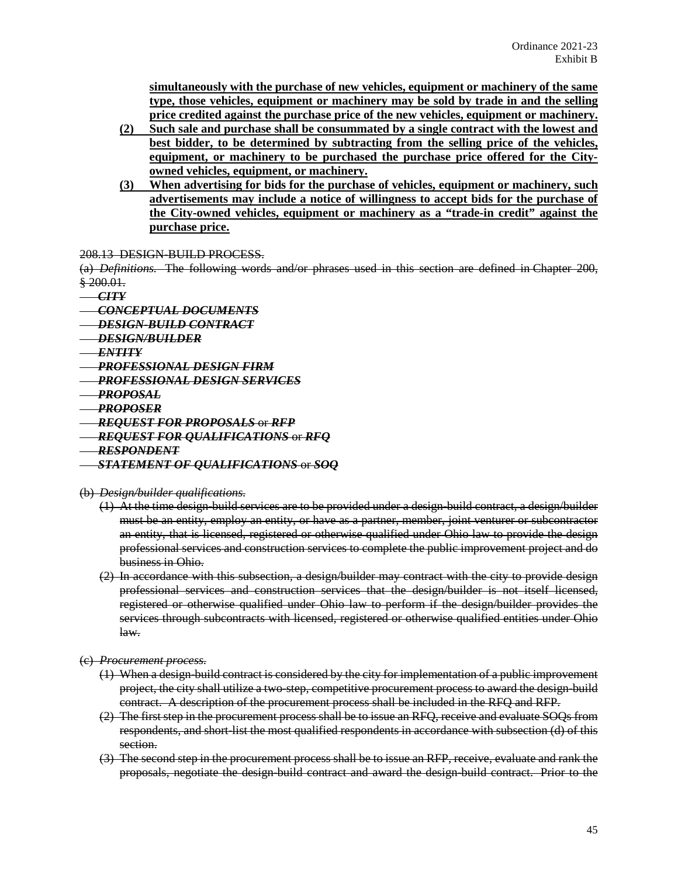**simultaneously with the purchase of new vehicles, equipment or machinery of the same type, those vehicles, equipment or machinery may be sold by trade in and the selling price credited against the purchase price of the new vehicles, equipment or machinery.** 

- **(2) Such sale and purchase shall be consummated by a single contract with the lowest and best bidder, to be determined by subtracting from the selling price of the vehicles, equipment, or machinery to be purchased the purchase price offered for the Cityowned vehicles, equipment, or machinery.**
- **(3) When advertising for bids for the purchase of vehicles, equipment or machinery, such advertisements may include a notice of willingness to accept bids for the purchase of the City-owned vehicles, equipment or machinery as a "trade-in credit" against the purchase price.**

#### 208.13 DESIGN-BUILD PROCESS.

(a) *Definitions.* The following words and/or phrases used in this section are defined in Chapter 200, § 200.01.

- *CITY*
- *CONCEPTUAL DOCUMENTS*
- *DESIGN-BUILD CONTRACT*
- *DESIGN/BUILDER*
- *ENTITY*
- *PROFESSIONAL DESIGN FIRM*
- *PROFESSIONAL DESIGN SERVICES*
- *PROPOSAL*
- *PROPOSER*
- *REQUEST FOR PROPOSALS* or *RFP*

#### *REQUEST FOR QUALIFICATIONS* or *RFQ*

*RESPONDENT*

#### *STATEMENT OF QUALIFICATIONS* or *SOQ*

#### (b) *Design/builder qualifications.*

- (1) At the time design-build services are to be provided under a design-build contract, a design/builder must be an entity, employ an entity, or have as a partner, member, joint venturer or subcontractor an entity, that is licensed, registered or otherwise qualified under Ohio law to provide the design professional services and construction services to complete the public improvement project and do business in Ohio.
- $(2)$  In accordance with this subsection, a design/builder may contract with the city to provide design professional services and construction services that the design/builder is not itself licensed, registered or otherwise qualified under Ohio law to perform if the design/builder provides the services through subcontracts with licensed, registered or otherwise qualified entities under Ohio law.
- (c) *Procurement process.*
	- (1) When a design-build contract is considered by the city for implementation of a public improvement project, the city shall utilize a two-step, competitive procurement process to award the design-build contract. A description of the procurement process shall be included in the RFQ and RFP.
	- (2) The first step in the procurement process shall be to issue an RFQ, receive and evaluate SOQs from respondents, and short-list the most qualified respondents in accordance with subsection (d) of this section.
	- (3) The second step in the procurement process shall be to issue an RFP, receive, evaluate and rank the proposals, negotiate the design-build contract and award the design-build contract. Prior to the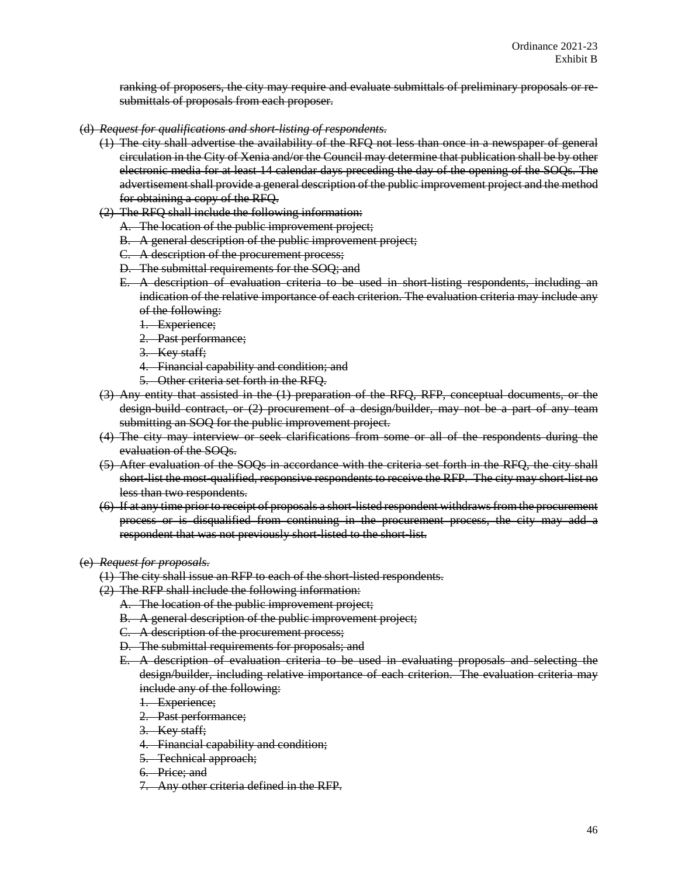ranking of proposers, the city may require and evaluate submittals of preliminary proposals or resubmittals of proposals from each proposer.

- (d) *Request for qualifications and short-listing of respondents.*
	- (1) The city shall advertise the availability of the RFQ not less than once in a newspaper of general circulation in the City of Xenia and/or the Council may determine that publication shall be by other electronic media for at least 14 calendar days preceding the day of the opening of the SOQs. The advertisement shall provide a general description of the public improvement project and the method for obtaining a copy of the RFQ.
	- (2) The RFQ shall include the following information:
		- A. The location of the public improvement project;
		- B. A general description of the public improvement project;
		- C. A description of the procurement process;
		- D. The submittal requirements for the SOQ; and
		- E. A description of evaluation criteria to be used in short-listing respondents, including an indication of the relative importance of each criterion. The evaluation criteria may include any of the following:
			- 1. Experience;
			- 2. Past performance;
			- 3. Key staff;
			- 4. Financial capability and condition; and
			- 5. Other criteria set forth in the RFQ.
	- (3) Any entity that assisted in the (1) preparation of the RFQ, RFP, conceptual documents, or the design-build contract, or (2) procurement of a design/builder, may not be a part of any team submitting an SOQ for the public improvement project.
	- (4) The city may interview or seek clarifications from some or all of the respondents during the evaluation of the SOQs.
	- (5) After evaluation of the SOQs in accordance with the criteria set forth in the RFQ, the city shall short-list the most-qualified, responsive respondents to receive the RFP. The city may short-list no less than two respondents.
	- (6) If at any time prior to receipt of proposals a short-listed respondent withdraws from the procurement process or is disqualified from continuing in the procurement process, the city may add a respondent that was not previously short-listed to the short-list.

#### (e) *Request for proposals.*

- (1) The city shall issue an RFP to each of the short-listed respondents.
- (2) The RFP shall include the following information:
	- A. The location of the public improvement project;
	- B. A general description of the public improvement project;
	- C. A description of the procurement process;
	- D. The submittal requirements for proposals; and
	- E. A description of evaluation criteria to be used in evaluating proposals and selecting the design/builder, including relative importance of each criterion. The evaluation criteria may include any of the following:
		- 1. Experience;
		- 2. Past performance;
		- 3. Key staff;
		- 4. Financial capability and condition;
		- 5. Technical approach;
		- 6. Price; and
		- 7. Any other criteria defined in the RFP.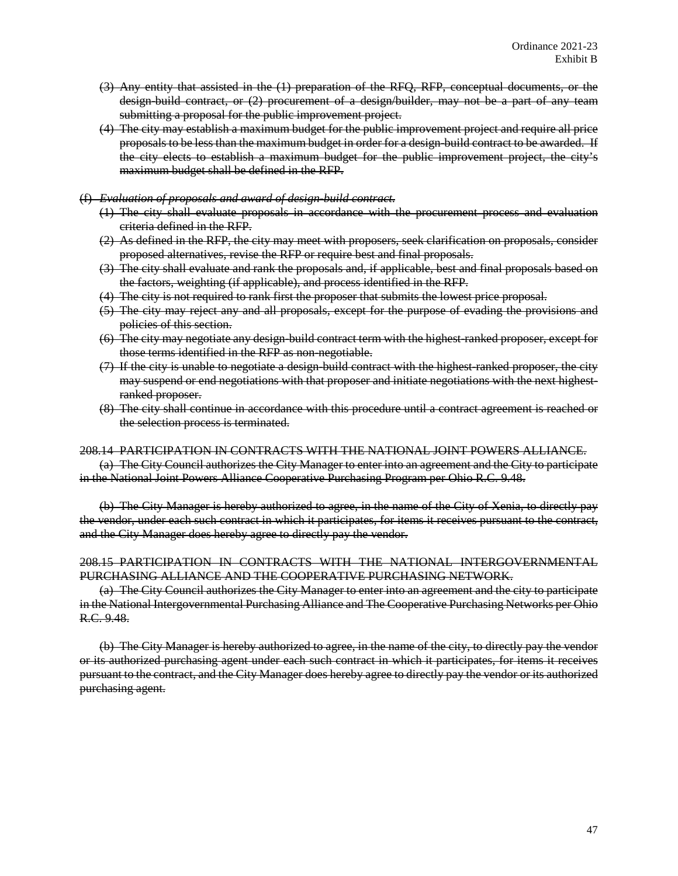- (3) Any entity that assisted in the (1) preparation of the RFQ, RFP, conceptual documents, or the design-build contract, or (2) procurement of a design/builder, may not be a part of any team submitting a proposal for the public improvement project.
- (4) The city may establish a maximum budget for the public improvement project and require all price proposals to be less than the maximum budget in order for a design-build contract to be awarded. If the city elects to establish a maximum budget for the public improvement project, the city's maximum budget shall be defined in the RFP.

#### (f) *Evaluation of proposals and award of design-build contract.*

- (1) The city shall evaluate proposals in accordance with the procurement process and evaluation criteria defined in the RFP.
- (2) As defined in the RFP, the city may meet with proposers, seek clarification on proposals, consider proposed alternatives, revise the RFP or require best and final proposals.
- (3) The city shall evaluate and rank the proposals and, if applicable, best and final proposals based on the factors, weighting (if applicable), and process identified in the RFP.
- (4) The city is not required to rank first the proposer that submits the lowest price proposal.
- (5) The city may reject any and all proposals, except for the purpose of evading the provisions and policies of this section.
- (6) The city may negotiate any design-build contract term with the highest-ranked proposer, except for those terms identified in the RFP as non-negotiable.
- (7) If the city is unable to negotiate a design-build contract with the highest-ranked proposer, the city may suspend or end negotiations with that proposer and initiate negotiations with the next highestranked proposer.
- (8) The city shall continue in accordance with this procedure until a contract agreement is reached or the selection process is terminated.

#### 208.14 PARTICIPATION IN CONTRACTS WITH THE NATIONAL JOINT POWERS ALLIANCE.

(a) The City Council authorizes the City Manager to enter into an agreement and the City to participate in the National Joint Powers Alliance Cooperative Purchasing Program per Ohio R.C. 9.48.

(b) The City Manager is hereby authorized to agree, in the name of the City of Xenia, to directly pay the vendor, under each such contract in which it participates, for items it receives pursuant to the contract, and the City Manager does hereby agree to directly pay the vendor.

## 208.15 PARTICIPATION IN CONTRACTS WITH THE NATIONAL INTERGOVERNMENTAL PURCHASING ALLIANCE AND THE COOPERATIVE PURCHASING NETWORK.

(a) The City Council authorizes the City Manager to enter into an agreement and the city to participate in the National Intergovernmental Purchasing Alliance and The Cooperative Purchasing Networks per Ohio R.C. 9.48.

(b) The City Manager is hereby authorized to agree, in the name of the city, to directly pay the vendor or its authorized purchasing agent under each such contract in which it participates, for items it receives pursuant to the contract, and the City Manager does hereby agree to directly pay the vendor or its authorized purchasing agent.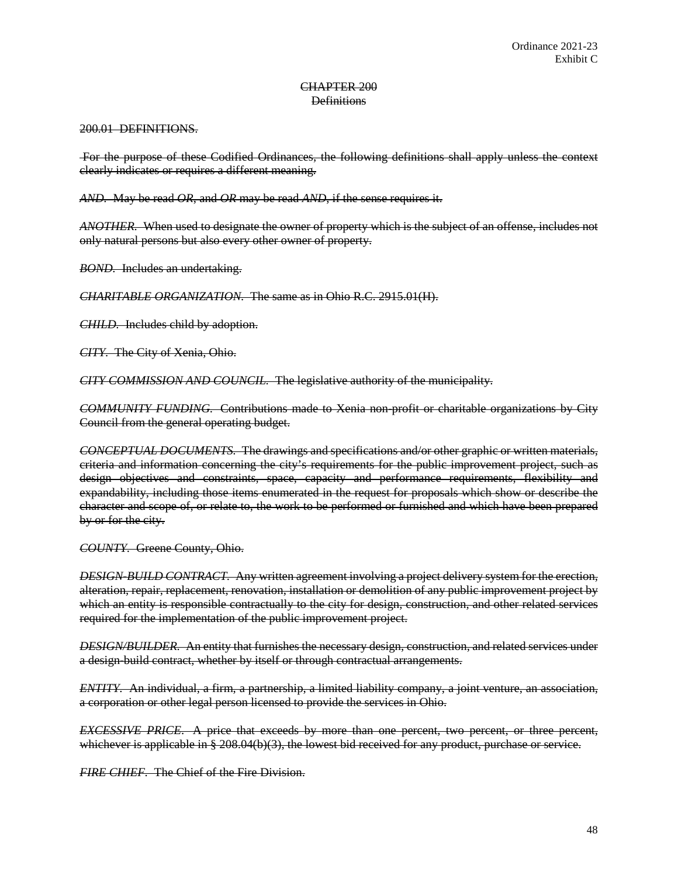### CHAPTER 200 **Definitions**

200.01 DEFINITIONS.

For the purpose of these Codified Ordinances, the following definitions shall apply unless the context clearly indicates or requires a different meaning.

*AND.* May be read *OR*, and *OR* may be read *AND*, if the sense requires it.

*ANOTHER.* When used to designate the owner of property which is the subject of an offense, includes not only natural persons but also every other owner of property.

*BOND.* Includes an undertaking.

*CHARITABLE ORGANIZATION.* The same as in Ohio R.C. 2915.01(H).

*CHILD.* Includes child by adoption.

*CITY.* The City of Xenia, Ohio.

*CITY COMMISSION AND COUNCIL.* The legislative authority of the municipality.

*COMMUNITY FUNDING.* Contributions made to Xenia non-profit or charitable organizations by City Council from the general operating budget.

*CONCEPTUAL DOCUMENTS.* The drawings and specifications and/or other graphic or written materials, criteria and information concerning the city's requirements for the public improvement project, such as design objectives and constraints, space, capacity and performance requirements, flexibility and expandability, including those items enumerated in the request for proposals which show or describe the character and scope of, or relate to, the work to be performed or furnished and which have been prepared by or for the city.

*COUNTY.* Greene County, Ohio.

*DESIGN-BUILD CONTRACT.* Any written agreement involving a project delivery system for the erection, alteration, repair, replacement, renovation, installation or demolition of any public improvement project by which an entity is responsible contractually to the city for design, construction, and other related services required for the implementation of the public improvement project.

*DESIGN/BUILDER.* An entity that furnishes the necessary design, construction, and related services under a design-build contract, whether by itself or through contractual arrangements.

*ENTITY.* An individual, a firm, a partnership, a limited liability company, a joint venture, an association, a corporation or other legal person licensed to provide the services in Ohio.

*EXCESSIVE PRICE*. A price that exceeds by more than one percent, two percent, or three percent, whichever is applicable in § 208.04(b)(3), the lowest bid received for any product, purchase or service.

*FIRE CHIEF.* The Chief of the Fire Division.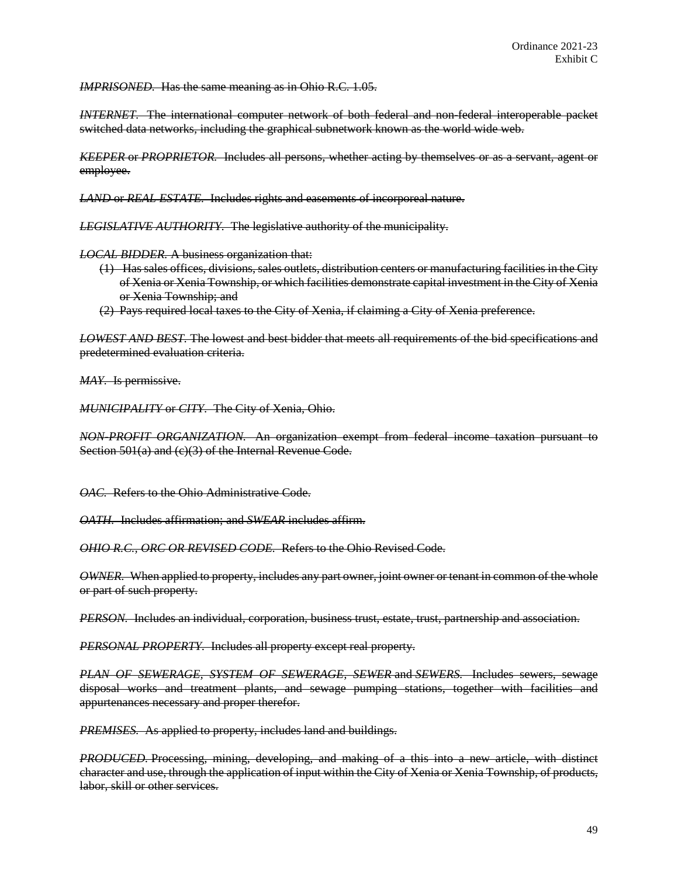*IMPRISONED.* Has the same meaning as in Ohio R.C. 1.05.

*INTERNET.* The international computer network of both federal and non-federal interoperable packet switched data networks, including the graphical subnetwork known as the world wide web.

*KEEPER* or *PROPRIETOR.* Includes all persons, whether acting by themselves or as a servant, agent or employee.

*LAND* or *REAL ESTATE.* Includes rights and easements of incorporeal nature.

*LEGISLATIVE AUTHORITY.* The legislative authority of the municipality.

*LOCAL BIDDER.* A business organization that:

- (1) Has sales offices, divisions, sales outlets, distribution centers or manufacturing facilities in the City of Xenia or Xenia Township, or which facilities demonstrate capital investment in the City of Xenia or Xenia Township; and
- (2) Pays required local taxes to the City of Xenia, if claiming a City of Xenia preference.

*LOWEST AND BEST.* The lowest and best bidder that meets all requirements of the bid specifications and predetermined evaluation criteria.

*MAY.* Is permissive.

*MUNICIPALITY* or *CITY.* The City of Xenia, Ohio.

*NON-PROFIT ORGANIZATION.* An organization exempt from federal income taxation pursuant to Section 501(a) and (c)(3) of the Internal Revenue Code.

*OAC.* Refers to the Ohio Administrative Code.

*OATH.* Includes affirmation; and *SWEAR* includes affirm.

*OHIO R.C., ORC OR REVISED CODE.* Refers to the Ohio Revised Code.

*OWNER.* When applied to property, includes any part owner, joint owner or tenant in common of the whole or part of such property.

*PERSON.* Includes an individual, corporation, business trust, estate, trust, partnership and association.

*PERSONAL PROPERTY.* Includes all property except real property.

*PLAN OF SEWERAGE, SYSTEM OF SEWERAGE, SEWER* and *SEWERS.* Includes sewers, sewage disposal works and treatment plants, and sewage pumping stations, together with facilities and appurtenances necessary and proper therefor.

*PREMISES.* As applied to property, includes land and buildings.

*PRODUCED.* Processing, mining, developing, and making of a this into a new article, with distinct character and use, through the application of input within the City of Xenia or Xenia Township, of products, labor, skill or other services.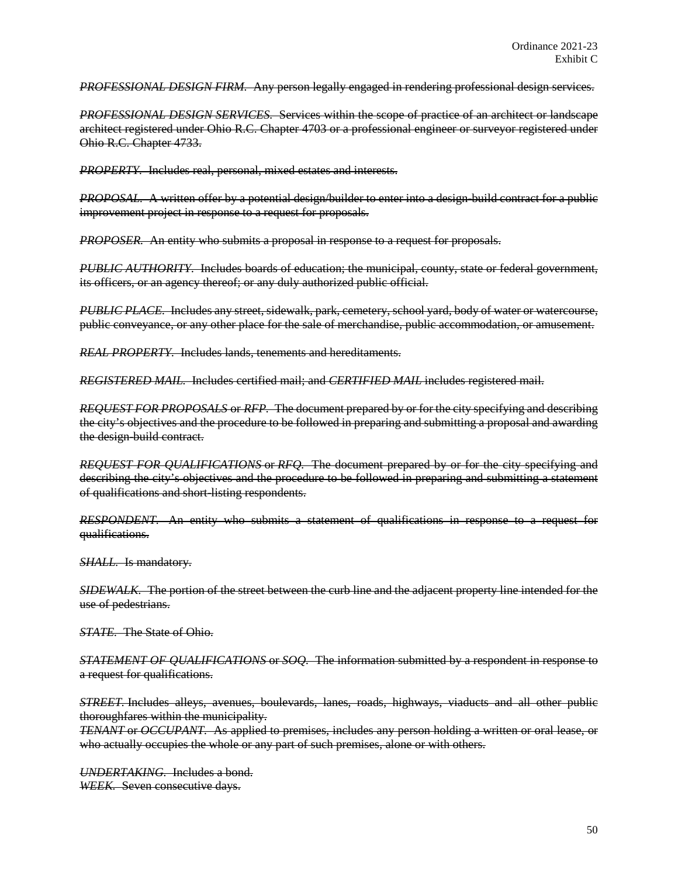*PROFESSIONAL DESIGN FIRM.* Any person legally engaged in rendering professional design services.

*PROFESSIONAL DESIGN SERVICES.* Services within the scope of practice of an architect or landscape architect registered under Ohio R.C. Chapter 4703 or a professional engineer or surveyor registered under Ohio R.C. Chapter 4733.

*PROPERTY.* Includes real, personal, mixed estates and interests.

*PROPOSAL.* A written offer by a potential design/builder to enter into a design-build contract for a public improvement project in response to a request for proposals.

*PROPOSER.* An entity who submits a proposal in response to a request for proposals.

*PUBLIC AUTHORITY.* Includes boards of education; the municipal, county, state or federal government, its officers, or an agency thereof; or any duly authorized public official.

*PUBLIC PLACE.* Includes any street, sidewalk, park, cemetery, school yard, body of water or watercourse, public conveyance, or any other place for the sale of merchandise, public accommodation, or amusement.

*REAL PROPERTY.* Includes lands, tenements and hereditaments.

*REGISTERED MAIL.* Includes certified mail; and *CERTIFIED MAIL* includes registered mail.

*REQUEST FOR PROPOSALS* or *RFP.* The document prepared by or for the city specifying and describing the city's objectives and the procedure to be followed in preparing and submitting a proposal and awarding the design-build contract.

*REQUEST FOR QUALIFICATIONS* or *RFQ.* The document prepared by or for the city specifying and describing the city's objectives and the procedure to be followed in preparing and submitting a statement of qualifications and short-listing respondents.

*RESPONDENT.* An entity who submits a statement of qualifications in response to a request for qualifications.

*SHALL.* Is mandatory.

*SIDEWALK.* The portion of the street between the curb line and the adjacent property line intended for the use of pedestrians.

*STATE.* The State of Ohio.

*STATEMENT OF QUALIFICATIONS* or *SOQ.* The information submitted by a respondent in response to a request for qualifications.

*STREET.* Includes alleys, avenues, boulevards, lanes, roads, highways, viaducts and all other public thoroughfares within the municipality.

*TENANT* or *OCCUPANT.* As applied to premises, includes any person holding a written or oral lease, or who actually occupies the whole or any part of such premises, alone or with others.

*UNDERTAKING.* Includes a bond. *WEEK.* Seven consecutive days.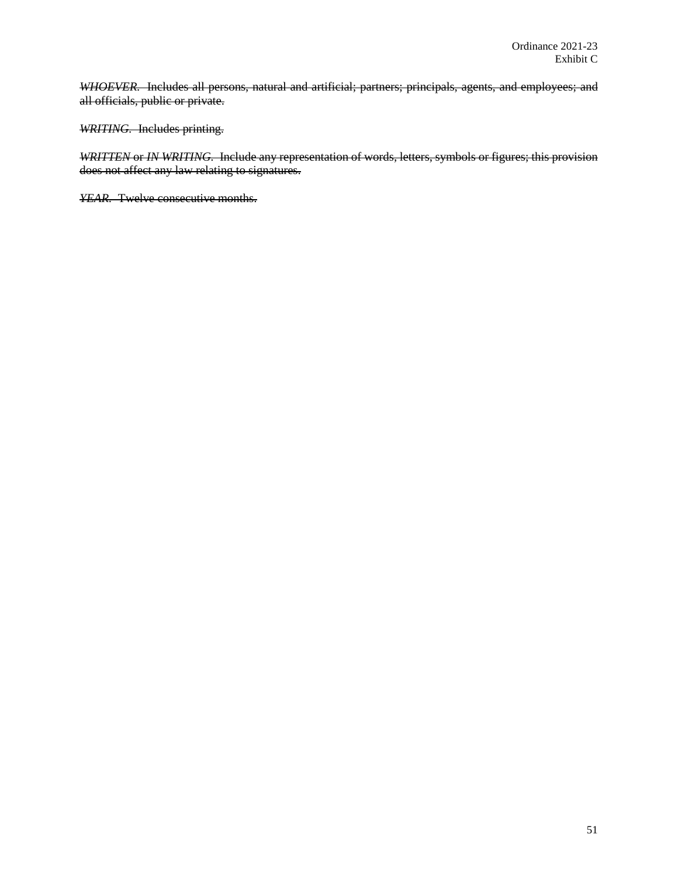*WHOEVER.* Includes all persons, natural and artificial; partners; principals, agents, and employees; and all officials, public or private.

*WRITING.* Includes printing.

*WRITTEN* or *IN WRITING.* Include any representation of words, letters, symbols or figures; this provision does not affect any law relating to signatures.

*YEAR.* Twelve consecutive months.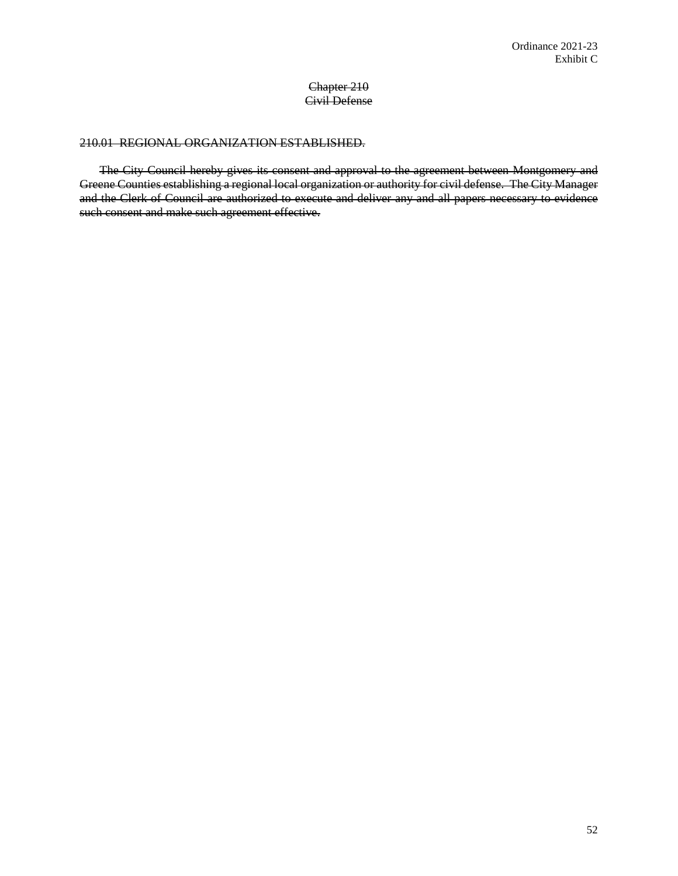# Chapter 210 Civil Defense

## 210.01 REGIONAL ORGANIZATION ESTABLISHED.

The City Council hereby gives its consent and approval to the agreement between Montgomery and Greene Counties establishing a regional local organization or authority for civil defense. The City Manager and the Clerk of Council are authorized to execute and deliver any and all papers necessary to evidence such consent and make such agreement effective.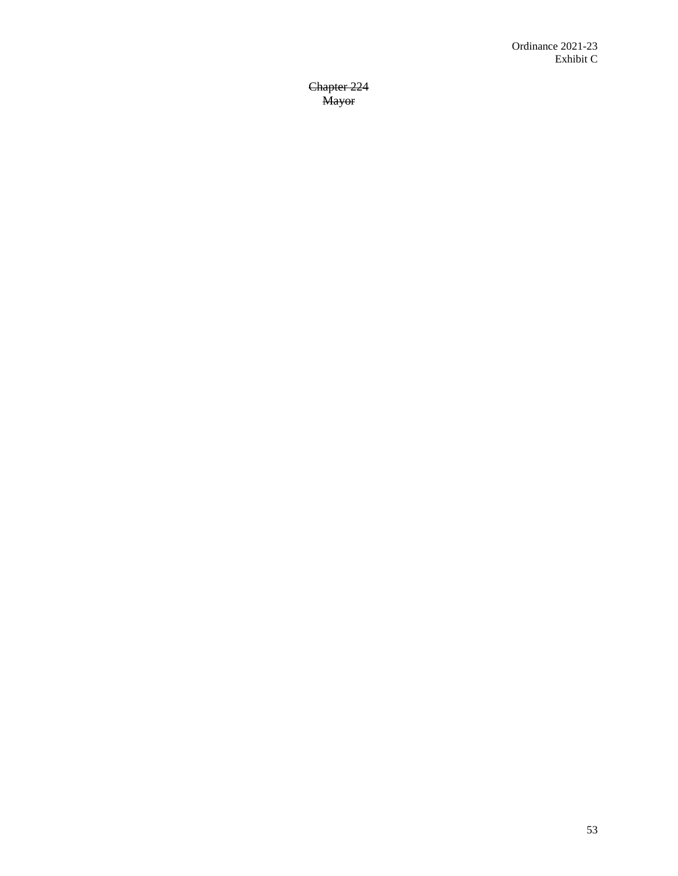Chapter 224 Mayor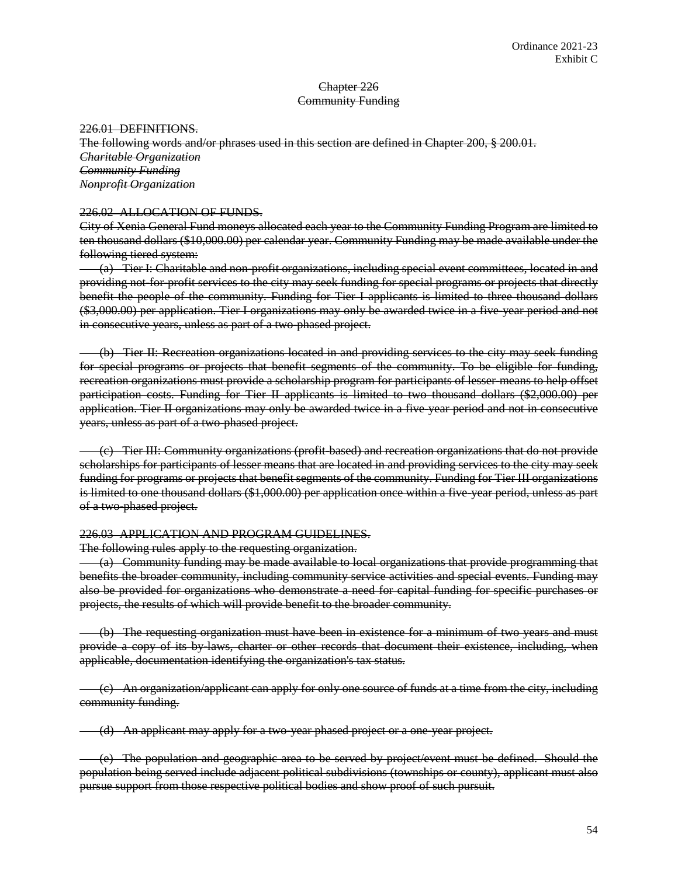# Chapter 226 Community Funding

226.01 DEFINITIONS.

The following words and/or phrases used in this section are defined in Chapter 200, § 200.01. *Charitable Organization Community Funding Nonprofit Organization*

## 226.02 ALLOCATION OF FUNDS.

City of Xenia General Fund moneys allocated each year to the Community Funding Program are limited to ten thousand dollars (\$10,000.00) per calendar year. Community Funding may be made available under the following tiered system:

(a) Tier I: Charitable and non-profit organizations, including special event committees, located in and providing not-for-profit services to the city may seek funding for special programs or projects that directly benefit the people of the community. Funding for Tier I applicants is limited to three thousand dollars (\$3,000.00) per application. Tier I organizations may only be awarded twice in a five-year period and not in consecutive years, unless as part of a two-phased project.

(b) Tier II: Recreation organizations located in and providing services to the city may seek funding for special programs or projects that benefit segments of the community. To be eligible for funding, recreation organizations must provide a scholarship program for participants of lesser-means to help offset participation costs. Funding for Tier II applicants is limited to two thousand dollars (\$2,000.00) per application. Tier II organizations may only be awarded twice in a five-year period and not in consecutive years, unless as part of a two-phased project.

(c) Tier III: Community organizations (profit-based) and recreation organizations that do not provide scholarships for participants of lesser means that are located in and providing services to the city may seek funding for programs or projects that benefit segments of the community. Funding for Tier III organizations is limited to one thousand dollars (\$1,000.00) per application once within a five-year period, unless as part of a two-phased project.

#### 226.03 APPLICATION AND PROGRAM GUIDELINES.

The following rules apply to the requesting organization.

(a) Community funding may be made available to local organizations that provide programming that benefits the broader community, including community service activities and special events. Funding may also be provided for organizations who demonstrate a need for capital funding for specific purchases or projects, the results of which will provide benefit to the broader community.

(b) The requesting organization must have been in existence for a minimum of two years and must provide a copy of its by-laws, charter or other records that document their existence, including, when applicable, documentation identifying the organization's tax status.

(c) An organization/applicant can apply for only one source of funds at a time from the city, including community funding.

(d) An applicant may apply for a two-year phased project or a one-year project.

(e) The population and geographic area to be served by project/event must be defined. Should the population being served include adjacent political subdivisions (townships or county), applicant must also pursue support from those respective political bodies and show proof of such pursuit.